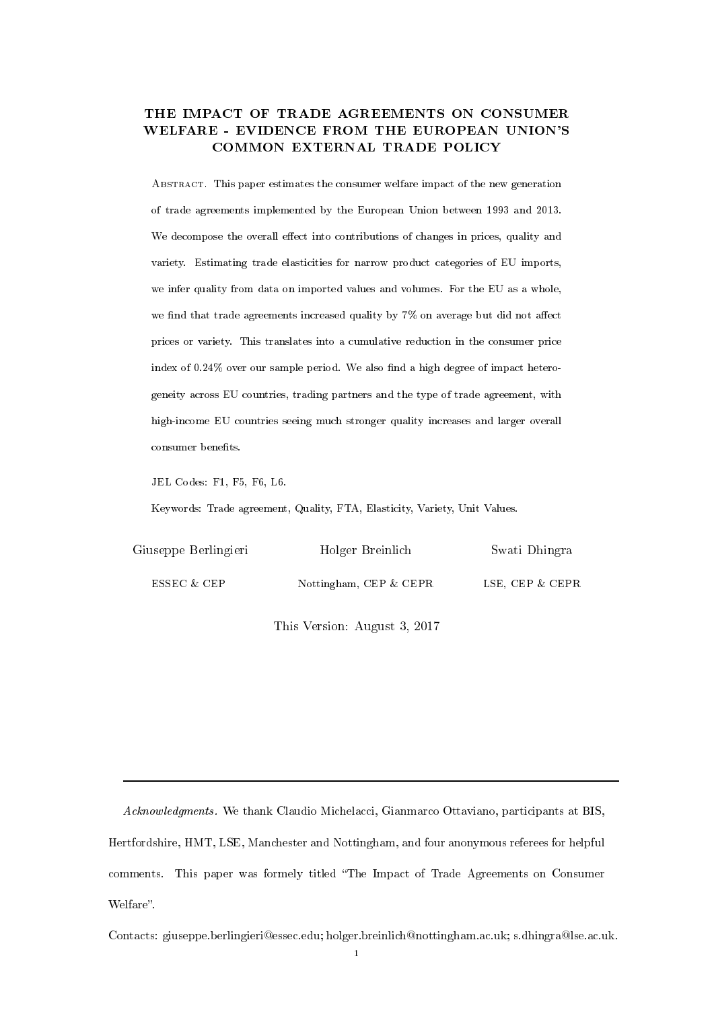## THE IMPACT OF TRADE AGREEMENTS ON CONSUMER WELFARE - EVIDENCE FROM THE EUROPEAN UNION'S COMMON EXTERNAL TRADE POLICY

Abstract. This paper estimates the consumer welfare impact of the new generation of trade agreements implemented by the European Union between 1993 and 2013. We decompose the overall effect into contributions of changes in prices, quality and variety. Estimating trade elasticities for narrow product categories of EU imports, we infer quality from data on imported values and volumes. For the EU as a whole, we find that trade agreements increased quality by  $7\%$  on average but did not affect prices or variety. This translates into a cumulative reduction in the consumer price index of  $0.24\%$  over our sample period. We also find a high degree of impact heterogeneity across EU countries, trading partners and the type of trade agreement, with high-income EU countries seeing much stronger quality increases and larger overall consumer benefits.

JEL Codes: F1, F5, F6, L6.

Keywords: Trade agreement, Quality, FTA, Elasticity, Variety, Unit Values.

| Giuseppe Berlingieri | Holger Breinlich          | Swati Dhingra   |
|----------------------|---------------------------|-----------------|
| ESSEC & CEP          | Nottingham, CEP $\&$ CEPR | LSE, CEP & CEPR |

This Version: August 3, 2017

Acknowledgments. We thank Claudio Michelacci, Gianmarco Ottaviano, participants at BIS, Hertfordshire, HMT, LSE, Manchester and Nottingham, and four anonymous referees for helpful comments. This paper was formely titled "The Impact of Trade Agreements on Consumer Welfare".

Contacts: giuseppe.berlingieri@essec.edu; holger.breinlich@nottingham.ac.uk; s.dhingra@lse.ac.uk.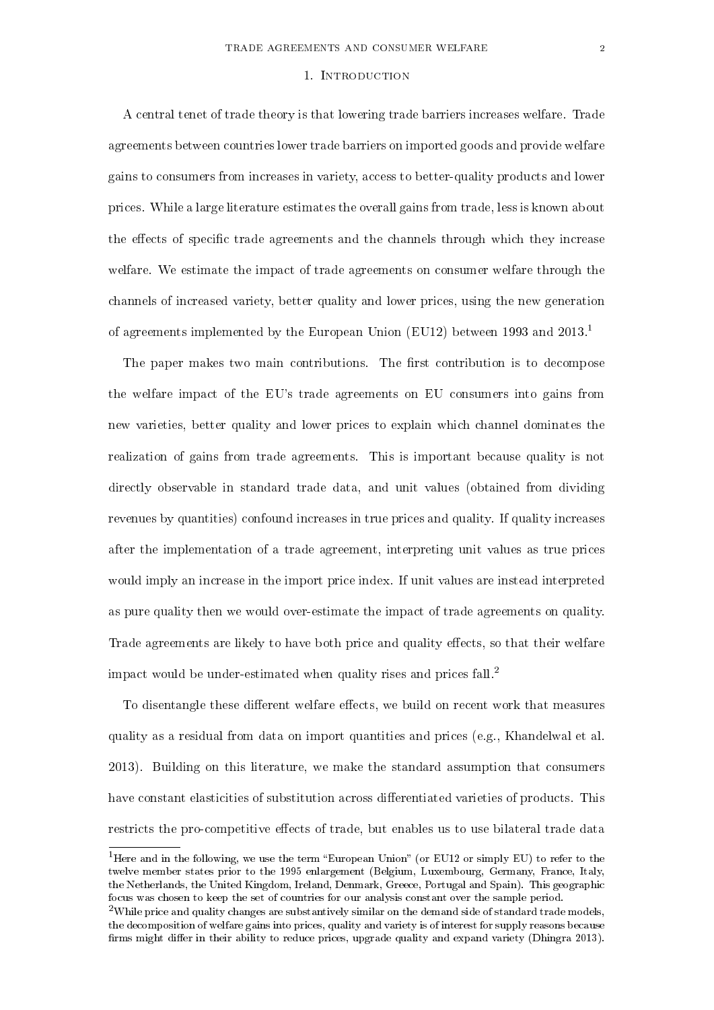#### 1. Introduction

A central tenet of trade theory is that lowering trade barriers increases welfare. Trade agreements between countries lower trade barriers on imported goods and provide welfare gains to consumers from increases in variety, access to better-quality products and lower prices. While a large literature estimates the overall gains from trade, less is known about the effects of specific trade agreements and the channels through which they increase welfare. We estimate the impact of trade agreements on consumer welfare through the channels of increased variety, better quality and lower prices, using the new generation of agreements implemented by the European Union (EU12) between 1993 and 2013.<sup>1</sup>

The paper makes two main contributions. The first contribution is to decompose the welfare impact of the EU's trade agreements on EU consumers into gains from new varieties, better quality and lower prices to explain which channel dominates the realization of gains from trade agreements. This is important because quality is not directly observable in standard trade data, and unit values (obtained from dividing revenues by quantities) confound increases in true prices and quality. If quality increases after the implementation of a trade agreement, interpreting unit values as true prices would imply an increase in the import price index. If unit values are instead interpreted as pure quality then we would over-estimate the impact of trade agreements on quality. Trade agreements are likely to have both price and quality effects, so that their welfare impact would be under-estimated when quality rises and prices fall.<sup>2</sup>

To disentangle these different welfare effects, we build on recent work that measures quality as a residual from data on import quantities and prices (e.g., Khandelwal et al. 2013). Building on this literature, we make the standard assumption that consumers have constant elasticities of substitution across differentiated varieties of products. This restricts the pro-competitive effects of trade, but enables us to use bilateral trade data

<sup>&</sup>lt;sup>1</sup>Here and in the following, we use the term "European Union" (or EU12 or simply EU) to refer to the twelve member states prior to the 1995 enlargement (Belgium, Luxembourg, Germany, France, Italy, the Netherlands, the United Kingdom, Ireland, Denmark, Greece, Portugal and Spain). This geographic focus was chosen to keep the set of countries for our analysis constant over the sample period.

<sup>&</sup>lt;sup>2</sup>While price and quality changes are substantively similar on the demand side of standard trade models, the decomposition of welfare gains into prices, quality and variety is of interest for supply reasons because firms might differ in their ability to reduce prices, upgrade quality and expand variety (Dhingra 2013).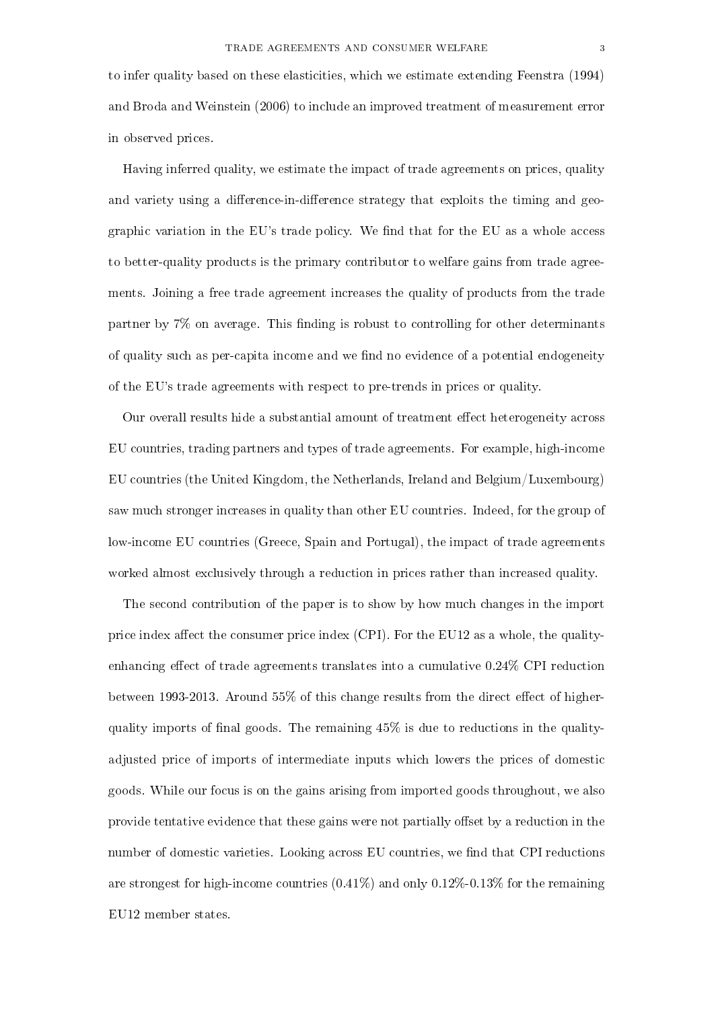to infer quality based on these elasticities, which we estimate extending Feenstra (1994) and Broda and Weinstein (2006) to include an improved treatment of measurement error in observed prices.

Having inferred quality, we estimate the impact of trade agreements on prices, quality and variety using a difference-in-difference strategy that exploits the timing and geographic variation in the EU's trade policy. We find that for the EU as a whole access to better-quality products is the primary contributor to welfare gains from trade agreements. Joining a free trade agreement increases the quality of products from the trade partner by  $7\%$  on average. This finding is robust to controlling for other determinants of quality such as per-capita income and we find no evidence of a potential endogeneity of the EU's trade agreements with respect to pre-trends in prices or quality.

Our overall results hide a substantial amount of treatment effect heterogeneity across EU countries, trading partners and types of trade agreements. For example, high-income EU countries (the United Kingdom, the Netherlands, Ireland and Belgium/Luxembourg) saw much stronger increases in quality than other EU countries. Indeed, for the group of low-income EU countries (Greece, Spain and Portugal), the impact of trade agreements worked almost exclusively through a reduction in prices rather than increased quality.

The second contribution of the paper is to show by how much changes in the import price index affect the consumer price index (CPI). For the EU12 as a whole, the qualityenhancing effect of trade agreements translates into a cumulative  $0.24\%$  CPI reduction between 1993-2013. Around  $55\%$  of this change results from the direct effect of higherquality imports of final goods. The remaining  $45\%$  is due to reductions in the qualityadjusted price of imports of intermediate inputs which lowers the prices of domestic goods. While our focus is on the gains arising from imported goods throughout, we also provide tentative evidence that these gains were not partially offset by a reduction in the number of domestic varieties. Looking across EU countries, we find that CPI reductions are strongest for high-income countries  $(0.41\%)$  and only  $0.12\%$ -0.13% for the remaining EU12 member states.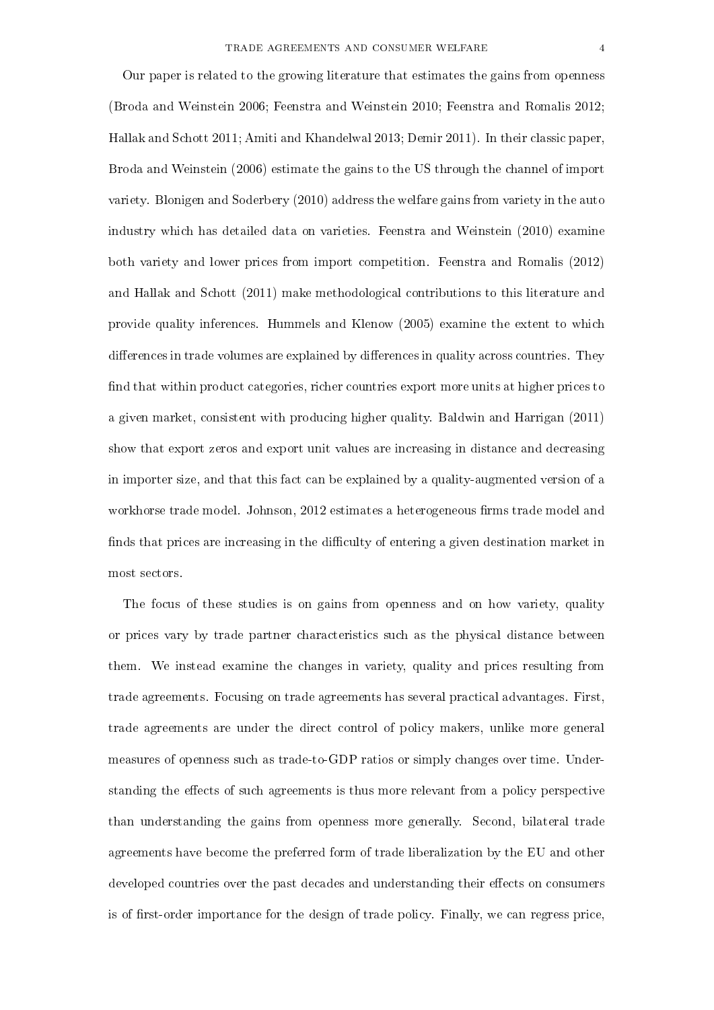Our paper is related to the growing literature that estimates the gains from openness (Broda and Weinstein 2006; Feenstra and Weinstein 2010; Feenstra and Romalis 2012; Hallak and Schott 2011; Amiti and Khandelwal 2013; Demir 2011). In their classic paper, Broda and Weinstein (2006) estimate the gains to the US through the channel of import variety. Blonigen and Soderbery (2010) address the welfare gains from variety in the auto industry which has detailed data on varieties. Feenstra and Weinstein (2010) examine both variety and lower prices from import competition. Feenstra and Romalis (2012) and Hallak and Schott (2011) make methodological contributions to this literature and provide quality inferences. Hummels and Klenow (2005) examine the extent to which differences in trade volumes are explained by differences in quality across countries. They find that within product categories, richer countries export more units at higher prices to a given market, consistent with producing higher quality. Baldwin and Harrigan (2011) show that export zeros and export unit values are increasing in distance and decreasing in importer size, and that this fact can be explained by a quality-augmented version of a workhorse trade model. Johnson, 2012 estimates a heterogeneous firms trade model and finds that prices are increasing in the difficulty of entering a given destination market in most sectors.

The focus of these studies is on gains from openness and on how variety, quality or prices vary by trade partner characteristics such as the physical distance between them. We instead examine the changes in variety, quality and prices resulting from trade agreements. Focusing on trade agreements has several practical advantages. First, trade agreements are under the direct control of policy makers, unlike more general measures of openness such as trade-to-GDP ratios or simply changes over time. Understanding the effects of such agreements is thus more relevant from a policy perspective than understanding the gains from openness more generally. Second, bilateral trade agreements have become the preferred form of trade liberalization by the EU and other developed countries over the past decades and understanding their effects on consumers is of first-order importance for the design of trade policy. Finally, we can regress price,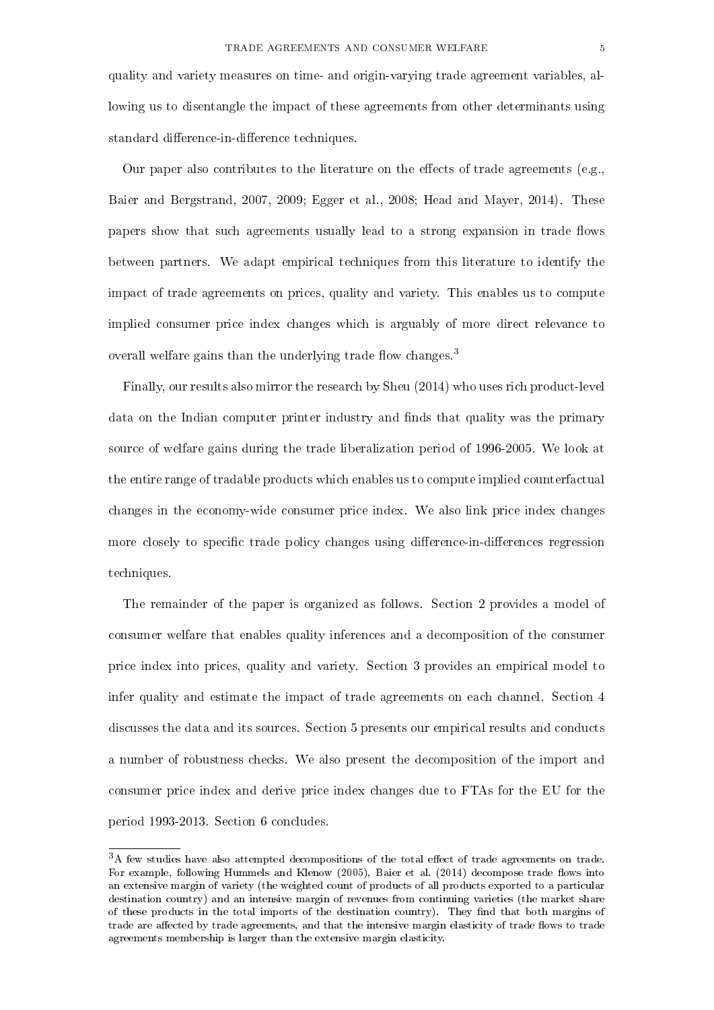quality and variety measures on time- and origin-varying trade agreement variables, allowing us to disentangle the impact of these agreements from other determinants using standard difference-in-difference techniques.

Our paper also contributes to the literature on the effects of trade agreements (e.g., Baier and Bergstrand, 2007, 2009; Egger et al., 2008; Head and Mayer, 2014). These papers show that such agreements usually lead to a strong expansion in trade flows between partners. We adapt empirical techniques from this literature to identify the impact of trade agreements on prices, quality and variety. This enables us to compute implied consumer price index changes which is arguably of more direct relevance to overall welfare gains than the underlying trade flow changes.<sup>3</sup>

Finally, our results also mirror the research by Sheu (2014) who uses rich product-level data on the Indian computer printer industry and finds that quality was the primary source of welfare gains during the trade liberalization period of 1996-2005. We look at the entire range of tradable products which enables us to compute implied counterfactual changes in the economy-wide consumer price index. We also link price index changes more closely to specific trade policy changes using difference-in-differences regression techniques.

The remainder of the paper is organized as follows. Section 2 provides a model of consumer welfare that enables quality inferences and a decomposition of the consumer price index into prices, quality and variety. Section 3 provides an empirical model to infer quality and estimate the impact of trade agreements on each channel. Section 4 discusses the data and its sources. Section 5 presents our empirical results and conducts a number of robustness checks. We also present the decomposition of the import and consumer price index and derive price index changes due to FTAs for the EU for the period 1993-2013. Section 6 concludes.

 $3A$  few studies have also attempted decompositions of the total effect of trade agreements on trade. For example, following Hummels and Klenow (2005), Baier et al. (2014) decompose trade flows into an extensive margin of variety (the weighted count of products of all products exported to a particular destination country) and an intensive margin of revenues from continuing varieties (the market share of these products in the total imports of the destination country). They find that both margins of trade are affected by trade agreements, and that the intensive margin elasticity of trade flows to trade agreements membership is larger than the extensive margin elasticity.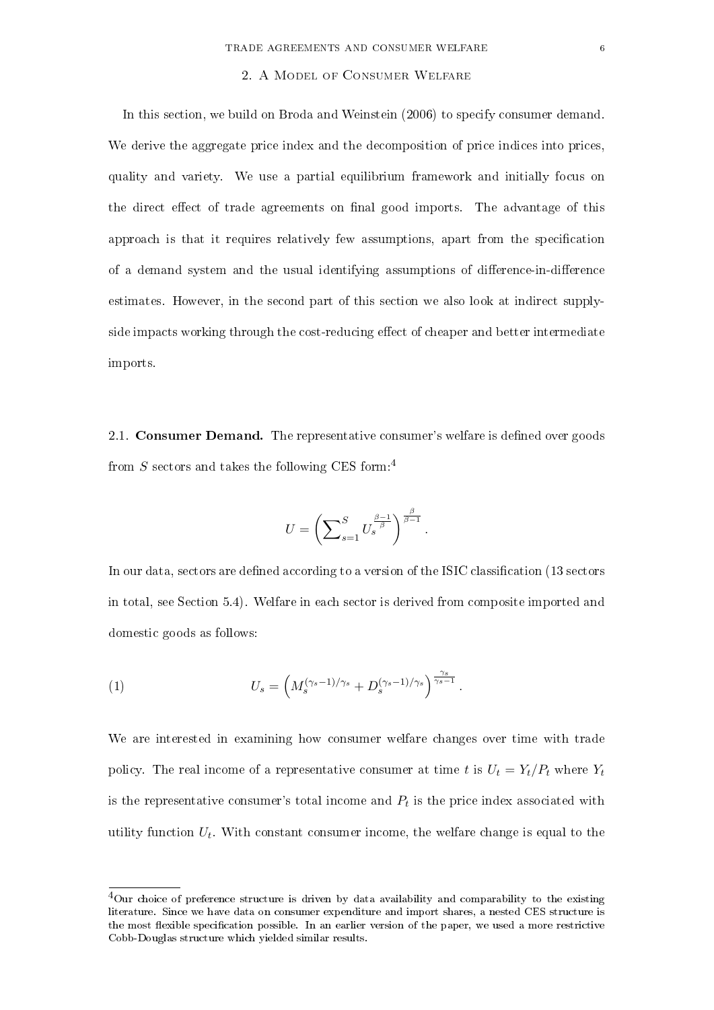#### 2. A Model of Consumer Welfare

In this section, we build on Broda and Weinstein (2006) to specify consumer demand. We derive the aggregate price index and the decomposition of price indices into prices, quality and variety. We use a partial equilibrium framework and initially focus on the direct effect of trade agreements on final good imports. The advantage of this approach is that it requires relatively few assumptions, apart from the specication of a demand system and the usual identifying assumptions of difference-in-difference estimates. However, in the second part of this section we also look at indirect supplyside impacts working through the cost-reducing effect of cheaper and better intermediate imports.

2.1. **Consumer Demand.** The representative consumer's welfare is defined over goods from  $S$  sectors and takes the following CES form:<sup>4</sup>

$$
U = \left(\sum_{s=1}^{S} U_s^{\frac{\beta-1}{\beta}}\right)^{\frac{\beta}{\beta-1}}.
$$

In our data, sectors are defined according to a version of the ISIC classification (13 sectors in total, see Section 5.4). Welfare in each sector is derived from composite imported and domestic goods as follows:

(1) 
$$
U_s = \left(M_s^{(\gamma_s - 1)/\gamma_s} + D_s^{(\gamma_s - 1)/\gamma_s}\right)^{\frac{\gamma_s}{\gamma_s - 1}}.
$$

We are interested in examining how consumer welfare changes over time with trade policy. The real income of a representative consumer at time t is  $U_t = Y_t/P_t$  where  $Y_t$ is the representative consumer's total income and  $P_t$  is the price index associated with utility function  $U_t$ . With constant consumer income, the welfare change is equal to the

<sup>&</sup>lt;sup>4</sup>Our choice of preference structure is driven by data availability and comparability to the existing literature. Since we have data on consumer expenditure and import shares, a nested CES structure is the most flexible specification possible. In an earlier version of the paper, we used a more restrictive Cobb-Douglas structure which yielded similar results.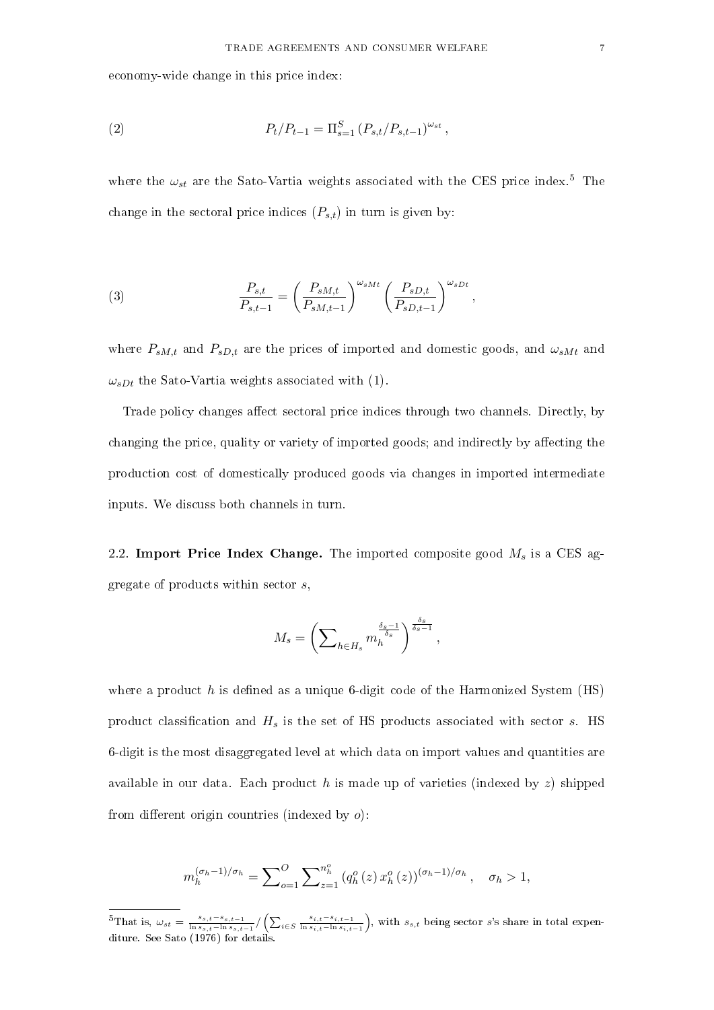economy-wide change in this price index:

(2) 
$$
P_t/P_{t-1} = \Pi_{s=1}^S (P_{s,t}/P_{s,t-1})^{\omega_{st}},
$$

where the  $\omega_{st}$  are the Sato-Vartia weights associated with the CES price index.<sup>5</sup> The change in the sectoral price indices  $(P_{s,t})$  in turn is given by:

(3) 
$$
\frac{P_{s,t}}{P_{s,t-1}} = \left(\frac{P_{sM,t}}{P_{sM,t-1}}\right)^{\omega_{sMt}} \left(\frac{P_{sD,t}}{P_{sD,t-1}}\right)^{\omega_{sDt}},
$$

where  $P_{sM,t}$  and  $P_{sD,t}$  are the prices of imported and domestic goods, and  $\omega_{sMt}$  and  $\omega_{sDt}$  the Sato-Vartia weights associated with (1).

Trade policy changes affect sectoral price indices through two channels. Directly, by changing the price, quality or variety of imported goods; and indirectly by affecting the production cost of domestically produced goods via changes in imported intermediate inputs. We discuss both channels in turn.

2.2. Import Price Index Change. The imported composite good  $M_s$  is a CES aggregate of products within sector s,

$$
M_s = \left(\sum\nolimits_{h \in H_s} m_h^{\frac{\delta_s - 1}{\delta_s}}\right)^{\frac{\delta_s}{\delta_s - 1}},
$$

where a product h is defined as a unique 6-digit code of the Harmonized System  $(HS)$ product classification and  $H_s$  is the set of HS products associated with sector s. HS 6-digit is the most disaggregated level at which data on import values and quantities are available in our data. Each product h is made up of varieties (indexed by  $z$ ) shipped from different origin countries (indexed by  $o$ ):

$$
m_h^{(\sigma_h - 1)/\sigma_h} = \sum_{o=1}^O \sum_{z=1}^{n_h^o} (q_h^o(z) x_h^o(z))^{(\sigma_h - 1)/\sigma_h}, \quad \sigma_h > 1,
$$

<sup>&</sup>lt;sup>5</sup>That is,  $\omega_{st} = \frac{s_{s,t}-s_{s,t-1}}{\ln s_{s,t}-\ln s_{s,t}}$  $\frac{s_{s,t} - s_{s,t-1}}{\ln s_{s,t} - \ln s_{s,t-1}} / (\sum_{i \in S} \frac{s_{i,t} - s_{i,t-1}}{\ln s_{i,t} - \ln s_{i,t}})$  $\frac{s_{i,t}-s_{i,t-1}}{\ln s_{i,t}-\ln s_{i,t-1}}$ , with  $s_{s,t}$  being sector s's share in total expenditure. See Sato (1976) for details.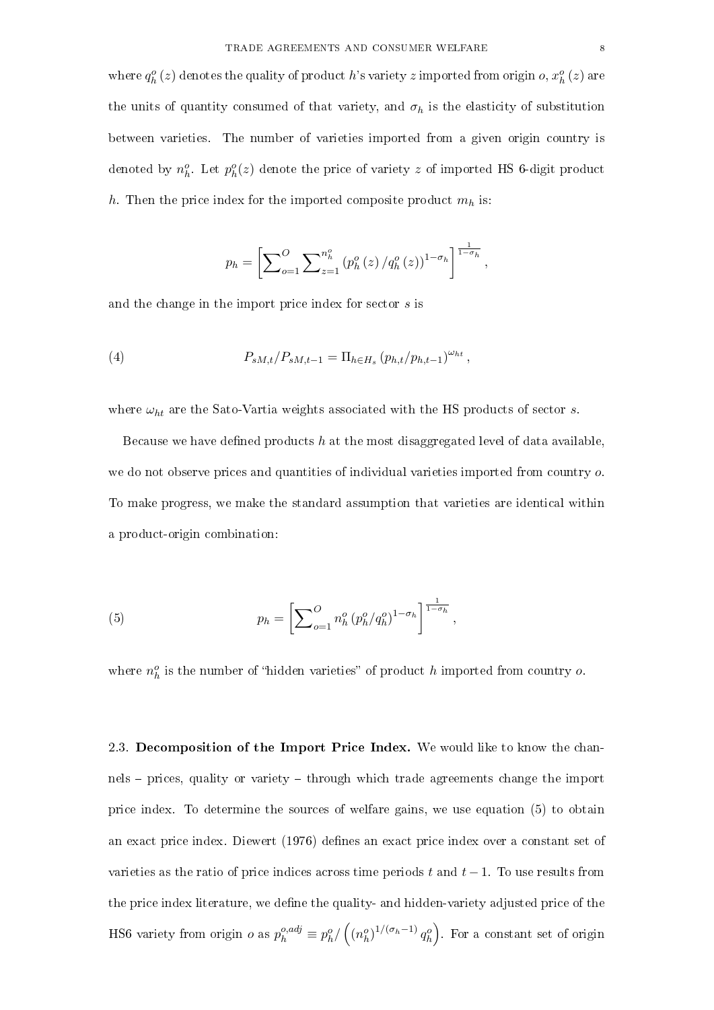where  $q_h^o(z)$  denotes the quality of product h's variety z imported from origin  $o, x_h^o(z)$  are the units of quantity consumed of that variety, and  $\sigma_h$  is the elasticity of substitution between varieties. The number of varieties imported from a given origin country is denoted by  $n_h^o$ . Let  $p_h^o(z)$  denote the price of variety  $z$  of imported HS 6-digit product h. Then the price index for the imported composite product  $m_h$  is:

$$
p_h = \left[ \sum_{o=1}^O \sum_{z=1}^{n_h^o} (p_h^o(z)/q_h^o(z))^{1-\sigma_h} \right]^{\frac{1}{1-\sigma_h}},
$$

and the change in the import price index for sector s is

(4) 
$$
P_{sM,t}/P_{sM,t-1} = \Pi_{h \in H_s} (p_{h,t}/p_{h,t-1})^{\omega_{ht}},
$$

where  $\omega_{ht}$  are the Sato-Vartia weights associated with the HS products of sector s.

Because we have defined products h at the most disaggregated level of data available. we do not observe prices and quantities of individual varieties imported from country  $\rho$ . To make progress, we make the standard assumption that varieties are identical within a product-origin combination:

(5) 
$$
p_h = \left[ \sum_{o=1}^O n_h^o (p_h^o/q_h^o)^{1-\sigma_h} \right]^{\frac{1}{1-\sigma_h}},
$$

where  $n_h^o$  is the number of "hidden varieties" of product h imported from country o.

2.3. Decomposition of the Import Price Index. We would like to know the channels prices, quality or variety through which trade agreements change the import price index. To determine the sources of welfare gains, we use equation (5) to obtain an exact price index. Diewert (1976) defines an exact price index over a constant set of varieties as the ratio of price indices across time periods t and  $t-1$ . To use results from the price index literature, we define the quality- and hidden-variety adjusted price of the HS6 variety from origin  $o$  as  $p_h^{o,adj} \equiv p_h^o / ((n_h^o)^{1/(\sigma_h-1)} q_h^o)$ . For a constant set of origin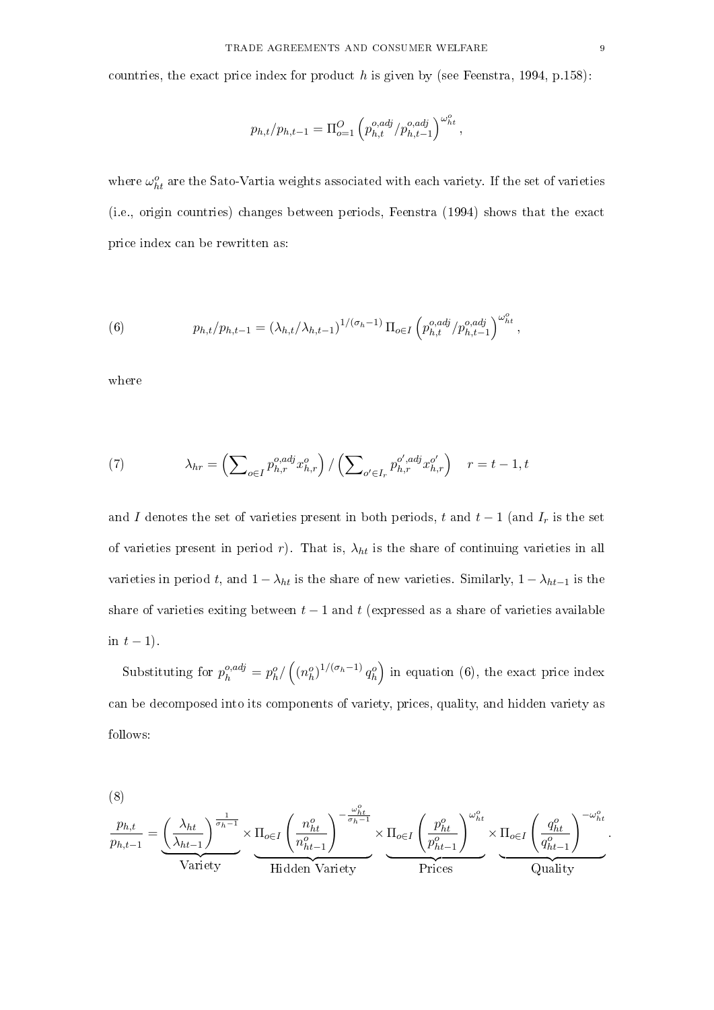countries, the exact price index for product h is given by (see Feenstra, 1994, p.158):

$$
p_{h,t}/p_{h,t-1} = \Pi_{o=1}^O \left( p_{h,t}^{o,adj} / p_{h,t-1}^{o,adj} \right)^{\omega_{ht}^o},
$$

where  $\omega_{ht}^o$  are the Sato-Vartia weights associated with each variety. If the set of varieties (i.e., origin countries) changes between periods, Feenstra (1994) shows that the exact price index can be rewritten as:

(6) 
$$
p_{h,t}/p_{h,t-1} = (\lambda_{h,t}/\lambda_{h,t-1})^{1/(\sigma_h-1)} \Pi_{o \in I} \left( p_{h,t}^{o,adj} / p_{h,t-1}^{o,adj} \right)^{\omega_{ht}^o},
$$

where

(7) 
$$
\lambda_{hr} = \left( \sum_{o \in I} p_{h,r}^{o,adj} x_{h,r}^o \right) / \left( \sum_{o' \in I_r} p_{h,r}^{o',adj} x_{h,r}^{o'} \right) \quad r = t - 1, t
$$

and I denotes the set of varieties present in both periods, t and  $t-1$  (and  $I_r$  is the set of varieties present in period r). That is,  $\lambda_{ht}$  is the share of continuing varieties in all varieties in period t, and  $1 - \lambda_{ht}$  is the share of new varieties. Similarly,  $1 - \lambda_{ht-1}$  is the share of varieties exiting between  $t-1$  and t (expressed as a share of varieties available in  $t-1$ ).

Substituting for  $p_h^{o,adj} = p_h^o / ((n_h^o)^{1/(\sigma_h-1)} q_h^o)$  in equation (6), the exact price index can be decomposed into its components of variety, prices, quality, and hidden variety as follows:

(8)

$$
\frac{p_{h,t}}{p_{h,t-1}} = \underbrace{\left(\frac{\lambda_{ht}}{\lambda_{ht-1}}\right)^{\frac{1}{\sigma_h-1}}}_{\text{Variety}} \times \underbrace{\Pi_{o\in I} \left(\frac{n_{ht}^o}{n_{ht-1}^o}\right)^{-\frac{\omega_{ht}^o}{\sigma_h-1}}}_{\text{Hidden Variety}} \times \underbrace{\Pi_{o\in I} \left(\frac{p_{ht}^o}{p_{ht-1}^o}\right)^{\omega_{ht}^o}}_{\text{Prices}} \times \underbrace{\Pi_{o\in I} \left(\frac{q_{ht}^o}{q_{ht-1}^o}\right)^{-\omega_{ht}^o}}_{\text{Quality}}.
$$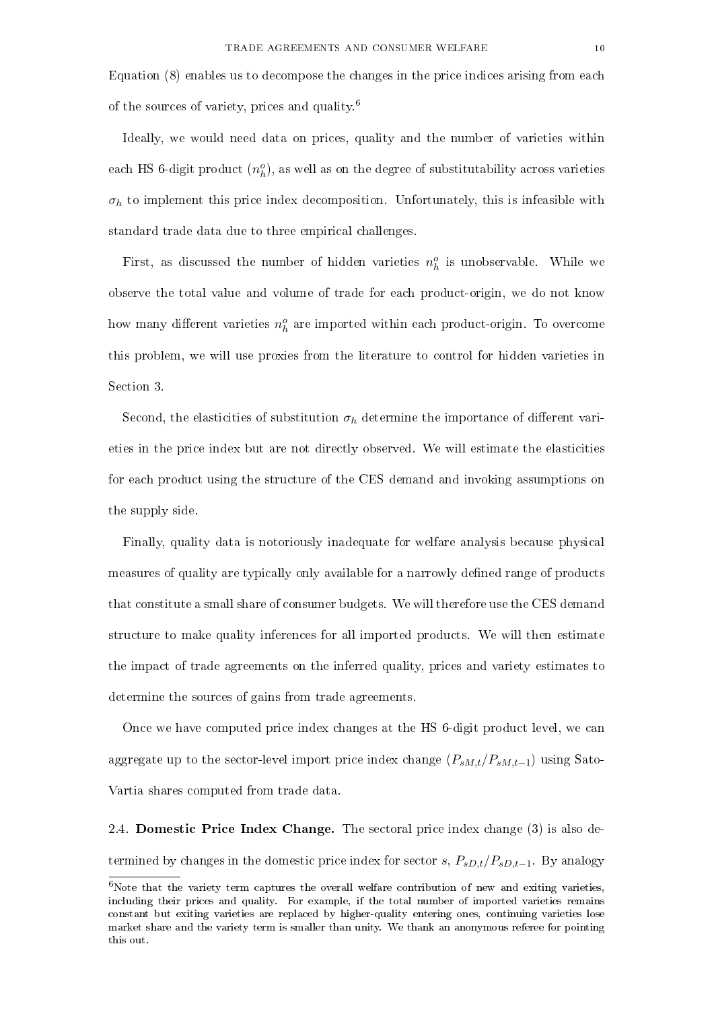Equation (8) enables us to decompose the changes in the price indices arising from each of the sources of variety, prices and quality.<sup>6</sup>

Ideally, we would need data on prices, quality and the number of varieties within each HS 6-digit product  $(n_h^o)$ , as well as on the degree of substitutability across varieties  $\sigma_h$  to implement this price index decomposition. Unfortunately, this is infeasible with standard trade data due to three empirical challenges.

First, as discussed the number of hidden varieties  $n_h^o$  is unobservable. While we observe the total value and volume of trade for each product-origin, we do not know how many different varieties  $n_h^o$  are imported within each product-origin. To overcome this problem, we will use proxies from the literature to control for hidden varieties in Section 3.

Second, the elasticities of substitution  $\sigma_h$  determine the importance of different varieties in the price index but are not directly observed. We will estimate the elasticities for each product using the structure of the CES demand and invoking assumptions on the supply side.

Finally, quality data is notoriously inadequate for welfare analysis because physical measures of quality are typically only available for a narrowly dened range of products that constitute a small share of consumer budgets. We will therefore use the CES demand structure to make quality inferences for all imported products. We will then estimate the impact of trade agreements on the inferred quality, prices and variety estimates to determine the sources of gains from trade agreements.

Once we have computed price index changes at the HS 6-digit product level, we can aggregate up to the sector-level import price index change  $(P_{sM,t}/P_{sM,t-1})$  using Sato-Vartia shares computed from trade data.

2.4. Domestic Price Index Change. The sectoral price index change (3) is also determined by changes in the domestic price index for sector s,  $P_{sD,t}/P_{sD,t-1}$ . By analogy

 $6$ Note that the variety term captures the overall welfare contribution of new and exiting varieties, including their prices and quality. For example, if the total number of imported varieties remains constant but exiting varieties are replaced by higher-quality entering ones, continuing varieties lose market share and the variety term is smaller than unity. We thank an anonymous referee for pointing this out.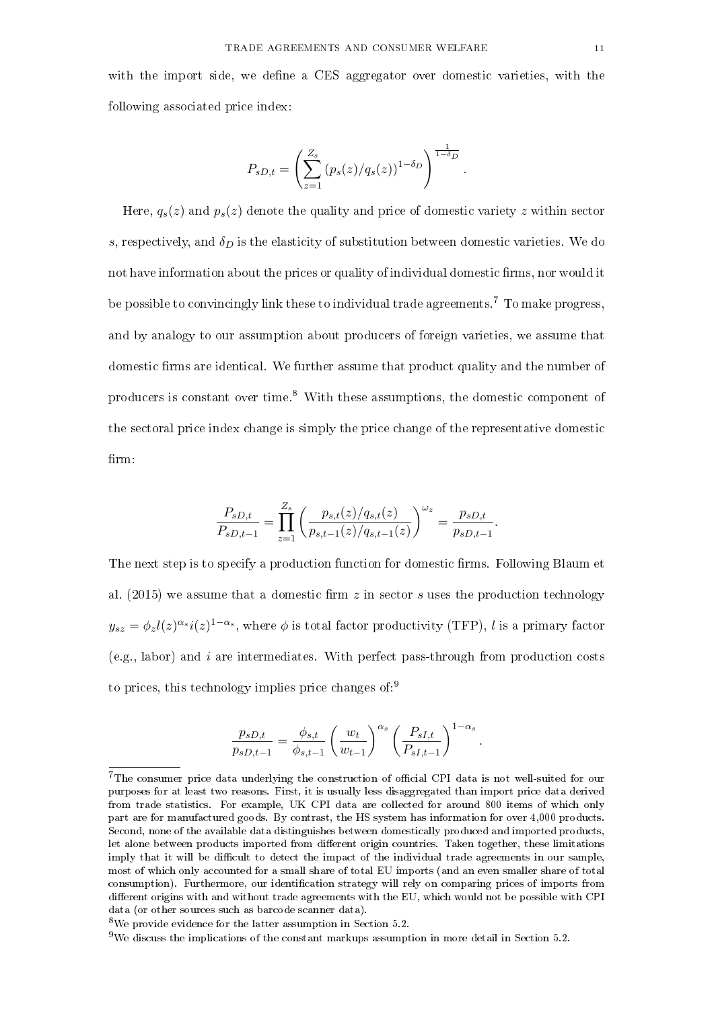with the import side, we define a CES aggregator over domestic varieties, with the following associated price index:

$$
P_{sD,t} = \left(\sum_{z=1}^{Z_s} (p_s(z)/q_s(z))^{1-\delta_D}\right)^{\frac{1}{1-\delta_D}}.
$$

Here,  $q_s(z)$  and  $p_s(z)$  denote the quality and price of domestic variety z within sector s, respectively, and  $\delta_D$  is the elasticity of substitution between domestic varieties. We do not have information about the prices or quality of individual domestic firms, nor would it be possible to convincingly link these to individual trade agreements.<sup>7</sup> To make progress, and by analogy to our assumption about producers of foreign varieties, we assume that domestic firms are identical. We further assume that product quality and the number of producers is constant over time.<sup>8</sup> With these assumptions, the domestic component of the sectoral price index change is simply the price change of the representative domestic firm:

$$
\frac{P_{sD,t}}{P_{sD,t-1}} = \prod_{z=1}^{Z_s} \left( \frac{p_{s,t}(z)/q_{s,t}(z)}{p_{s,t-1}(z)/q_{s,t-1}(z)} \right)^{\omega_z} = \frac{p_{sD,t}}{p_{sD,t-1}}.
$$

The next step is to specify a production function for domestic firms. Following Blaum et al. (2015) we assume that a domestic firm  $z$  in sector  $s$  uses the production technology  $y_{sz}=\phi_z l(z)^{\alpha_s}i(z)^{1-\alpha_s},$  where  $\phi$  is total factor productivity (TFP),  $l$  is a primary factor  $(e.g., labor)$  and i are intermediates. With perfect pass-through from production costs to prices, this technology implies price changes of:<sup>9</sup>

$$
\frac{p_{sD,t}}{p_{sD,t-1}} = \frac{\phi_{s,t}}{\phi_{s,t-1}} \left(\frac{w_t}{w_{t-1}}\right)^{\alpha_s} \left(\frac{P_{sI,t}}{P_{sI,t-1}}\right)^{1-\alpha_s}.
$$

 $7$ The consumer price data underlying the construction of official CPI data is not well-suited for our purposes for at least two reasons. First, it is usually less disaggregated than import price data derived from trade statistics. For example, UK CPI data are collected for around 800 items of which only part are for manufactured goods. By contrast, the HS system has information for over 4,000 products. Second, none of the available data distinguishes between domestically produced and imported products, let alone between products imported from different origin countries. Taken together, these limitations imply that it will be difficult to detect the impact of the individual trade agreements in our sample, most of which only accounted for a small share of total EU imports (and an even smaller share of total consumption). Furthermore, our identification strategy will rely on comparing prices of imports from different origins with and without trade agreements with the EU, which would not be possible with CPI data (or other sources such as barcode scanner data).

<sup>8</sup>We provide evidence for the latter assumption in Section 5.2.

<sup>&</sup>lt;sup>9</sup>We discuss the implications of the constant markups assumption in more detail in Section 5.2.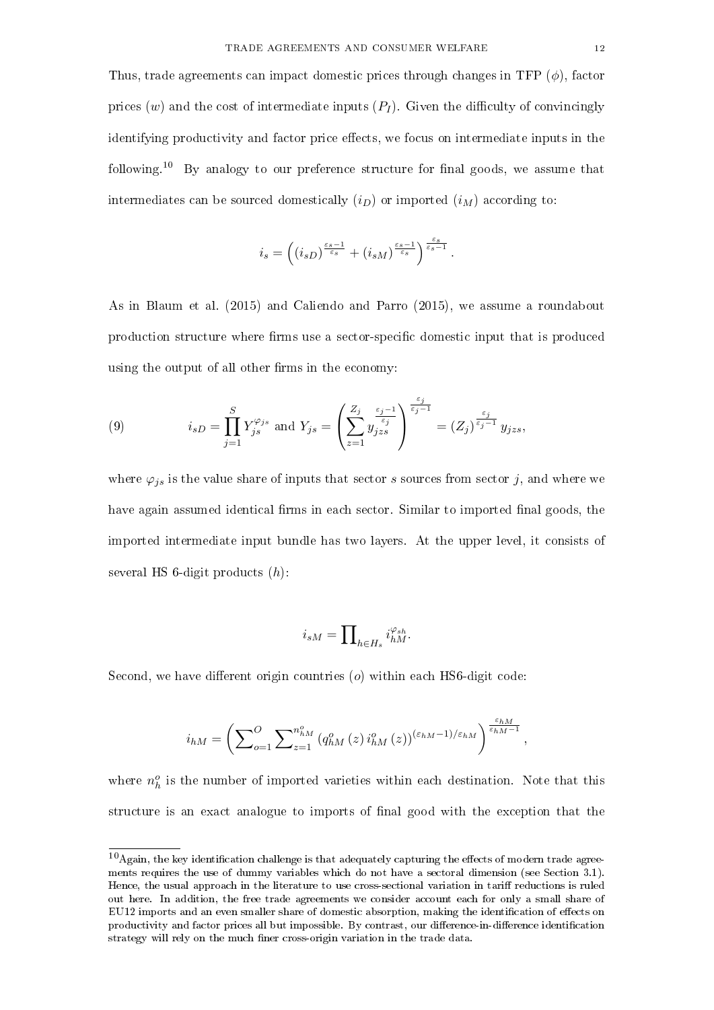Thus, trade agreements can impact domestic prices through changes in TFP  $(\phi)$ , factor prices (w) and the cost of intermediate inputs  $(P_I)$ . Given the difficulty of convincingly identifying productivity and factor price effects, we focus on intermediate inputs in the following.<sup>10</sup> By analogy to our preference structure for final goods, we assume that intermediates can be sourced domestically  $(i_D)$  or imported  $(i_M)$  according to:

$$
i_s=\left((i_{sD})^{\frac{\varepsilon_s-1}{\varepsilon_s}}+(i_{sM})^{\frac{\varepsilon_s-1}{\varepsilon_s}}\right)^{\frac{\varepsilon_s}{\varepsilon_s-1}}.
$$

As in Blaum et al. (2015) and Caliendo and Parro (2015), we assume a roundabout production structure where firms use a sector-specific domestic input that is produced using the output of all other firms in the economy:

(9) 
$$
i_{sD} = \prod_{j=1}^{S} Y_{js}^{\varphi_{js}} \text{ and } Y_{js} = \left(\sum_{z=1}^{Z_j} y_{jzs}^{\frac{\varepsilon_j - 1}{\varepsilon_j}}\right)^{\frac{\varepsilon_j}{\varepsilon_j - 1}} = (Z_j)^{\frac{\varepsilon_j}{\varepsilon_j - 1}} y_{jzs},
$$

where  $\varphi_{is}$  is the value share of inputs that sector s sources from sector j, and where we have again assumed identical firms in each sector. Similar to imported final goods, the imported intermediate input bundle has two layers. At the upper level, it consists of several HS 6-digit products  $(h)$ :

$$
i_{sM}=\prod\nolimits_{h\in H_s}i_{hM}^{\varphi_{sh}}.
$$

Second, we have different origin countries  $(o)$  within each HS6-digit code:

$$
i_{hM} = \left(\sum\nolimits_{o=1}^{O} \sum\nolimits_{z=1}^{n_{hM}^{o}} \left(q_{hM}^{o}\left(z\right) i_{hM}^{o}\left(z\right)\right)^{\left(\varepsilon_{hM}-1\right)/\varepsilon_{hM}}\right)^{\frac{\varepsilon_{hM}}{\varepsilon_{hM}-1}},
$$

where  $n_h^o$  is the number of imported varieties within each destination. Note that this structure is an exact analogue to imports of nal good with the exception that the

 $10$ Again, the key identification challenge is that adequately capturing the effects of modern trade agreements requires the use of dummy variables which do not have a sectoral dimension (see Section 3.1). Hence, the usual approach in the literature to use cross-sectional variation in tariff reductions is ruled out here. In addition, the free trade agreements we consider account each for only a small share of EU12 imports and an even smaller share of domestic absorption, making the identification of effects on productivity and factor prices all but impossible. By contrast, our difference-in-difference identification strategy will rely on the much finer cross-origin variation in the trade data.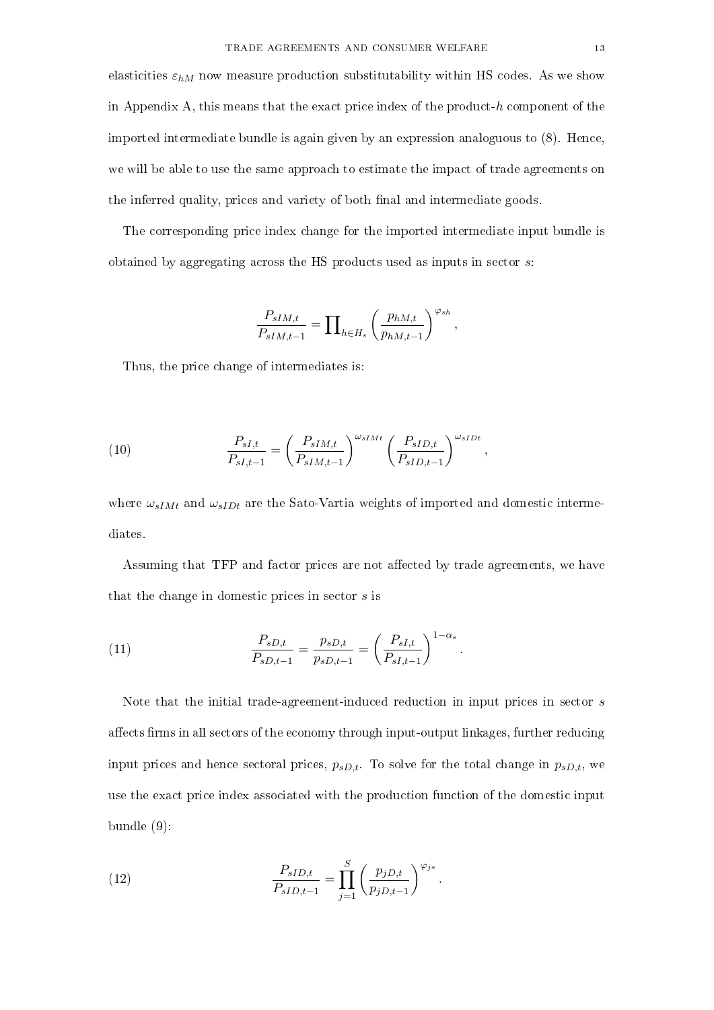elasticities  $\varepsilon_{hM}$  now measure production substitutability within HS codes. As we show in Appendix A, this means that the exact price index of the product- $h$  component of the imported intermediate bundle is again given by an expression analoguous to (8). Hence, we will be able to use the same approach to estimate the impact of trade agreements on the inferred quality, prices and variety of both final and intermediate goods.

The corresponding price index change for the imported intermediate input bundle is obtained by aggregating across the HS products used as inputs in sector  $s$ .

$$
\frac{P_{sIM,t}}{P_{sIM,t-1}} = \prod_{h \in H_s} \left(\frac{p_{hM,t}}{p_{hM,t-1}}\right)^{\varphi_{sh}},
$$

Thus, the price change of intermediates is:

(10) 
$$
\frac{P_{sI,t}}{P_{sI,t-1}} = \left(\frac{P_{sIM,t}}{P_{sIM,t-1}}\right)^{\omega_{sIMt}} \left(\frac{P_{sID,t}}{P_{sID,t-1}}\right)^{\omega_{sIDt}},
$$

where  $\omega_{sIMt}$  and  $\omega_{sIDt}$  are the Sato-Vartia weights of imported and domestic intermediates.

Assuming that TFP and factor prices are not affected by trade agreements, we have that the change in domestic prices in sector  $s$  is

(11) 
$$
\frac{P_{sD,t}}{P_{sD,t-1}} = \frac{p_{sD,t}}{p_{sD,t-1}} = \left(\frac{P_{sI,t}}{P_{sI,t-1}}\right)^{1-\alpha_s}.
$$

Note that the initial trade-agreement-induced reduction in input prices in sector s affects firms in all sectors of the economy through input-output linkages, further reducing input prices and hence sectoral prices,  $p_{sD,t}$ . To solve for the total change in  $p_{sD,t}$ , we use the exact price index associated with the production function of the domestic input bundle (9):

(12) 
$$
\frac{P_{sID,t}}{P_{sID,t-1}} = \prod_{j=1}^{S} \left( \frac{p_{jD,t}}{p_{jD,t-1}} \right)^{\varphi_{js}}.
$$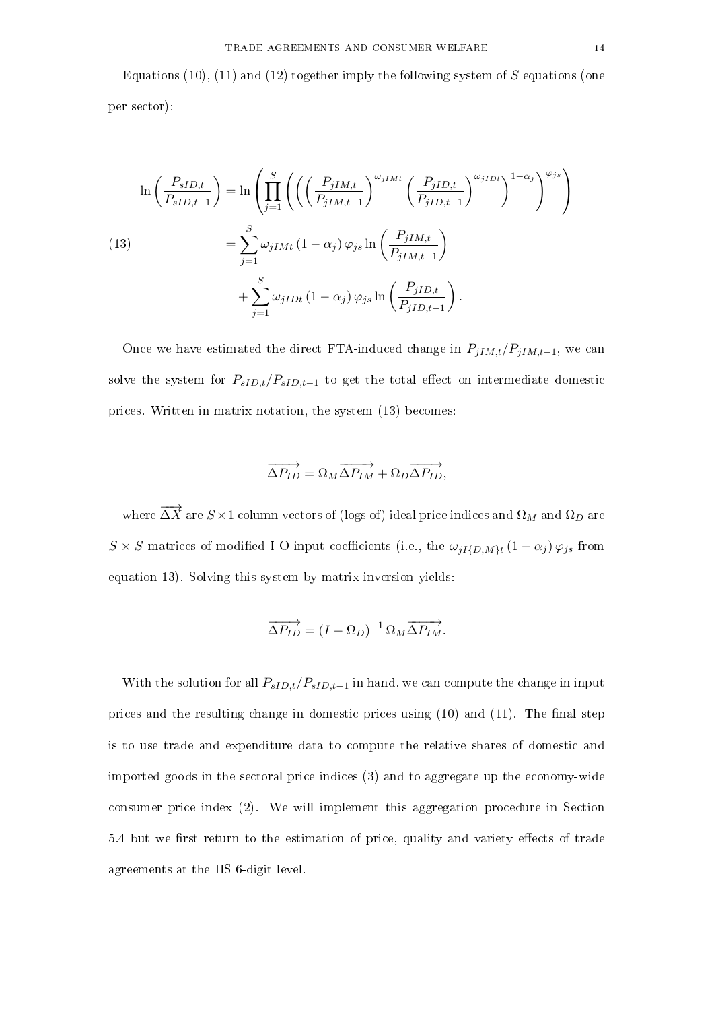Equations (10), (11) and (12) together imply the following system of  $S$  equations (one per sector):

$$
\ln\left(\frac{P_{sID,t}}{P_{sID,t-1}}\right) = \ln\left(\prod_{j=1}^{S}\left(\left(\left(\frac{P_{jIM,t}}{P_{jIM,t-1}}\right)^{\omega_{jIMt}}\left(\frac{P_{jID,t}}{P_{jID,t-1}}\right)^{\omega_{jIDt}}\right)^{1-\alpha_{j}}\right)^{\varphi_{js}}\right)
$$
\n
$$
= \sum_{j=1}^{S}\omega_{jIMt}\left(1-\alpha_{j}\right)\varphi_{js}\ln\left(\frac{P_{jIM,t}}{P_{jIM,t-1}}\right)
$$
\n
$$
+ \sum_{j=1}^{S}\omega_{jIDt}\left(1-\alpha_{j}\right)\varphi_{js}\ln\left(\frac{P_{jID,t}}{P_{jID,t-1}}\right).
$$

Once we have estimated the direct FTA-induced change in  $P_{jIM,t}/P_{jIM,t-1}$ , we can solve the system for  $P_{sID,t}/P_{sID,t-1}$  to get the total effect on intermediate domestic prices. Written in matrix notation, the system (13) becomes:

$$
\overrightarrow{\Delta P_{ID}} = \Omega_M \overrightarrow{\Delta P_{IM}} + \Omega_D \overrightarrow{\Delta P_{ID}},
$$

where  $\overrightarrow{\Delta X}$  are  $S\times 1$  column vectors of (logs of) ideal price indices and  $\Omega_M$  and  $\Omega_D$  are  $S \times S$  matrices of modified I-O input coefficients (i.e., the  $\omega_{jI\{D,M\}t}(1-\alpha_j)\varphi_{js}$  from equation 13). Solving this system by matrix inversion yields:

$$
\overrightarrow{\Delta P_{ID}} = (I - \Omega_D)^{-1} \Omega_M \overrightarrow{\Delta P_{IM}}.
$$

With the solution for all  $P_{sID,t}/P_{sID,t-1}$  in hand, we can compute the change in input prices and the resulting change in domestic prices using  $(10)$  and  $(11)$ . The final step is to use trade and expenditure data to compute the relative shares of domestic and imported goods in the sectoral price indices (3) and to aggregate up the economy-wide consumer price index (2). We will implement this aggregation procedure in Section 5.4 but we first return to the estimation of price, quality and variety effects of trade agreements at the HS 6-digit level.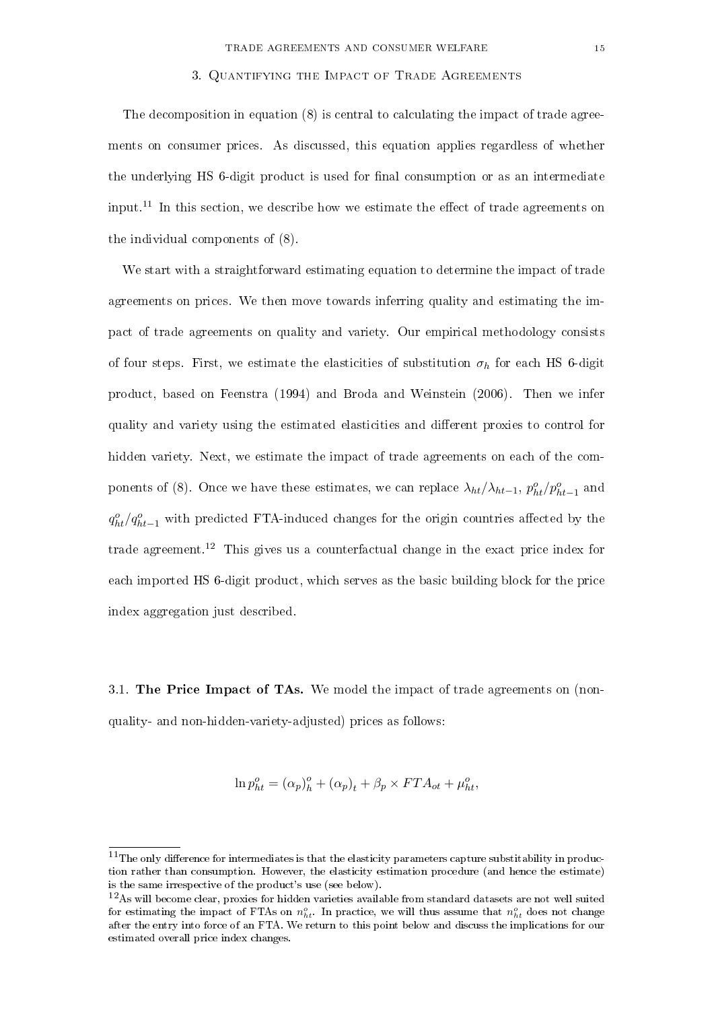#### 3. Quantifying the Impact of Trade Agreements

The decomposition in equation (8) is central to calculating the impact of trade agreements on consumer prices. As discussed, this equation applies regardless of whether the underlying HS 6-digit product is used for final consumption or as an intermediate input.<sup>11</sup> In this section, we describe how we estimate the effect of trade agreements on the individual components of (8).

We start with a straightforward estimating equation to determine the impact of trade agreements on prices. We then move towards inferring quality and estimating the impact of trade agreements on quality and variety. Our empirical methodology consists of four steps. First, we estimate the elasticities of substitution  $\sigma_h$  for each HS 6-digit product, based on Feenstra (1994) and Broda and Weinstein (2006). Then we infer quality and variety using the estimated elasticities and different proxies to control for hidden variety. Next, we estimate the impact of trade agreements on each of the components of (8). Once we have these estimates, we can replace  $\lambda_{ht}/\lambda_{ht-1}$ ,  $p_{ht}^o/p_{ht-1}^o$  and  $q_{ht}^o/q_{ht-1}^o$  with predicted FTA-induced changes for the origin countries affected by the trade agreement.<sup>12</sup> This gives us a counterfactual change in the exact price index for each imported HS 6-digit product, which serves as the basic building block for the price index aggregation just described.

3.1. The Price Impact of TAs. We model the impact of trade agreements on (nonquality- and non-hidden-variety-adjusted) prices as follows:

$$
\ln p_{ht}^o = (\alpha_p)_h^o + (\alpha_p)_t + \beta_p \times FTA_{ot} + \mu_{ht}^o,
$$

 $11$ The only difference for intermediates is that the elasticity parameters capture substitability in production rather than consumption. However, the elasticity estimation procedure (and hence the estimate) is the same irrespective of the product's use (see below).

<sup>12</sup>As will become clear, proxies for hidden varieties available from standard datasets are not well suited for estimating the impact of FTAs on  $n_{ht}^o$ . In practice, we will thus assume that  $n_{ht}^o$  does not change after the entry into force of an FTA. We return to this point below and discuss the implications for our estimated overall price index changes.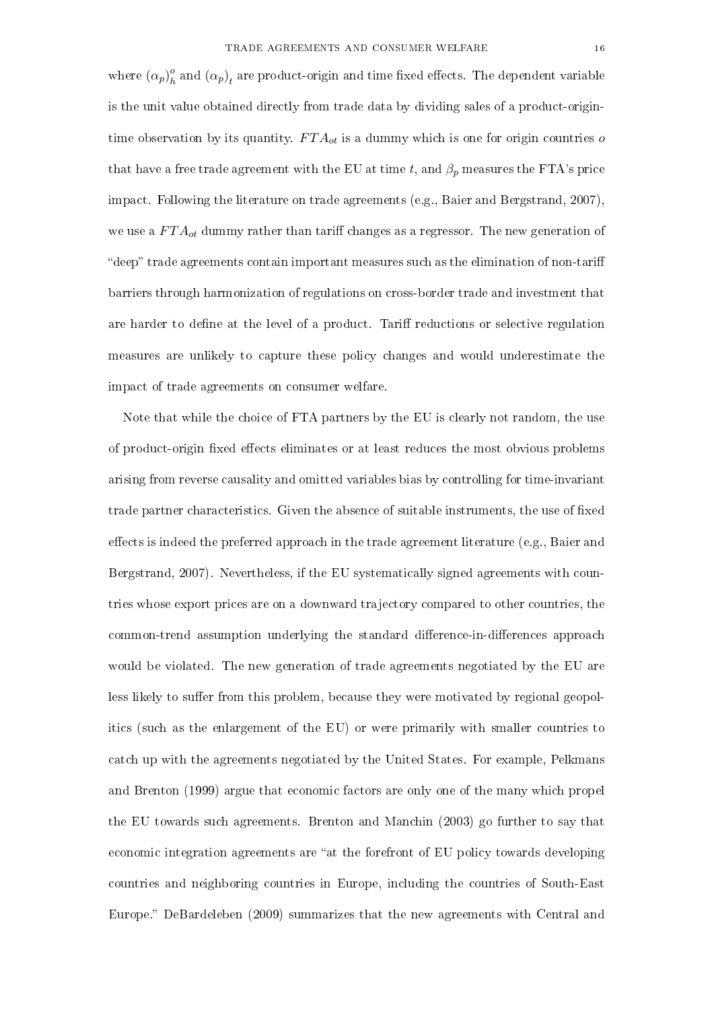where  $(\alpha_p)^o_h$  $\frac{a}{h}$  and  $\left(\alpha_p\right)_t$  are product-origin and time fixed effects. The dependent variable is the unit value obtained directly from trade data by dividing sales of a product-origintime observation by its quantity.  $FTA_{ot}$  is a dummy which is one for origin countries o that have a free trade agreement with the EU at time t, and  $\beta_p$  measures the FTA's price impact. Following the literature on trade agreements (e.g., Baier and Bergstrand, 2007), we use a  $FTA_{ot}$  dummy rather than tariff changes as a regressor. The new generation of "deep" trade agreements contain important measures such as the elimination of non-tariff barriers through harmonization of regulations on cross-border trade and investment that are harder to define at the level of a product. Tariff reductions or selective regulation measures are unlikely to capture these policy changes and would underestimate the impact of trade agreements on consumer welfare.

Note that while the choice of FTA partners by the EU is clearly not random, the use of product-origin fixed effects eliminates or at least reduces the most obvious problems arising from reverse causality and omitted variables bias by controlling for time-invariant trade partner characteristics. Given the absence of suitable instruments, the use of fixed effects is indeed the preferred approach in the trade agreement literature (e.g., Baier and Bergstrand, 2007). Nevertheless, if the EU systematically signed agreements with countries whose export prices are on a downward trajectory compared to other countries, the common-trend assumption underlying the standard difference-in-differences approach would be violated. The new generation of trade agreements negotiated by the EU are less likely to suffer from this problem, because they were motivated by regional geopolitics (such as the enlargement of the EU) or were primarily with smaller countries to catch up with the agreements negotiated by the United States. For example, Pelkmans and Brenton (1999) argue that economic factors are only one of the many which propel the EU towards such agreements. Brenton and Manchin (2003) go further to say that economic integration agreements are "at the forefront of EU policy towards developing countries and neighboring countries in Europe, including the countries of South-East Europe." DeBardeleben (2009) summarizes that the new agreements with Central and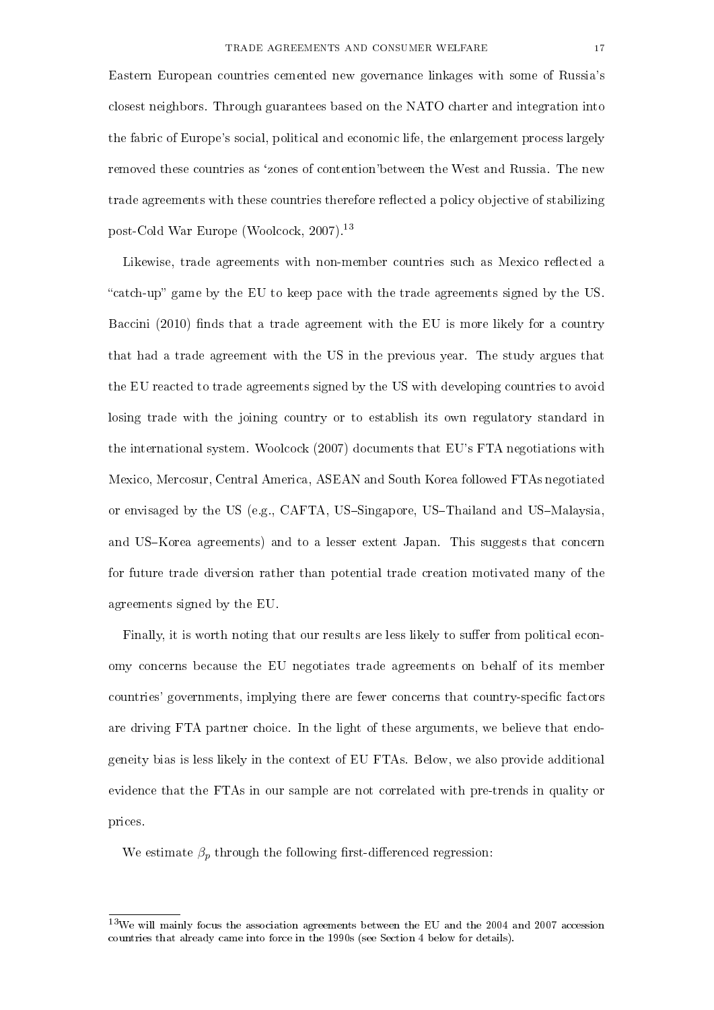Eastern European countries cemented new governance linkages with some of Russia's closest neighbors. Through guarantees based on the NATO charter and integration into the fabric of Europe's social, political and economic life, the enlargement process largely removed these countries as 'zones of contention'between the West and Russia. The new trade agreements with these countries therefore reflected a policy objective of stabilizing post-Cold War Europe (Woolcock, 2007).<sup>13</sup>

Likewise, trade agreements with non-member countries such as Mexico reflected a "catch-up" game by the EU to keep pace with the trade agreements signed by the US. Baccini  $(2010)$  finds that a trade agreement with the EU is more likely for a country that had a trade agreement with the US in the previous year. The study argues that the EU reacted to trade agreements signed by the US with developing countries to avoid losing trade with the joining country or to establish its own regulatory standard in the international system. Woolcock (2007) documents that EU's FTA negotiations with Mexico, Mercosur, Central America, ASEAN and South Korea followed FTAs negotiated or envisaged by the US (e.g., CAFTA, US-Singapore, US-Thailand and US-Malaysia, and US–Korea agreements) and to a lesser extent Japan. This suggests that concern for future trade diversion rather than potential trade creation motivated many of the agreements signed by the EU.

Finally, it is worth noting that our results are less likely to suffer from political economy concerns because the EU negotiates trade agreements on behalf of its member countries' governments, implying there are fewer concerns that country-specific factors are driving FTA partner choice. In the light of these arguments, we believe that endogeneity bias is less likely in the context of EU FTAs. Below, we also provide additional evidence that the FTAs in our sample are not correlated with pre-trends in quality or prices.

We estimate  $\beta_p$  through the following first-differenced regression:

 $13$ We will mainly focus the association agreements between the EU and the 2004 and 2007 accession countries that already came into force in the 1990s (see Section 4 below for details).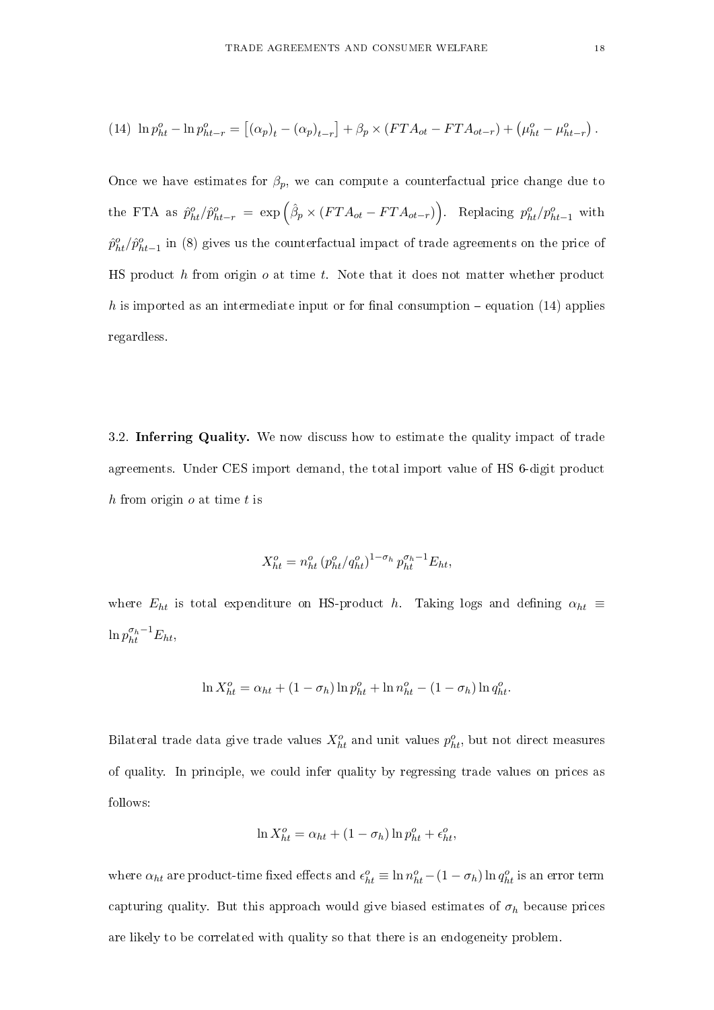(14) 
$$
\ln p_{ht}^o - \ln p_{ht-r}^o = [(\alpha_p)_t - (\alpha_p)_{t-r}] + \beta_p \times (FTA_{ot} - FTA_{ot-r}) + (\mu_{ht}^o - \mu_{ht-r}^o).
$$

Once we have estimates for  $\beta_p$ , we can compute a counterfactual price change due to the FTA as  $\hat{p}_{ht}^o / \hat{p}_{ht-r}^o = \exp\left(\hat{\beta}_p \times (FTA_{ot} - FTA_{ot-r})\right)$ . Replacing  $p_{ht}^o / p_{ht-1}^o$  with  $\hat{p}^o_{ht}/\hat{p}^o_{ht-1}$  in (8) gives us the counterfactual impact of trade agreements on the price of HS product  $h$  from origin  $o$  at time  $t$ . Note that it does not matter whether product h is imported as an intermediate input or for final consumption  $-$  equation (14) applies regardless.

3.2. Inferring Quality. We now discuss how to estimate the quality impact of trade agreements. Under CES import demand, the total import value of HS 6-digit product h from origin  $o$  at time  $t$  is

$$
X_{ht}^{o} = n_{ht}^{o} (p_{ht}^{o}/q_{ht}^{o})^{1-\sigma_h} p_{ht}^{\sigma_h-1} E_{ht},
$$

where  $E_{ht}$  is total expenditure on HS-product h. Taking logs and defining  $\alpha_{ht} \equiv$  $\ln p_{ht}^{\sigma_h-1}E_{ht},$ 

$$
\ln X_{ht}^{o} = \alpha_{ht} + (1 - \sigma_h) \ln p_{ht}^{o} + \ln n_{ht}^{o} - (1 - \sigma_h) \ln q_{ht}^{o}.
$$

Bilateral trade data give trade values  $X_{ht}^o$  and unit values  $p_{ht}^o$ , but not direct measures of quality. In principle, we could infer quality by regressing trade values on prices as follows:

$$
\ln X_{ht}^o = \alpha_{ht} + (1 - \sigma_h) \ln p_{ht}^o + \epsilon_{ht}^o,
$$

where  $\alpha_{ht}$  are product-time fixed effects and  $\epsilon_{ht}^o \equiv \ln n_{ht}^o - (1 - \sigma_h) \ln q_{ht}^o$  is an error term capturing quality. But this approach would give biased estimates of  $\sigma_h$  because prices are likely to be correlated with quality so that there is an endogeneity problem.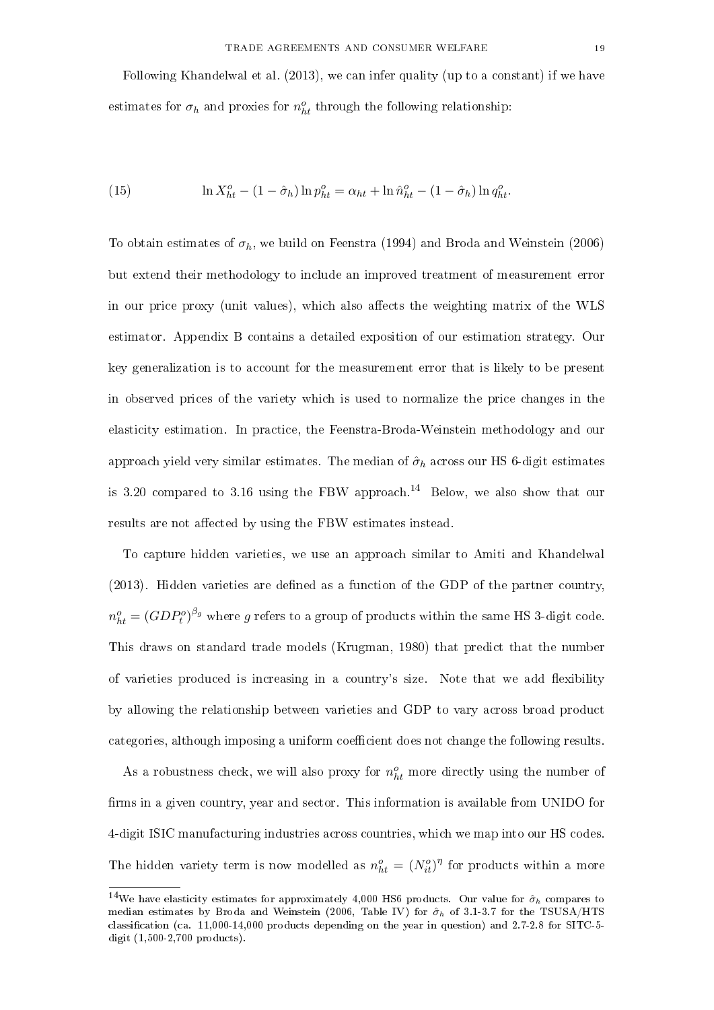Following Khandelwal et al. (2013), we can infer quality (up to a constant) if we have estimates for  $\sigma_h$  and proxies for  $n_h^o$  through the following relationship:

(15) 
$$
\ln X_{ht}^{o} - (1 - \hat{\sigma}_{h}) \ln p_{ht}^{o} = \alpha_{ht} + \ln \hat{n}_{ht}^{o} - (1 - \hat{\sigma}_{h}) \ln q_{ht}^{o}.
$$

To obtain estimates of  $\sigma_h$ , we build on Feenstra (1994) and Broda and Weinstein (2006) but extend their methodology to include an improved treatment of measurement error in our price proxy (unit values), which also affects the weighting matrix of the WLS estimator. Appendix B contains a detailed exposition of our estimation strategy. Our key generalization is to account for the measurement error that is likely to be present in observed prices of the variety which is used to normalize the price changes in the elasticity estimation. In practice, the Feenstra-Broda-Weinstein methodology and our approach yield very similar estimates. The median of  $\hat{\sigma}_h$  across our HS 6-digit estimates is 3.20 compared to 3.16 using the FBW approach.<sup>14</sup> Below, we also show that our results are not affected by using the FBW estimates instead.

To capture hidden varieties, we use an approach similar to Amiti and Khandelwal (2013). Hidden varieties are dened as a function of the GDP of the partner country,  $n_{ht}^o = (GDP_t^o)^{\beta_g}$  where  $g$  refers to a group of products within the same HS 3-digit code. This draws on standard trade models (Krugman, 1980) that predict that the number of varieties produced is increasing in a country's size. Note that we add exibility by allowing the relationship between varieties and GDP to vary across broad product categories, although imposing a uniform coefficient does not change the following results.

As a robustness check, we will also proxy for  $n_{ht}^o$  more directly using the number of firms in a given country, year and sector. This information is available from UNIDO for 4-digit ISIC manufacturing industries across countries, which we map into our HS codes. The hidden variety term is now modelled as  $n_{ht}^o = (N_{it}^o)^\eta$  for products within a more

<sup>&</sup>lt;sup>14</sup>We have elasticity estimates for approximately 4,000 HS6 products. Our value for  $\hat{\sigma}_h$  compares to median estimates by Broda and Weinstein (2006, Table IV) for  $\hat{\sigma}_h$  of 3.1-3.7 for the TSUSA/HTS classification (ca.  $11,000-14,000$  products depending on the year in question) and  $2.7-2.8$  for SITC-5digit (1,500-2,700 products).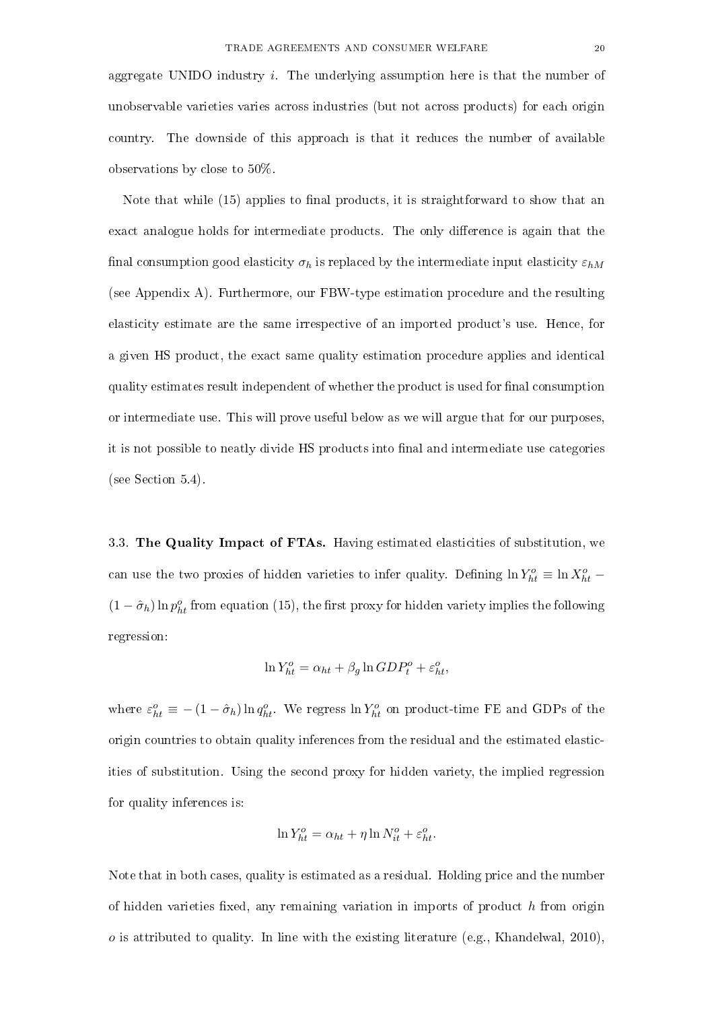aggregate UNIDO industry  $i$ . The underlying assumption here is that the number of unobservable varieties varies across industries (but not across products) for each origin country. The downside of this approach is that it reduces the number of available observations by close to 50%.

Note that while (15) applies to final products, it is straightforward to show that an exact analogue holds for intermediate products. The only difference is again that the final consumption good elasticity  $\sigma_h$  is replaced by the intermediate input elasticity  $\varepsilon_{hM}$ (see Appendix A). Furthermore, our FBW-type estimation procedure and the resulting elasticity estimate are the same irrespective of an imported product's use. Hence, for a given HS product, the exact same quality estimation procedure applies and identical quality estimates result independent of whether the product is used for final consumption or intermediate use. This will prove useful below as we will argue that for our purposes, it is not possible to neatly divide HS products into final and intermediate use categories (see Section 5.4).

3.3. The Quality Impact of FTAs. Having estimated elasticities of substitution, we can use the two proxies of hidden varieties to infer quality. Defining  $\ln Y_{ht}^o \equiv \ln X_{ht}^o$  –  $(1 - \hat{\sigma}_h) \ln p_{ht}^o$  from equation (15), the first proxy for hidden variety implies the following regression:

$$
\ln Y_{ht}^o = \alpha_{ht} + \beta_g \ln GDP_t^o + \varepsilon_{ht}^o,
$$

where  $\varepsilon_{ht}^o \equiv -(1-\hat{\sigma}_h) \ln q_{ht}^o$ . We regress  $\ln Y_{ht}^o$  on product-time FE and GDPs of the origin countries to obtain quality inferences from the residual and the estimated elasticities of substitution. Using the second proxy for hidden variety, the implied regression for quality inferences is:

$$
\ln Y_{ht}^o = \alpha_{ht} + \eta \ln N_{it}^o + \varepsilon_{ht}^o.
$$

Note that in both cases, quality is estimated as a residual. Holding price and the number of hidden varieties fixed, any remaining variation in imports of product  $h$  from origin  $o$  is attributed to quality. In line with the existing literature (e.g., Khandelwal, 2010),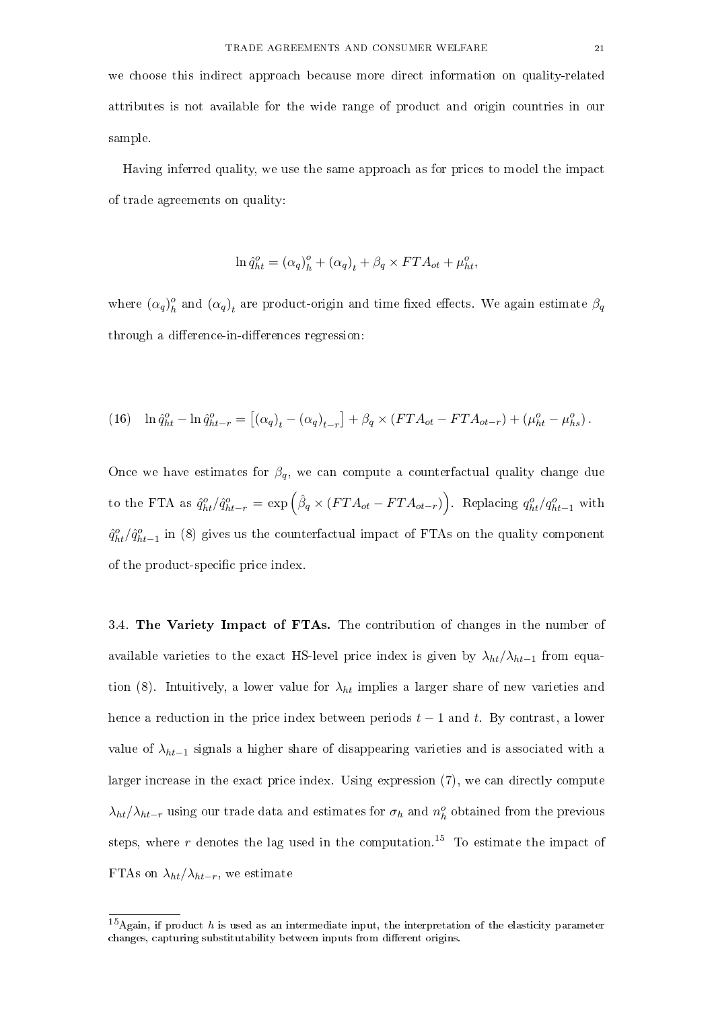we choose this indirect approach because more direct information on quality-related attributes is not available for the wide range of product and origin countries in our sample.

Having inferred quality, we use the same approach as for prices to model the impact of trade agreements on quality:

$$
\ln \hat{q}_{ht}^o = (\alpha_q)_h^o + (\alpha_q)_t + \beta_q \times FTA_{ot} + \mu_{ht}^o,
$$

where  $(\alpha_q)_h^o$  $\frac{a}{h}$  and  $(\alpha_q)_t$  are product-origin and time fixed effects. We again estimate  $\beta_q$ through a difference-in-differences regression:

(16) 
$$
\ln \hat{q}_{ht}^o - \ln \hat{q}_{ht-r}^o = [(\alpha_q)_t - (\alpha_q)_{t-r}] + \beta_q \times (FTA_{ot} - FTA_{ot-r}) + (\mu_{ht}^o - \mu_{hs}^o).
$$

Once we have estimates for  $\beta_q$ , we can compute a counterfactual quality change due to the FTA as  $\hat{q}_{ht}^o / \hat{q}_{ht-r}^o = \exp \left( \hat{\beta}_q \times (FTA_{ot} - FTA_{ot-r}) \right)$ . Replacing  $q_{ht}^o / q_{ht-1}^o$  with  $\hat{q}^o_{ht}/\hat{q}^o_{ht-1}$  in (8) gives us the counterfactual impact of FTAs on the quality component of the product-specific price index.

3.4. The Variety Impact of FTAs. The contribution of changes in the number of available varieties to the exact HS-level price index is given by  $\lambda_{ht}/\lambda_{ht-1}$  from equation (8). Intuitively, a lower value for  $\lambda_{ht}$  implies a larger share of new varieties and hence a reduction in the price index between periods  $t - 1$  and t. By contrast, a lower value of  $\lambda_{ht-1}$  signals a higher share of disappearing varieties and is associated with a larger increase in the exact price index. Using expression (7), we can directly compute  $\lambda_{ht}/\lambda_{ht-r}$  using our trade data and estimates for  $\sigma_h$  and  $n_h^o$  obtained from the previous steps, where  $r$  denotes the lag used in the computation.<sup>15</sup> To estimate the impact of FTAs on  $\lambda_{ht}/\lambda_{ht-r}$ , we estimate

 $15$ Again, if product h is used as an intermediate input, the interpretation of the elasticity parameter changes, capturing substitutability between inputs from different origins.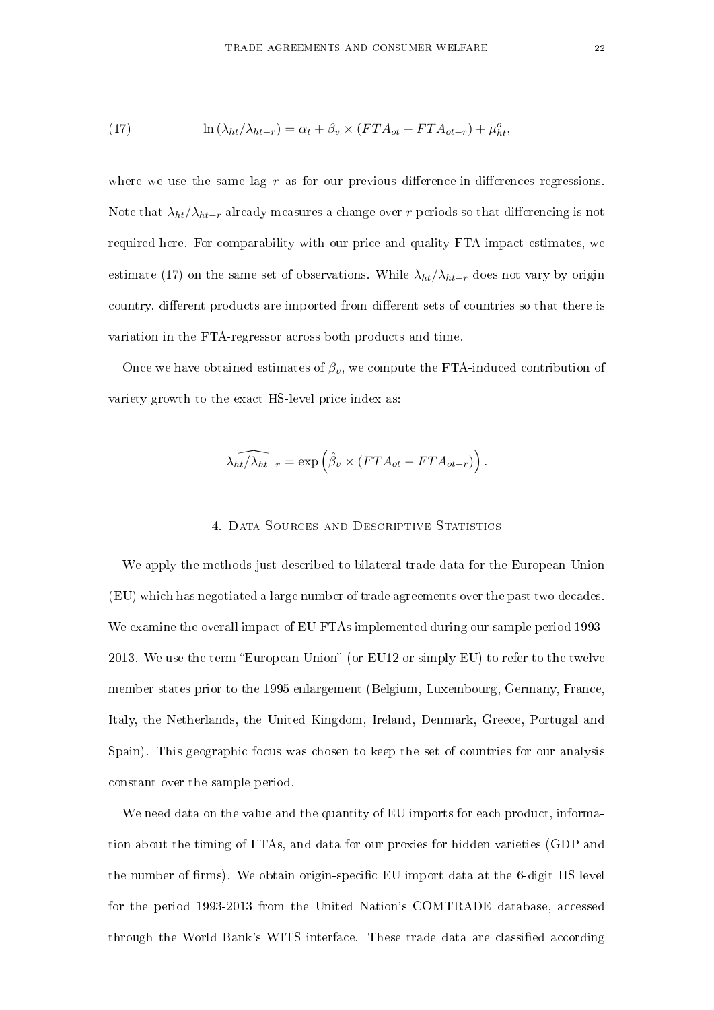(17) 
$$
\ln(\lambda_{ht}/\lambda_{ht-r}) = \alpha_t + \beta_v \times (FTA_{ot} - FTA_{ot-r}) + \mu_{ht}^o,
$$

where we use the same lag  $r$  as for our previous difference-in-differences regressions. Note that  $\lambda_{ht}/\lambda_{ht-r}$  already measures a change over r periods so that differencing is not required here. For comparability with our price and quality FTA-impact estimates, we estimate (17) on the same set of observations. While  $\lambda_{ht}/\lambda_{ht-r}$  does not vary by origin country, different products are imported from different sets of countries so that there is variation in the FTA-regressor across both products and time.

Once we have obtained estimates of  $\beta_v$ , we compute the FTA-induced contribution of variety growth to the exact HS-level price index as:

$$
\widehat{\lambda_{ht}/\lambda_{ht-r}} = \exp\left(\widehat{\beta}_v \times (FTA_{ot} - FTA_{ot-r})\right).
$$

#### 4. Data Sources and Descriptive Statistics

We apply the methods just described to bilateral trade data for the European Union (EU) which has negotiated a large number of trade agreements over the past two decades. We examine the overall impact of EU FTAs implemented during our sample period 1993- 2013. We use the term "European Union" (or EU12 or simply EU) to refer to the twelve member states prior to the 1995 enlargement (Belgium, Luxembourg, Germany, France, Italy, the Netherlands, the United Kingdom, Ireland, Denmark, Greece, Portugal and Spain). This geographic focus was chosen to keep the set of countries for our analysis constant over the sample period.

We need data on the value and the quantity of EU imports for each product, information about the timing of FTAs, and data for our proxies for hidden varieties (GDP and the number of firms). We obtain origin-specific EU import data at the 6-digit HS level for the period 1993-2013 from the United Nation's COMTRADE database, accessed through the World Bank's WITS interface. These trade data are classified according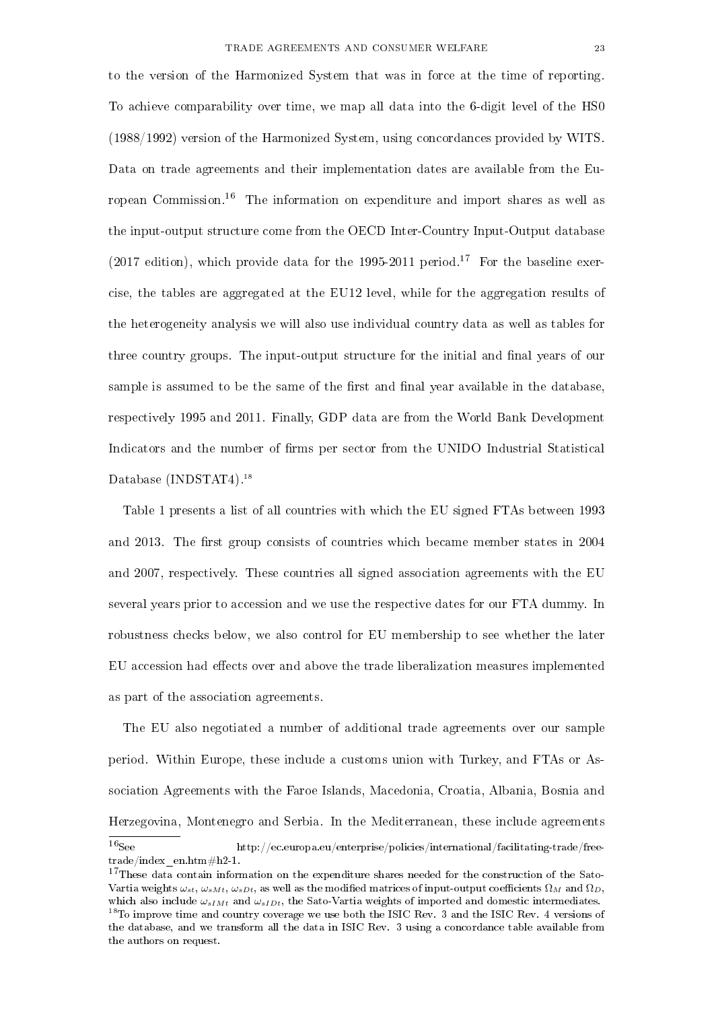to the version of the Harmonized System that was in force at the time of reporting. To achieve comparability over time, we map all data into the 6-digit level of the HS0 (1988/1992) version of the Harmonized System, using concordances provided by WITS. Data on trade agreements and their implementation dates are available from the European Commission.<sup>16</sup> The information on expenditure and import shares as well as the input-output structure come from the OECD Inter-Country Input-Output database (2017 edition), which provide data for the 1995-2011 period.<sup>17</sup> For the baseline exercise, the tables are aggregated at the EU12 level, while for the aggregation results of the heterogeneity analysis we will also use individual country data as well as tables for three country groups. The input-output structure for the initial and final years of our sample is assumed to be the same of the first and final year available in the database, respectively 1995 and 2011. Finally, GDP data are from the World Bank Development Indicators and the number of firms per sector from the UNIDO Industrial Statistical Database (INDSTAT4).<sup>18</sup>

Table 1 presents a list of all countries with which the EU signed FTAs between 1993 and 2013. The first group consists of countries which became member states in 2004 and 2007, respectively. These countries all signed association agreements with the EU several years prior to accession and we use the respective dates for our FTA dummy. In robustness checks below, we also control for EU membership to see whether the later EU accession had effects over and above the trade liberalization measures implemented as part of the association agreements.

The EU also negotiated a number of additional trade agreements over our sample period. Within Europe, these include a customs union with Turkey, and FTAs or Association Agreements with the Faroe Islands, Macedonia, Croatia, Albania, Bosnia and Herzegovina, Montenegro and Serbia. In the Mediterranean, these include agreements <sup>16</sup>See http://ec.europa.eu/enterprise/policies/international/facilitating-trade/freetrade/index\_en.htm#h2-1.

<sup>&</sup>lt;sup>17</sup>These data contain information on the expenditure shares needed for the construction of the Sato-Vartia weights  $\omega_{st}$ ,  $\omega_{sMt}$ ,  $\omega_{sDt}$ , as well as the modified matrices of input-output coefficients  $\Omega_M$  and  $\Omega_D$ , which also include  $\omega_{sIMt}$  and  $\omega_{sIDt}$ , the Sato-Vartia weights of imported and domestic intermediates. <sup>18</sup>To improve time and country coverage we use both the ISIC Rev. 3 and the ISIC Rev. 4 versions of the database, and we transform all the data in ISIC Rev. 3 using a concordance table available from the authors on request.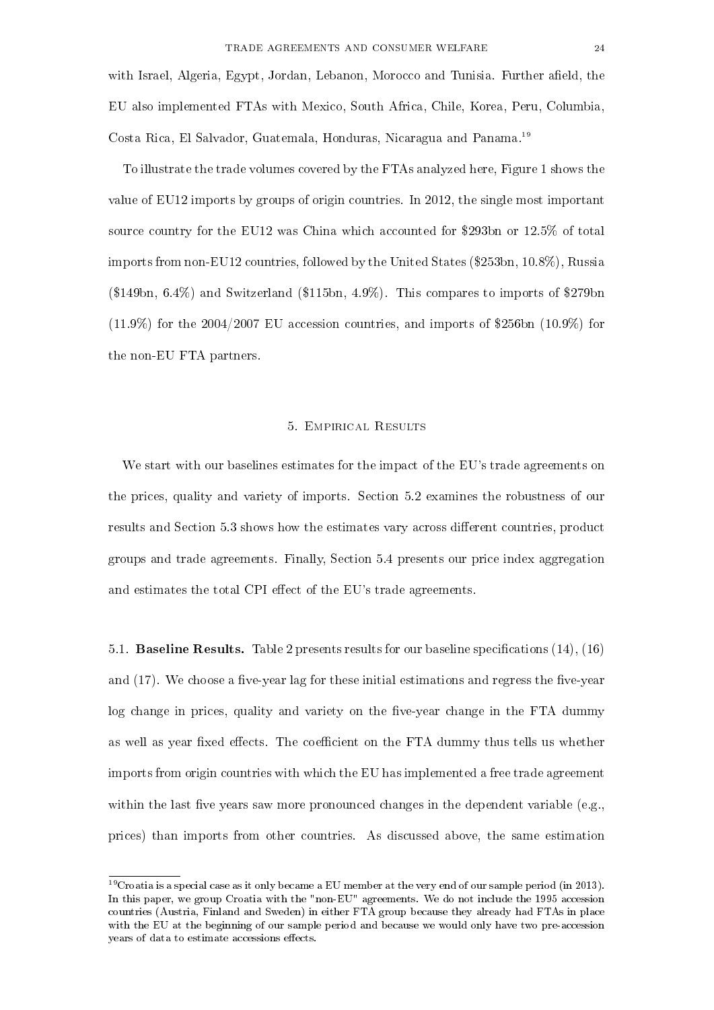with Israel, Algeria, Egypt, Jordan, Lebanon, Morocco and Tunisia. Further afield, the EU also implemented FTAs with Mexico, South Africa, Chile, Korea, Peru, Columbia, Costa Rica, El Salvador, Guatemala, Honduras, Nicaragua and Panama.<sup>19</sup>

To illustrate the trade volumes covered by the FTAs analyzed here, Figure 1 shows the value of EU12 imports by groups of origin countries. In 2012, the single most important source country for the EU12 was China which accounted for \$293bn or 12.5% of total imports from non-EU12 countries, followed by the United States (\$253bn, 10.8%), Russia (\$149bn, 6.4%) and Switzerland (\$115bn, 4.9%). This compares to imports of \$279bn  $(11.9\%)$  for the 2004/2007 EU accession countries, and imports of \$256bn  $(10.9\%)$  for the non-EU FTA partners.

#### 5. Empirical Results

We start with our baselines estimates for the impact of the EU's trade agreements on the prices, quality and variety of imports. Section 5.2 examines the robustness of our results and Section 5.3 shows how the estimates vary across different countries, product groups and trade agreements. Finally, Section 5.4 presents our price index aggregation and estimates the total CPI effect of the EU's trade agreements.

5.1. **Baseline Results.** Table 2 presents results for our baseline specifications  $(14)$ ,  $(16)$ and  $(17)$ . We choose a five-year lag for these initial estimations and regress the five-year log change in prices, quality and variety on the five-year change in the FTA dummy as well as year fixed effects. The coefficient on the FTA dummy thus tells us whether imports from origin countries with which the EU has implemented a free trade agreement within the last five years saw more pronounced changes in the dependent variable (e.g., prices) than imports from other countries. As discussed above, the same estimation

<sup>&</sup>lt;sup>19</sup>Croatia is a special case as it only became a EU member at the very end of our sample period (in 2013). In this paper, we group Croatia with the "non-EU" agreements. We do not include the 1995 accession countries (Austria, Finland and Sweden) in either FTA group because they already had FTAs in place with the EU at the beginning of our sample period and because we would only have two pre-accession years of data to estimate accessions effects.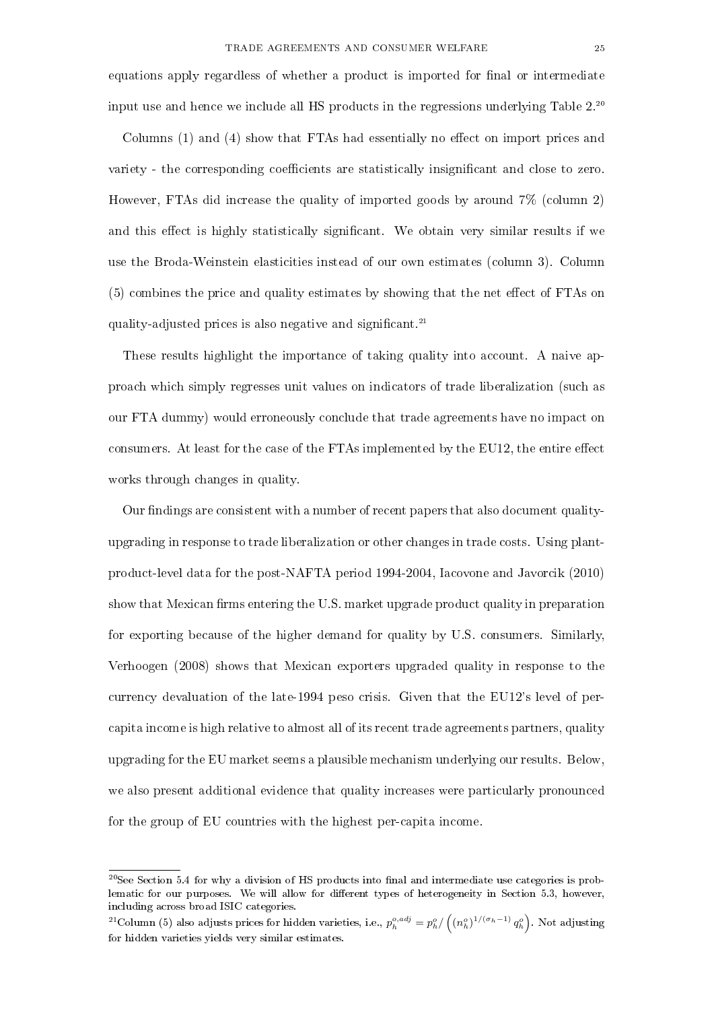equations apply regardless of whether a product is imported for final or intermediate input use and hence we include all HS products in the regressions underlying Table  $2^{20}$ 

Columns  $(1)$  and  $(4)$  show that FTAs had essentially no effect on import prices and variety - the corresponding coefficients are statistically insignificant and close to zero. However, FTAs did increase the quality of imported goods by around 7% (column 2) and this effect is highly statistically significant. We obtain very similar results if we use the Broda-Weinstein elasticities instead of our own estimates (column 3). Column  $(5)$  combines the price and quality estimates by showing that the net effect of FTAs on quality-adjusted prices is also negative and significant.<sup>21</sup>

These results highlight the importance of taking quality into account. A naive approach which simply regresses unit values on indicators of trade liberalization (such as our FTA dummy) would erroneously conclude that trade agreements have no impact on consumers. At least for the case of the  $FTAs$  implemented by the  $EU12$ , the entire effect works through changes in quality.

Our findings are consistent with a number of recent papers that also document qualityupgrading in response to trade liberalization or other changes in trade costs. Using plantproduct-level data for the post-NAFTA period 1994-2004, Iacovone and Javorcik (2010) show that Mexican firms entering the U.S. market upgrade product quality in preparation for exporting because of the higher demand for quality by U.S. consumers. Similarly, Verhoogen (2008) shows that Mexican exporters upgraded quality in response to the currency devaluation of the late-1994 peso crisis. Given that the EU12's level of percapita income is high relative to almost all of its recent trade agreements partners, quality upgrading for the EU market seems a plausible mechanism underlying our results. Below, we also present additional evidence that quality increases were particularly pronounced for the group of EU countries with the highest per-capita income.

 $20$ See Section 5.4 for why a division of HS products into final and intermediate use categories is problematic for our purposes. We will allow for different types of heterogeneity in Section 5.3, however, including across broad ISIC categories.

<sup>&</sup>lt;sup>21</sup>Column (5) also adjusts prices for hidden varieties, i.e.,  $p_h^{o,adj} = p_h^o / \left( (n_h^o)^{1/(\sigma_h - 1)} q_h^o \right)$ . Not adjusting for hidden varieties yields very similar estimates.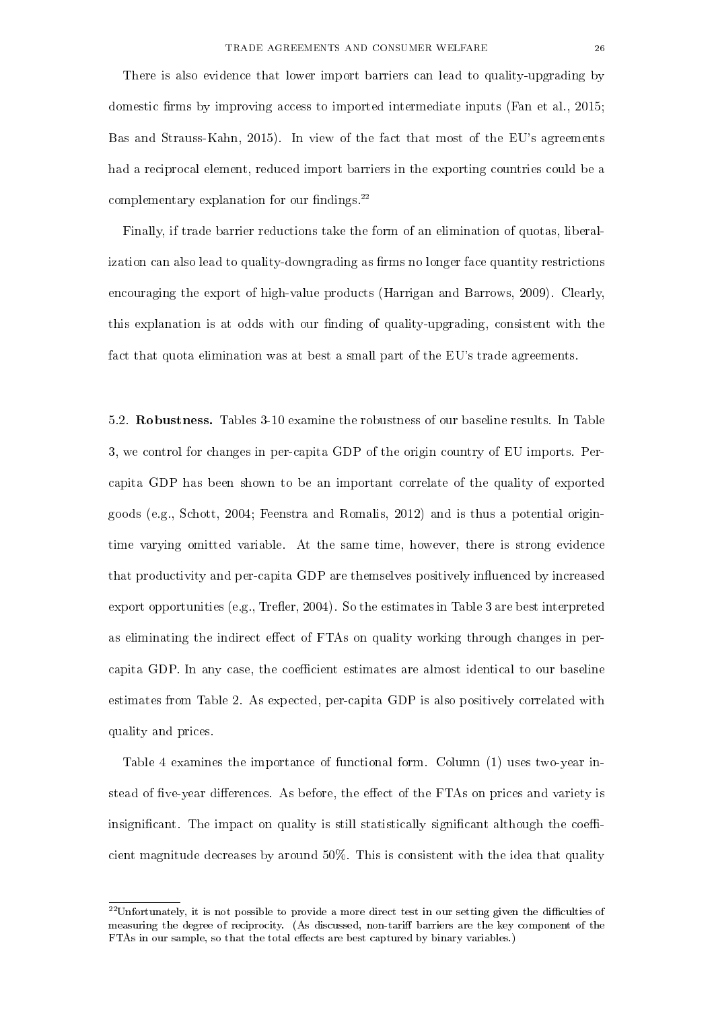There is also evidence that lower import barriers can lead to quality-upgrading by domestic firms by improving access to imported intermediate inputs (Fan et al.,  $2015$ ; Bas and Strauss-Kahn, 2015). In view of the fact that most of the EU's agreements had a reciprocal element, reduced import barriers in the exporting countries could be a complementary explanation for our findings. $22$ 

Finally, if trade barrier reductions take the form of an elimination of quotas, liberalization can also lead to quality-downgrading as firms no longer face quantity restrictions encouraging the export of high-value products (Harrigan and Barrows, 2009). Clearly, this explanation is at odds with our finding of quality-upgrading, consistent with the fact that quota elimination was at best a small part of the EU's trade agreements.

5.2. Robustness. Tables 3-10 examine the robustness of our baseline results. In Table 3, we control for changes in per-capita GDP of the origin country of EU imports. Percapita GDP has been shown to be an important correlate of the quality of exported goods (e.g., Schott, 2004; Feenstra and Romalis, 2012) and is thus a potential origintime varying omitted variable. At the same time, however, there is strong evidence that productivity and per-capita GDP are themselves positively influenced by increased export opportunities (e.g., Trefler, 2004). So the estimates in Table 3 are best interpreted as eliminating the indirect effect of FTAs on quality working through changes in percapita GDP. In any case, the coefficient estimates are almost identical to our baseline estimates from Table 2. As expected, per-capita GDP is also positively correlated with quality and prices.

Table 4 examines the importance of functional form. Column (1) uses two-year instead of five-year differences. As before, the effect of the FTAs on prices and variety is insignificant. The impact on quality is still statistically significant although the coefficient magnitude decreases by around 50%. This is consistent with the idea that quality

 $^{22}$ Unfortunately, it is not possible to provide a more direct test in our setting given the difficulties of measuring the degree of reciprocity. (As discussed, non-tariff barriers are the key component of the FTAs in our sample, so that the total effects are best captured by binary variables.)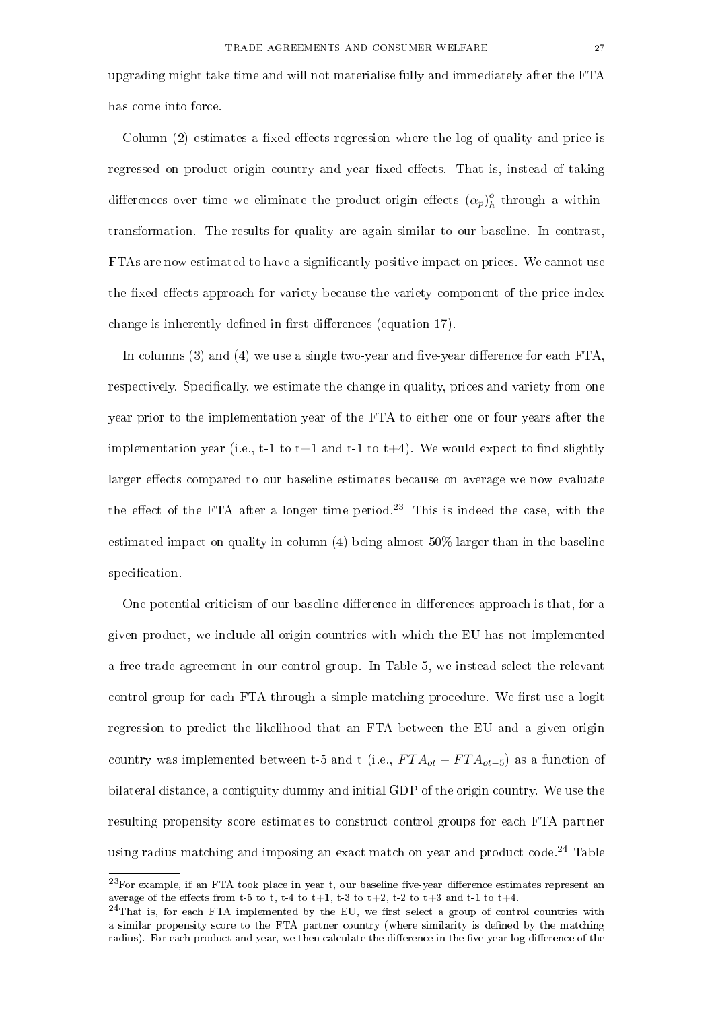upgrading might take time and will not materialise fully and immediately after the FTA has come into force.

Column  $(2)$  estimates a fixed-effects regression where the log of quality and price is regressed on product-origin country and year fixed effects. That is, instead of taking differences over time we eliminate the product-origin effects  $(\alpha_p)_k^o$  $\frac{1}{h}$  through a withintransformation. The results for quality are again similar to our baseline. In contrast, FTAs are now estimated to have a signicantly positive impact on prices. We cannot use the fixed effects approach for variety because the variety component of the price index change is inherently defined in first differences (equation 17).

In columns  $(3)$  and  $(4)$  we use a single two-year and five-year difference for each FTA, respectively. Specifically, we estimate the change in quality, prices and variety from one year prior to the implementation year of the FTA to either one or four years after the implementation year (i.e., t-1 to t+1 and t-1 to t+4). We would expect to find slightly larger effects compared to our baseline estimates because on average we now evaluate the effect of the FTA after a longer time period.<sup>23</sup> This is indeed the case, with the estimated impact on quality in column  $(4)$  being almost 50% larger than in the baseline specification.

One potential criticism of our baseline difference-in-differences approach is that, for a given product, we include all origin countries with which the EU has not implemented a free trade agreement in our control group. In Table 5, we instead select the relevant control group for each FTA through a simple matching procedure. We first use a logit regression to predict the likelihood that an FTA between the EU and a given origin country was implemented between t-5 and t (i.e.,  $FTA_{ot} - FTA_{ot-5}$ ) as a function of bilateral distance, a contiguity dummy and initial GDP of the origin country. We use the resulting propensity score estimates to construct control groups for each FTA partner using radius matching and imposing an exact match on year and product code.<sup>24</sup> Table

 $^{23}$ For example, if an FTA took place in year t, our baseline five-year difference estimates represent an average of the effects from t-5 to t, t-4 to t+1, t-3 to t+2, t-2 to t+3 and t-1 to t+4.

 $^{24}$ That is, for each FTA implemented by the EU, we first select a group of control countries with a similar propensity score to the FTA partner country (where similarity is defined by the matching radius). For each product and year, we then calculate the difference in the five-year log difference of the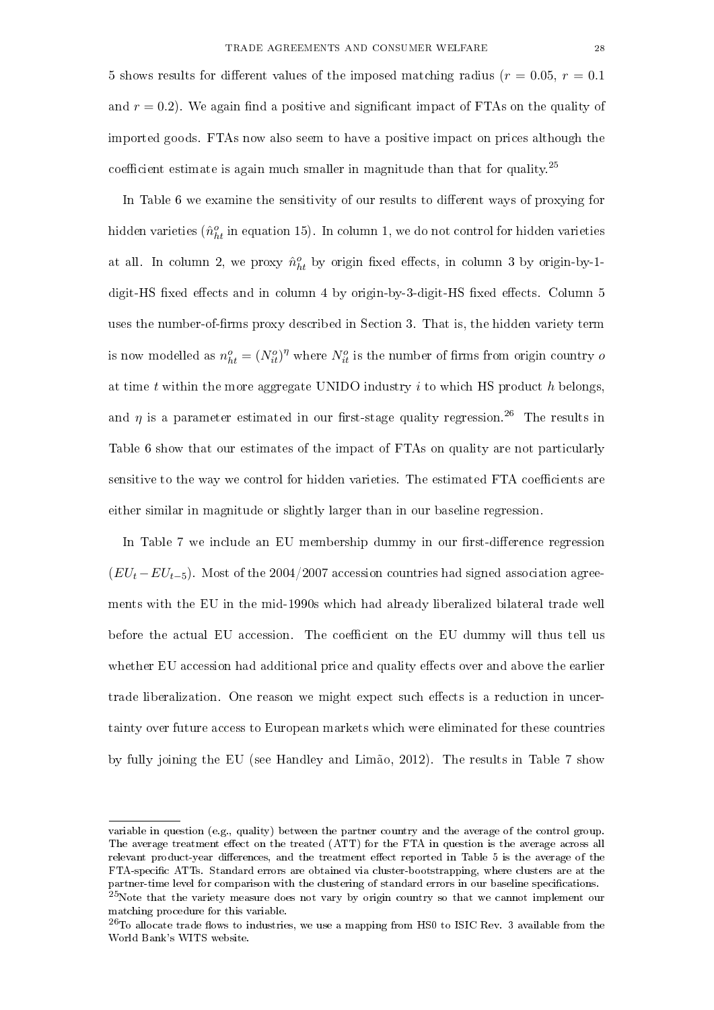5 shows results for different values of the imposed matching radius ( $r = 0.05, r = 0.1$ ) and  $r = 0.2$ ). We again find a positive and significant impact of FTAs on the quality of imported goods. FTAs now also seem to have a positive impact on prices although the coefficient estimate is again much smaller in magnitude than that for quality.<sup>25</sup>

In Table 6 we examine the sensitivity of our results to different ways of proxying for hidden varieties ( $\hat{n}^o_{ht}$  in equation 15). In column 1, we do not control for hidden varieties at all. In column 2, we proxy  $\hat{n}_{ht}^o$  by origin fixed effects, in column 3 by origin-by-1digit-HS fixed effects and in column 4 by origin-by-3-digit-HS fixed effects. Column 5 uses the number-of-firms proxy described in Section 3. That is, the hidden variety term is now modelled as  $n_{ht}^o = (N_{it}^o)^\eta$  where  $N_{it}^o$  is the number of firms from origin country of at time t within the more aggregate UNIDO industry  $i$  to which HS product  $h$  belongs, and  $\eta$  is a parameter estimated in our first-stage quality regression.<sup>26</sup> The results in Table 6 show that our estimates of the impact of FTAs on quality are not particularly sensitive to the way we control for hidden varieties. The estimated FTA coefficients are either similar in magnitude or slightly larger than in our baseline regression.

In Table 7 we include an EU membership dummy in our first-difference regression  $(EU_t - EU_{t-5})$ . Most of the 2004/2007 accession countries had signed association agreements with the EU in the mid-1990s which had already liberalized bilateral trade well before the actual EU accession. The coefficient on the EU dummy will thus tell us whether EU accession had additional price and quality effects over and above the earlier trade liberalization. One reason we might expect such effects is a reduction in uncertainty over future access to European markets which were eliminated for these countries by fully joining the EU (see Handley and Limão, 2012). The results in Table 7 show

variable in question (e.g., quality) between the partner country and the average of the control group. The average treatment effect on the treated (ATT) for the FTA in question is the average across all relevant product-year differences, and the treatment effect reported in Table 5 is the average of the FTA-specific ATTs. Standard errors are obtained via cluster-bootstrapping, where clusters are at the partner-time level for comparison with the clustering of standard errors in our baseline specifications.  $^{25}$ Note that the variety measure does not vary by origin country so that we cannot implement our matching procedure for this variable.

 $^{26}$ To allocate trade flows to industries, we use a mapping from HS0 to ISIC Rev. 3 available from the World Bank's WITS website.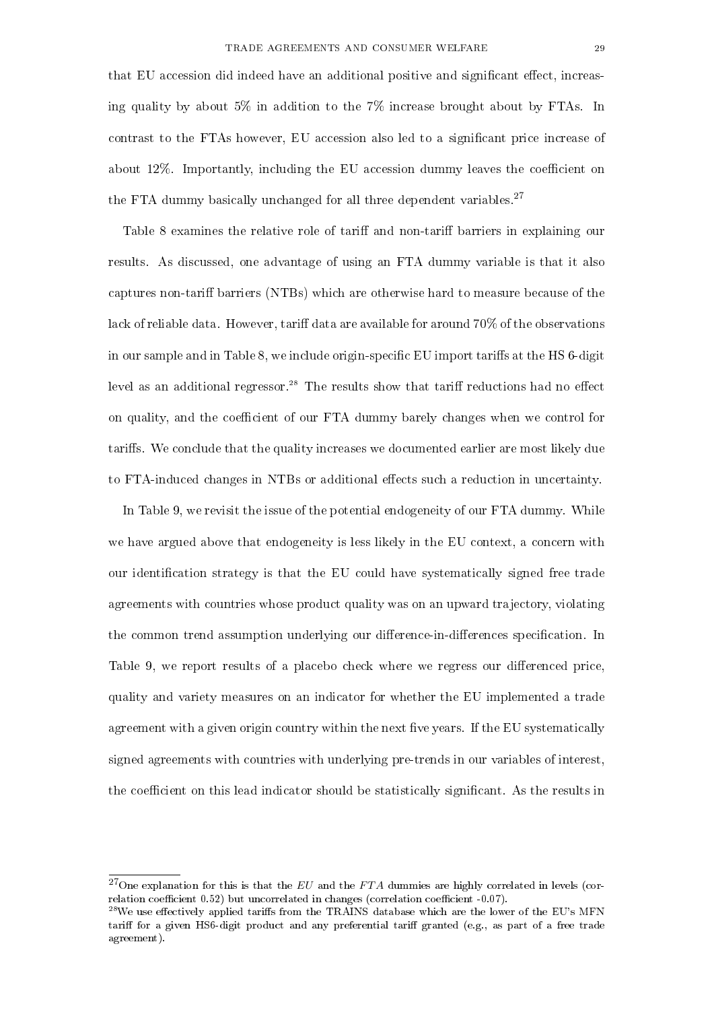that EU accession did indeed have an additional positive and significant effect, increasing quality by about 5% in addition to the 7% increase brought about by FTAs. In contrast to the FTAs however, EU accession also led to a signicant price increase of about 12%. Importantly, including the EU accession dummy leaves the coefficient on the FTA dummy basically unchanged for all three dependent variables.<sup>27</sup>

Table 8 examines the relative role of tariff and non-tariff barriers in explaining our results. As discussed, one advantage of using an FTA dummy variable is that it also captures non-tariff barriers (NTBs) which are otherwise hard to measure because of the lack of reliable data. However, tariff data are available for around  $70\%$  of the observations in our sample and in Table 8, we include origin-specific EU import tariffs at the HS 6-digit level as an additional regressor.<sup>28</sup> The results show that tariff reductions had no effect on quality, and the coefficient of our FTA dummy barely changes when we control for tariffs. We conclude that the quality increases we documented earlier are most likely due to FTA-induced changes in NTBs or additional effects such a reduction in uncertainty.

In Table 9, we revisit the issue of the potential endogeneity of our FTA dummy. While we have argued above that endogeneity is less likely in the EU context, a concern with our identification strategy is that the EU could have systematically signed free trade agreements with countries whose product quality was on an upward trajectory, violating the common trend assumption underlying our difference-in-differences specification. In Table 9, we report results of a placebo check where we regress our differenced price, quality and variety measures on an indicator for whether the EU implemented a trade agreement with a given origin country within the next five years. If the EU systematically signed agreements with countries with underlying pre-trends in our variables of interest, the coefficient on this lead indicator should be statistically significant. As the results in

<sup>&</sup>lt;sup>27</sup>One explanation for this is that the  $EU$  and the  $FTA$  dummies are highly correlated in levels (correlation coefficient  $0.52$ ) but uncorrelated in changes (correlation coefficient  $-0.07$ ).

 $^{28}$ We use effectively applied tariffs from the TRAINS database which are the lower of the EU's MFN tariff for a given HS6-digit product and any preferential tariff granted (e.g., as part of a free trade agreement).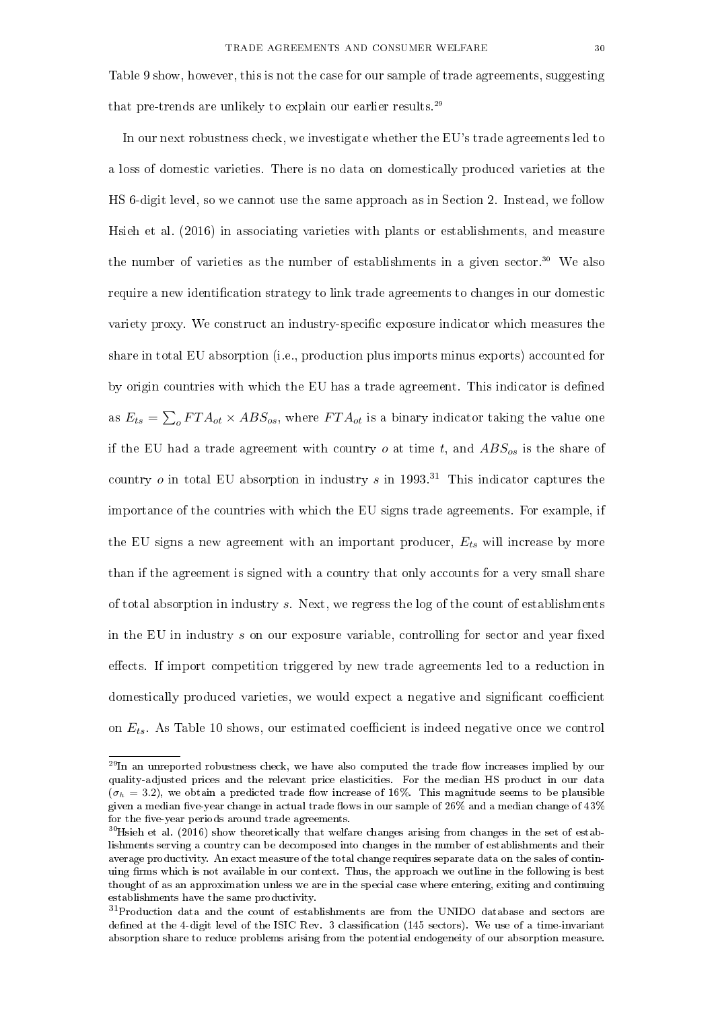Table 9 show, however, this is not the case for our sample of trade agreements, suggesting that pre-trends are unlikely to explain our earlier results.<sup>29</sup>

In our next robustness check, we investigate whether the EU's trade agreements led to a loss of domestic varieties. There is no data on domestically produced varieties at the HS 6-digit level, so we cannot use the same approach as in Section 2. Instead, we follow Hsieh et al. (2016) in associating varieties with plants or establishments, and measure the number of varieties as the number of establishments in a given sector.<sup>30</sup> We also require a new identification strategy to link trade agreements to changes in our domestic variety proxy. We construct an industry-specific exposure indicator which measures the share in total EU absorption (i.e., production plus imports minus exports) accounted for by origin countries with which the EU has a trade agreement. This indicator is defined as  $E_{ts} = \sum_{o} F T A_{ot} \times ABS_{os}$ , where  $FTA_{ot}$  is a binary indicator taking the value one if the EU had a trade agreement with country  $o$  at time  $t$ , and  $ABS_{os}$  is the share of country  $o$  in total EU absorption in industry  $s$  in 1993<sup>31</sup> This indicator captures the importance of the countries with which the EU signs trade agreements. For example, if the EU signs a new agreement with an important producer,  $E_{ts}$  will increase by more than if the agreement is signed with a country that only accounts for a very small share of total absorption in industry s. Next, we regress the log of the count of establishments in the EU in industry  $s$  on our exposure variable, controlling for sector and year fixed effects. If import competition triggered by new trade agreements led to a reduction in domestically produced varieties, we would expect a negative and significant coefficient on  $E_{ts}$ . As Table 10 shows, our estimated coefficient is indeed negative once we control

 $^{29}$ In an unreported robustness check, we have also computed the trade flow increases implied by our quality-adjusted prices and the relevant price elasticities. For the median HS product in our data  $(\sigma_h = 3.2)$ , we obtain a predicted trade flow increase of 16%. This magnitude seems to be plausible given a median five-year change in actual trade flows in our sample of  $26\%$  and a median change of  $43\%$ for the five-year periods around trade agreements.

 $30$ Hsieh et al. (2016) show theoretically that welfare changes arising from changes in the set of establishments serving a country can be decomposed into changes in the number of establishments and their average productivity. An exact measure of the total change requires separate data on the sales of continuing firms which is not available in our context. Thus, the approach we outline in the following is best thought of as an approximation unless we are in the special case where entering, exiting and continuing establishments have the same productivity.

<sup>&</sup>lt;sup>31</sup>Production data and the count of establishments are from the UNIDO database and sectors are defined at the 4-digit level of the ISIC Rev. 3 classification (145 sectors). We use of a time-invariant absorption share to reduce problems arising from the potential endogeneity of our absorption measure.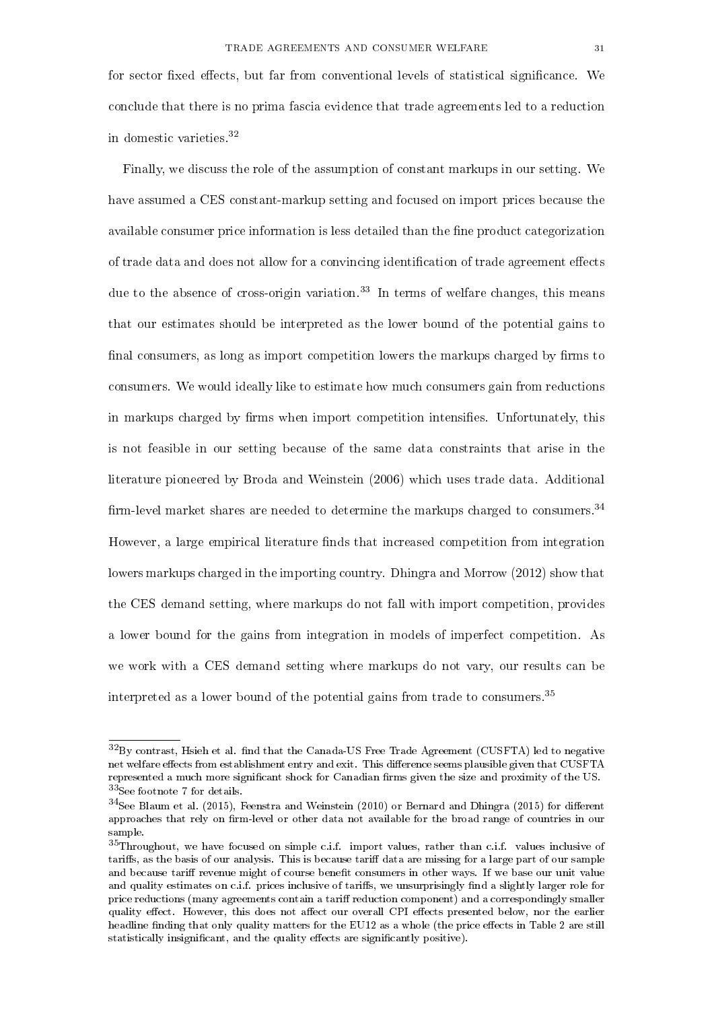for sector fixed effects, but far from conventional levels of statistical significance. We conclude that there is no prima fascia evidence that trade agreements led to a reduction in domestic varieties.<sup>32</sup>

Finally, we discuss the role of the assumption of constant markups in our setting. We have assumed a CES constant-markup setting and focused on import prices because the available consumer price information is less detailed than the fine product categorization of trade data and does not allow for a convincing identification of trade agreement effects due to the absence of cross-origin variation.<sup>33</sup> In terms of welfare changes, this means that our estimates should be interpreted as the lower bound of the potential gains to final consumers, as long as import competition lowers the markups charged by firms to consumers. We would ideally like to estimate how much consumers gain from reductions in markups charged by firms when import competition intensifies. Unfortunately, this is not feasible in our setting because of the same data constraints that arise in the literature pioneered by Broda and Weinstein (2006) which uses trade data. Additional firm-level market shares are needed to determine the markups charged to consumers.<sup>34</sup> However, a large empirical literature finds that increased competition from integration lowers markups charged in the importing country. Dhingra and Morrow (2012) show that the CES demand setting, where markups do not fall with import competition, provides a lower bound for the gains from integration in models of imperfect competition. As we work with a CES demand setting where markups do not vary, our results can be interpreted as a lower bound of the potential gains from trade to consumers.<sup>35</sup>

 $32\text{By contrast}$ , Hsieh et al. find that the Canada-US Free Trade Agreement (CUSFTA) led to negative net welfare effects from establishment entry and exit. This difference seems plausible given that CUSFTA represented a much more significant shock for Canadian firms given the size and proximity of the US. <sup>33</sup>See footnote 7 for details.

 $34$ See Blaum et al. (2015), Feenstra and Weinstein (2010) or Bernard and Dhingra (2015) for different approaches that rely on firm-level or other data not available for the broad range of countries in our sample.

<sup>35</sup>Throughout, we have focused on simple c.i.f. import values, rather than c.i.f. values inclusive of tariffs, as the basis of our analysis. This is because tariff data are missing for a large part of our sample and because tariff revenue might of course benefit consumers in other ways. If we base our unit value and quality estimates on c.i.f. prices inclusive of tariffs, we unsurprisingly find a slightly larger role for price reductions (many agreements contain a tariff reduction component) and a correspondingly smaller quality effect. However, this does not affect our overall CPI effects presented below, nor the earlier headline finding that only quality matters for the EU12 as a whole (the price effects in Table 2 are still statistically insignificant, and the quality effects are significantly positive).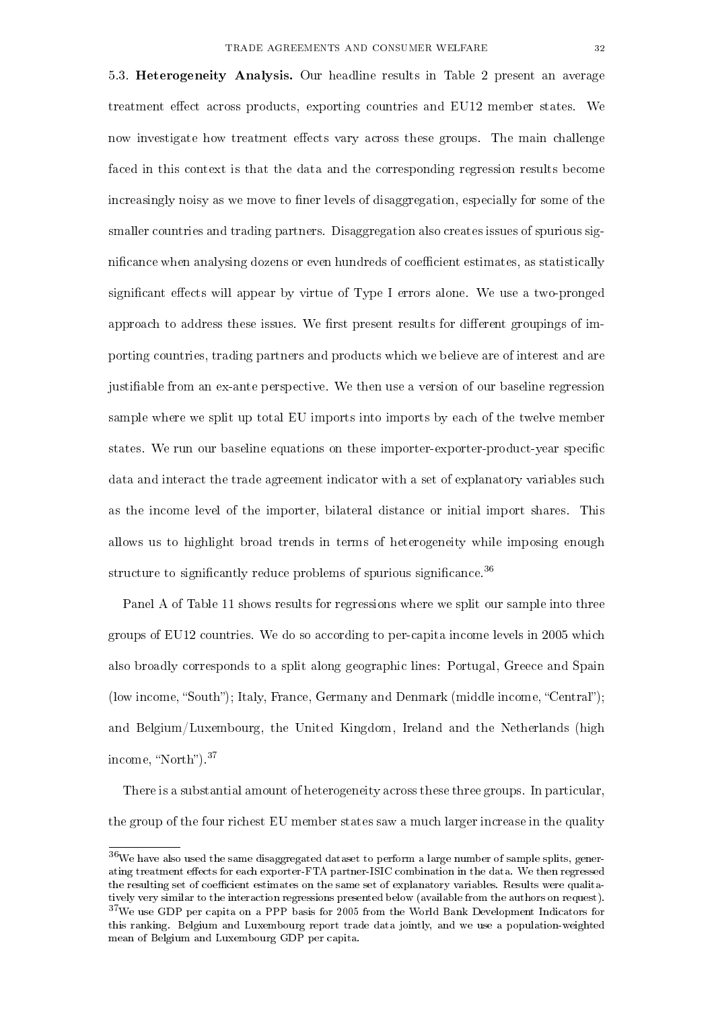5.3. Heterogeneity Analysis. Our headline results in Table 2 present an average treatment effect across products, exporting countries and EU12 member states. We now investigate how treatment effects vary across these groups. The main challenge faced in this context is that the data and the corresponding regression results become increasingly noisy as we move to finer levels of disaggregation, especially for some of the smaller countries and trading partners. Disaggregation also creates issues of spurious significance when analysing dozens or even hundreds of coefficient estimates, as statistically significant effects will appear by virtue of Type I errors alone. We use a two-pronged approach to address these issues. We first present results for different groupings of importing countries, trading partners and products which we believe are of interest and are justiable from an ex-ante perspective. We then use a version of our baseline regression sample where we split up total EU imports into imports by each of the twelve member states. We run our baseline equations on these importer-exporter-product-year specific data and interact the trade agreement indicator with a set of explanatory variables such as the income level of the importer, bilateral distance or initial import shares. This allows us to highlight broad trends in terms of heterogeneity while imposing enough structure to significantly reduce problems of spurious significance.<sup>36</sup>

Panel A of Table 11 shows results for regressions where we split our sample into three groups of EU12 countries. We do so according to per-capita income levels in 2005 which also broadly corresponds to a split along geographic lines: Portugal, Greece and Spain (low income, "South"); Italy, France, Germany and Denmark (middle income, "Central"); and Belgium/Luxembourg, the United Kingdom, Ireland and the Netherlands (high income, "North").<sup>37</sup>

There is a substantial amount of heterogeneity across these three groups. In particular, the group of the four richest EU member states saw a much larger increase in the quality

 $36$ We have also used the same disaggregated dataset to perform a large number of sample splits, generating treatment effects for each exporter-FTA partner-ISIC combination in the data. We then regressed the resulting set of coefficient estimates on the same set of explanatory variables. Results were qualitatively very similar to the interaction regressions presented below (available from the authors on request).  $37$ We use GDP per capita on a PPP basis for 2005 from the World Bank Development Indicators for this ranking. Belgium and Luxembourg report trade data jointly, and we use a population-weighted mean of Belgium and Luxembourg GDP per capita.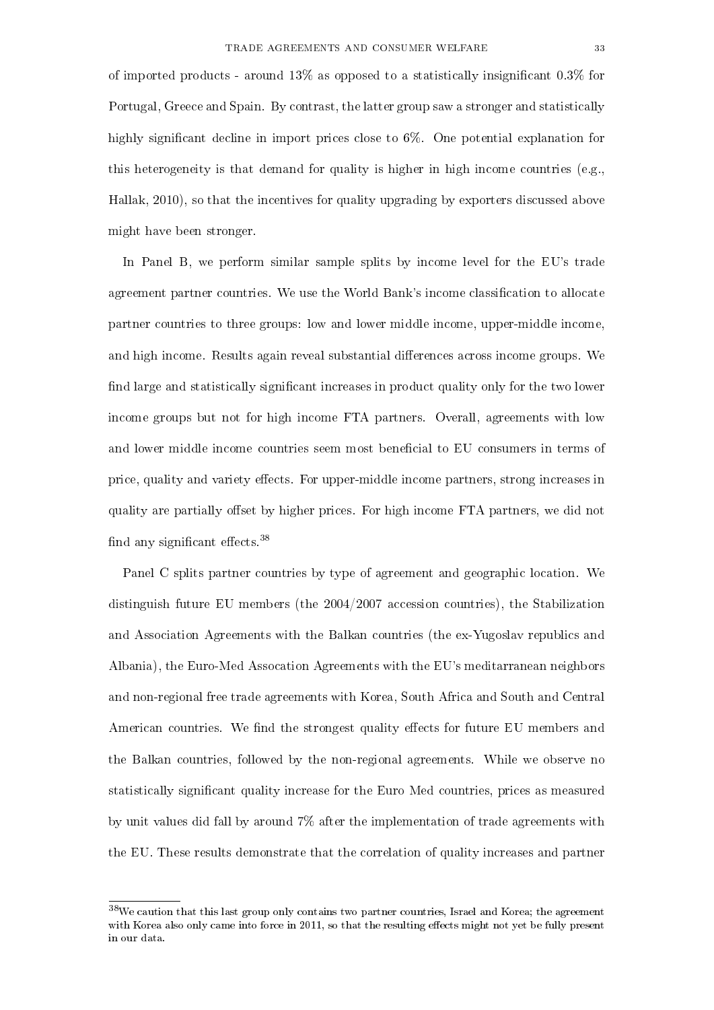of imported products - around  $13\%$  as opposed to a statistically insignificant 0.3% for Portugal, Greece and Spain. By contrast, the latter group saw a stronger and statistically highly significant decline in import prices close to 6%. One potential explanation for this heterogeneity is that demand for quality is higher in high income countries (e.g., Hallak, 2010), so that the incentives for quality upgrading by exporters discussed above might have been stronger.

In Panel B, we perform similar sample splits by income level for the EU's trade agreement partner countries. We use the World Bank's income classification to allocate partner countries to three groups: low and lower middle income, upper-middle income, and high income. Results again reveal substantial differences across income groups. We find large and statistically significant increases in product quality only for the two lower income groups but not for high income FTA partners. Overall, agreements with low and lower middle income countries seem most beneficial to EU consumers in terms of price, quality and variety effects. For upper-middle income partners, strong increases in quality are partially offset by higher prices. For high income FTA partners, we did not find any significant effects.  $38$ 

Panel C splits partner countries by type of agreement and geographic location. We distinguish future EU members (the 2004/2007 accession countries), the Stabilization and Association Agreements with the Balkan countries (the ex-Yugoslav republics and Albania), the Euro-Med Assocation Agreements with the EU's meditarranean neighbors and non-regional free trade agreements with Korea, South Africa and South and Central American countries. We find the strongest quality effects for future EU members and the Balkan countries, followed by the non-regional agreements. While we observe no statistically signicant quality increase for the Euro Med countries, prices as measured by unit values did fall by around 7% after the implementation of trade agreements with the EU. These results demonstrate that the correlation of quality increases and partner

<sup>38</sup>We caution that this last group only contains two partner countries, Israel and Korea; the agreement with Korea also only came into force in 2011, so that the resulting effects might not yet be fully present in our data.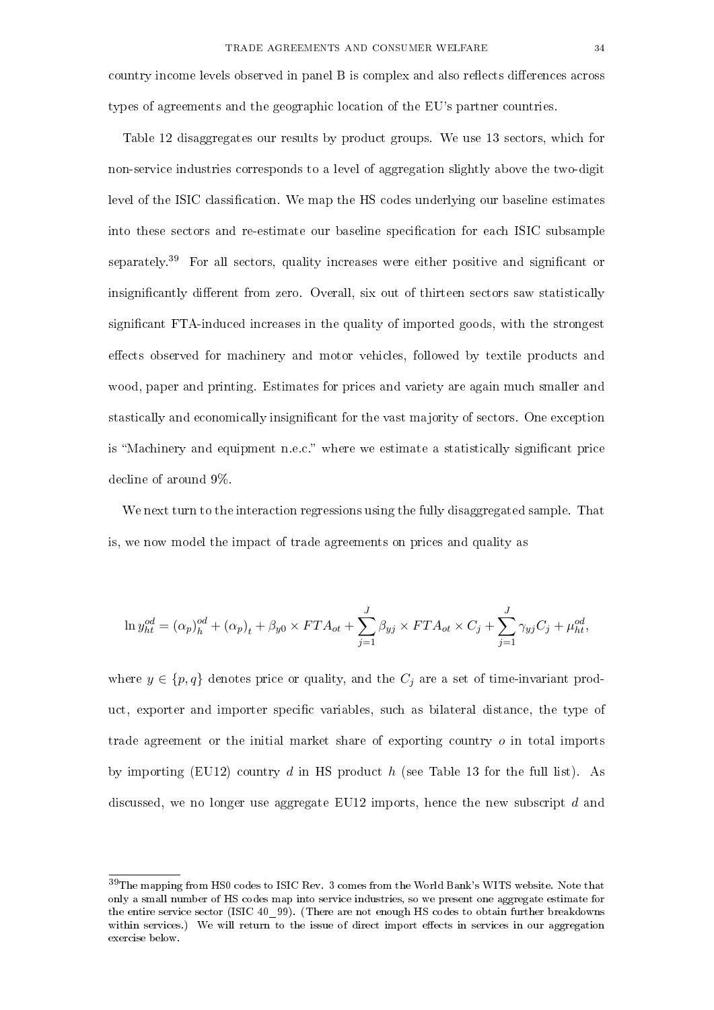country income levels observed in panel B is complex and also reflects differences across types of agreements and the geographic location of the EU's partner countries.

Table 12 disaggregates our results by product groups. We use 13 sectors, which for non-service industries corresponds to a level of aggregation slightly above the two-digit level of the ISIC classification. We map the HS codes underlying our baseline estimates into these sectors and re-estimate our baseline specification for each ISIC subsample separately.<sup>39</sup> For all sectors, quality increases were either positive and significant or insignificantly different from zero. Overall, six out of thirteen sectors saw statistically significant FTA-induced increases in the quality of imported goods, with the strongest effects observed for machinery and motor vehicles, followed by textile products and wood, paper and printing. Estimates for prices and variety are again much smaller and stastically and economically insignicant for the vast majority of sectors. One exception is "Machinery and equipment n.e.c." where we estimate a statistically significant price decline of around 9%.

We next turn to the interaction regressions using the fully disaggregated sample. That is, we now model the impact of trade agreements on prices and quality as

$$
\ln y_{ht}^{od} = (\alpha_p)_h^{od} + (\alpha_p)_t + \beta_{y0} \times FTA_{ot} + \sum_{j=1}^J \beta_{yj} \times FTA_{ot} \times C_j + \sum_{j=1}^J \gamma_{yj} C_j + \mu_{ht}^{od},
$$

where  $y \in \{p, q\}$  denotes price or quality, and the  $C_j$  are a set of time-invariant product, exporter and importer specific variables, such as bilateral distance, the type of trade agreement or the initial market share of exporting country  $o$  in total imports by importing (EU12) country d in HS product h (see Table 13 for the full list). As discussed, we no longer use aggregate EU12 imports, hence the new subscript d and

<sup>39</sup>The mapping from HS0 codes to ISIC Rev. 3 comes from the World Bank's WITS website. Note that only a small number of HS codes map into service industries, so we present one aggregate estimate for the entire service sector (ISIC 40\_99). (There are not enough HS codes to obtain further breakdowns within services.) We will return to the issue of direct import effects in services in our aggregation exercise below.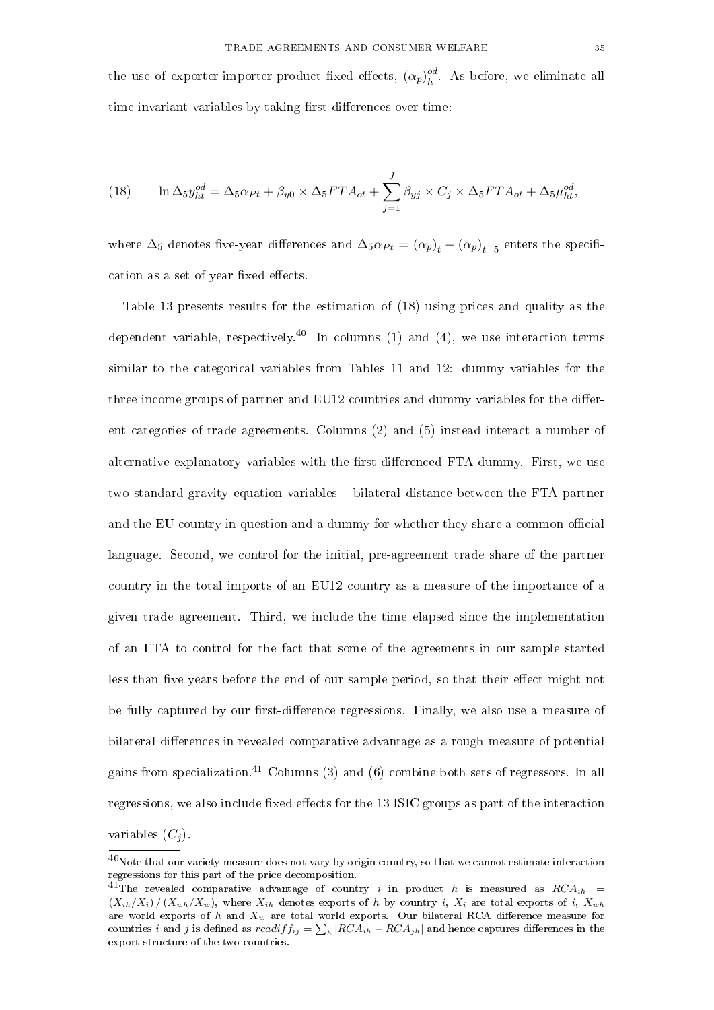the use of exporter-importer-product fixed effects,  $(\alpha_p)_h^{\odot d}$  $\frac{oa}{h}$ . As before, we eliminate all time-invariant variables by taking first differences over time:

(18) 
$$
\ln \Delta_5 y_{ht}^{od} = \Delta_5 \alpha_{Pt} + \beta_{y0} \times \Delta_5 FT A_{ot} + \sum_{j=1}^{J} \beta_{yj} \times C_j \times \Delta_5 FT A_{ot} + \Delta_5 \mu_{ht}^{od},
$$

where  $\Delta_5$  denotes five-year differences and  $\Delta_5 \alpha_{Pt} = (\alpha_p)_t - (\alpha_p)_{t-5}$  enters the specification as a set of year fixed effects.

Table 13 presents results for the estimation of (18) using prices and quality as the dependent variable, respectively.<sup>40</sup> In columns (1) and (4), we use interaction terms similar to the categorical variables from Tables 11 and 12: dummy variables for the three income groups of partner and EU12 countries and dummy variables for the different categories of trade agreements. Columns (2) and (5) instead interact a number of alternative explanatory variables with the first-differenced FTA dummy. First, we use two standard gravity equation variables bilateral distance between the FTA partner and the EU country in question and a dummy for whether they share a common official language. Second, we control for the initial, pre-agreement trade share of the partner country in the total imports of an EU12 country as a measure of the importance of a given trade agreement. Third, we include the time elapsed since the implementation of an FTA to control for the fact that some of the agreements in our sample started less than five years before the end of our sample period, so that their effect might not be fully captured by our first-difference regressions. Finally, we also use a measure of bilateral differences in revealed comparative advantage as a rough measure of potential gains from specialization.<sup>41</sup> Columns (3) and (6) combine both sets of regressors. In all regressions, we also include fixed effects for the 13 ISIC groups as part of the interaction variables  $(C_j)$ .

 $^{40}$ Note that our variety measure does not vary by origin country, so that we cannot estimate interaction regressions for this part of the price decomposition.

<sup>&</sup>lt;sup>41</sup>The revealed comparative advantage of country i in product h is measured as  $RCA_{ih}$  =  $(X_{ih}/X_i)/(X_{wh}/X_w)$ , where  $X_{ih}$  denotes exports of h by country i,  $X_i$  are total exports of i,  $X_{wh}$ are world exports of h and  $X_w$  are total world exports. Our bilateral RCA difference measure for countries  $i$  and  $j$  is defined as  $rcadiff_{ij} = \sum_h |RCA_{ih} - RCA_{jh}|$  and hence captures differences in the export structure of the two countries.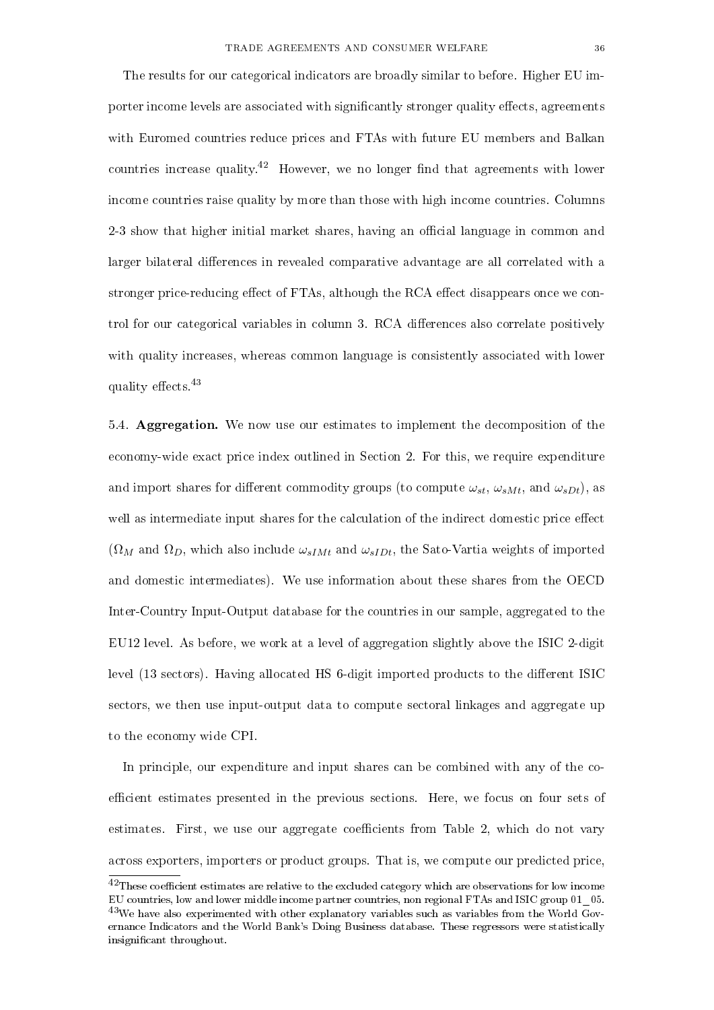The results for our categorical indicators are broadly similar to before. Higher EU importer income levels are associated with significantly stronger quality effects, agreements with Euromed countries reduce prices and FTAs with future EU members and Balkan countries increase quality.<sup>42</sup> However, we no longer find that agreements with lower income countries raise quality by more than those with high income countries. Columns 2-3 show that higher initial market shares, having an official language in common and larger bilateral differences in revealed comparative advantage are all correlated with a stronger price-reducing effect of FTAs, although the RCA effect disappears once we con-

trol for our categorical variables in column 3. RCA differences also correlate positively with quality increases, whereas common language is consistently associated with lower quality effects.<sup>43</sup>

5.4. Aggregation. We now use our estimates to implement the decomposition of the economy-wide exact price index outlined in Section 2. For this, we require expenditure and import shares for different commodity groups (to compute  $\omega_{st}$ ,  $\omega_{sMt}$ , and  $\omega_{sDt}$ ), as well as intermediate input shares for the calculation of the indirect domestic price effect  $(\Omega_M$  and  $\Omega_D$ , which also include  $\omega_{sIMt}$  and  $\omega_{sIDt}$ , the Sato-Vartia weights of imported and domestic intermediates). We use information about these shares from the OECD Inter-Country Input-Output database for the countries in our sample, aggregated to the EU12 level. As before, we work at a level of aggregation slightly above the ISIC 2-digit level (13 sectors). Having allocated HS 6-digit imported products to the different ISIC sectors, we then use input-output data to compute sectoral linkages and aggregate up to the economy wide CPI.

In principle, our expenditure and input shares can be combined with any of the coefficient estimates presented in the previous sections. Here, we focus on four sets of estimates. First, we use our aggregate coefficients from Table 2, which do not vary across exporters, importers or product groups. That is, we compute our predicted price,

 $^{42}$ These coefficient estimates are relative to the excluded category which are observations for low income EU countries, low and lower middle income partner countries, non regional FTAs and ISIC group 01\_05. <sup>43</sup>We have also experimented with other explanatory variables such as variables from the World Governance Indicators and the World Bank's Doing Business database. These regressors were statistically insignificant throughout.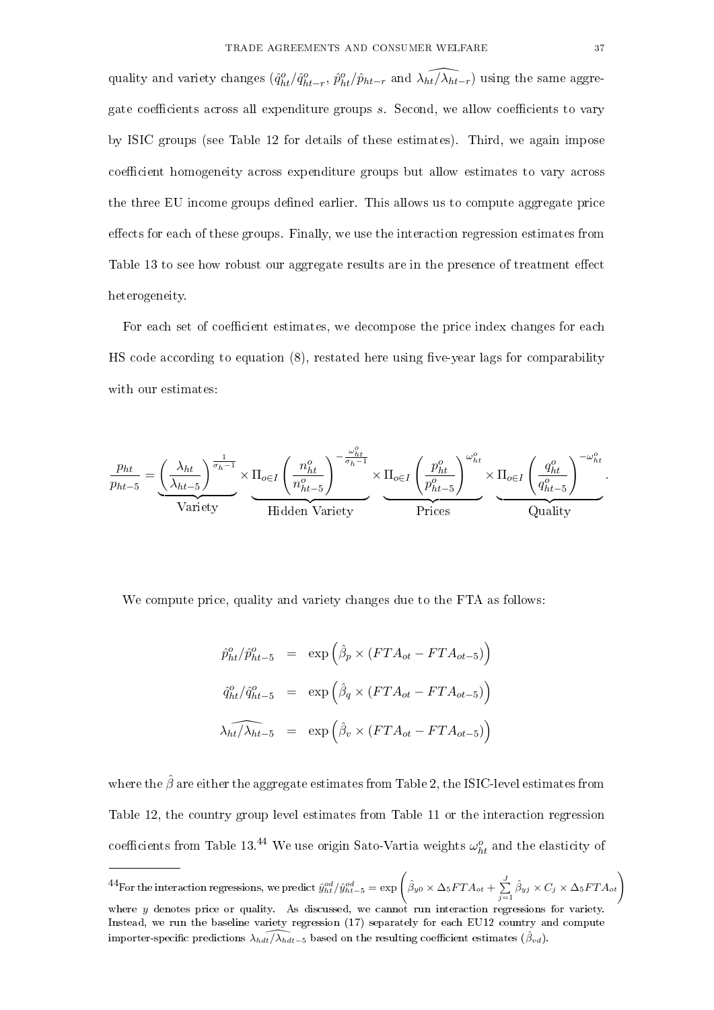quality and variety changes  $(\hat{q}_{ht}^o/\hat{q}_{ht-r}^o, \hat{p}_{ht}^o/\hat{p}_{ht-r}$  and  $\widehat{\lambda_{ht}}/\widehat{\lambda_{ht-r}})$  using the same aggregate coefficients across all expenditure groups s. Second, we allow coefficients to vary by ISIC groups (see Table 12 for details of these estimates). Third, we again impose coefficient homogeneity across expenditure groups but allow estimates to vary across the three EU income groups defined earlier. This allows us to compute aggregate price effects for each of these groups. Finally, we use the interaction regression estimates from Table 13 to see how robust our aggregate results are in the presence of treatment effect heterogeneity.

For each set of coefficient estimates, we decompose the price index changes for each HS code according to equation  $(8)$ , restated here using five-year lags for comparability with our estimates:

$$
\frac{p_{ht}}{p_{ht-5}} = \underbrace{\left(\frac{\lambda_{ht}}{\lambda_{ht-5}}\right)^{\frac{1}{\sigma_h-1}}}_{\text{Variety}} \times \underbrace{\Pi_{o\in I} \left(\frac{n_{ht}^o}{n_{ht-5}^o}\right)^{-\frac{\omega_{ht}^o}{\sigma_h-1}}}_{\text{Hidden Variety}} \times \underbrace{\Pi_{o\in I} \left(\frac{p_{ht}^o}{p_{ht-5}^o}\right)^{\omega_{ht}^o}}_{\text{Prices}} \times \underbrace{\Pi_{o\in I} \left(\frac{q_{ht}^o}{q_{ht-5}^o}\right)^{-\omega_{ht}^o}}_{\text{Quality}}.
$$

We compute price, quality and variety changes due to the FTA as follows:

$$
\hat{p}_{ht}^{o}/\hat{p}_{ht-5}^{o} = \exp\left(\hat{\beta}_{p} \times (FTA_{ot} - FTA_{ot-5})\right)
$$

$$
\hat{q}_{ht}^{o}/\hat{q}_{ht-5}^{o} = \exp\left(\hat{\beta}_{q} \times (FTA_{ot} - FTA_{ot-5})\right)
$$

$$
\widehat{\lambda_{ht}}/\widehat{\lambda_{ht-5}} = \exp\left(\hat{\beta}_{v} \times (FTA_{ot} - FTA_{ot-5})\right)
$$

where the  $\hat{\beta}$  are either the aggregate estimates from Table 2, the ISIC-level estimates from Table 12, the country group level estimates from Table 11 or the interaction regression coefficients from Table 13.<sup>44</sup> We use origin Sato-Vartia weights  $\omega_{ht}^o$  and the elasticity of

 $^{44}$ For the interaction regressions, we predict  $\hat{y}^{od}_{ht}/\hat{y}^{od}_{ht-5} = \exp\left(\hat{\beta}_{y0} \times \Delta_5 F T A_{ot} + \sum\limits_{j=1}^{J} \hat{\beta}_{yj} \times C_j \times \Delta_5 F T A_{ot}\right)$ 

where y denotes price or quality. As discussed, we cannot run interaction regressions for variety. Instead, we run the baseline variety regression (17) separately for each EU12 country and compute importer-specific predictions  $\lambda_{hdt}/\lambda_{hdt-5}$  based on the resulting coefficient estimates  $(\hat{\beta}_{vd})$ .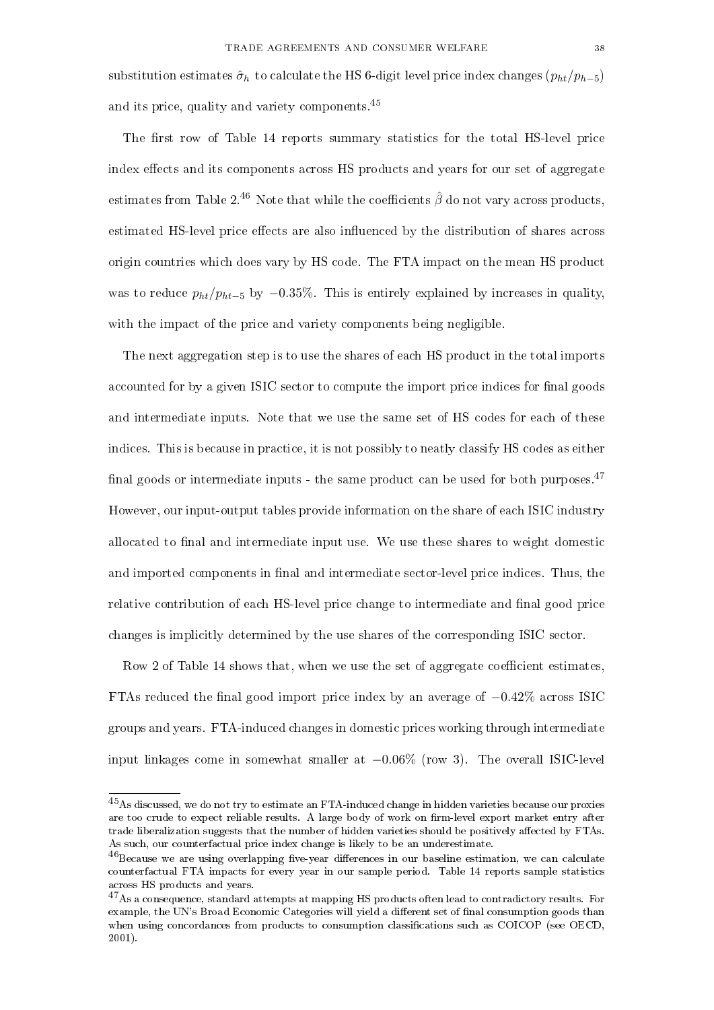substitution estimates  $\hat{\sigma}_h$  to calculate the HS 6-digit level price index changes  $(p_{ht}/p_{h-5})$ and its price, quality and variety components.<sup>45</sup>

The first row of Table 14 reports summary statistics for the total HS-level price index effects and its components across HS products and years for our set of aggregate estimates from Table 2.<sup>46</sup> Note that while the coefficients  $\hat{\beta}$  do not vary across products, estimated HS-level price effects are also influenced by the distribution of shares across origin countries which does vary by HS code. The FTA impact on the mean HS product was to reduce  $p_{ht}/p_{ht-5}$  by  $-0.35\%$ . This is entirely explained by increases in quality, with the impact of the price and variety components being negligible.

The next aggregation step is to use the shares of each HS product in the total imports accounted for by a given ISIC sector to compute the import price indices for final goods and intermediate inputs. Note that we use the same set of HS codes for each of these indices. This is because in practice, it is not possibly to neatly classify HS codes as either final goods or intermediate inputs - the same product can be used for both purposes. $47$ However, our input-output tables provide information on the share of each ISIC industry allocated to final and intermediate input use. We use these shares to weight domestic and imported components in final and intermediate sector-level price indices. Thus, the relative contribution of each HS-level price change to intermediate and final good price changes is implicitly determined by the use shares of the corresponding ISIC sector.

Row 2 of Table 14 shows that, when we use the set of aggregate coefficient estimates, FTAs reduced the final good import price index by an average of  $-0.42\%$  across ISIC groups and years. FTA-induced changes in domestic prices working through intermediate input linkages come in somewhat smaller at −0.06% (row 3). The overall ISIC-level

<sup>45</sup>As discussed, we do not try to estimate an FTA-induced change in hidden varieties because our proxies are too crude to expect reliable results. A large body of work on firm-level export market entry after trade liberalization suggests that the number of hidden varieties should be positively affected by FTAs. As such, our counterfactual price index change is likely to be an underestimate.

 $46$ Because we are using overlapping five-year differences in our baseline estimation, we can calculate counterfactual FTA impacts for every year in our sample period. Table 14 reports sample statistics across HS products and years.

<sup>&</sup>lt;sup>47</sup>As a consequence, standard attempts at mapping HS products often lead to contradictory results. For example, the UN's Broad Economic Categories will yield a different set of final consumption goods than when using concordances from products to consumption classifications such as COICOP (see OECD, 2001).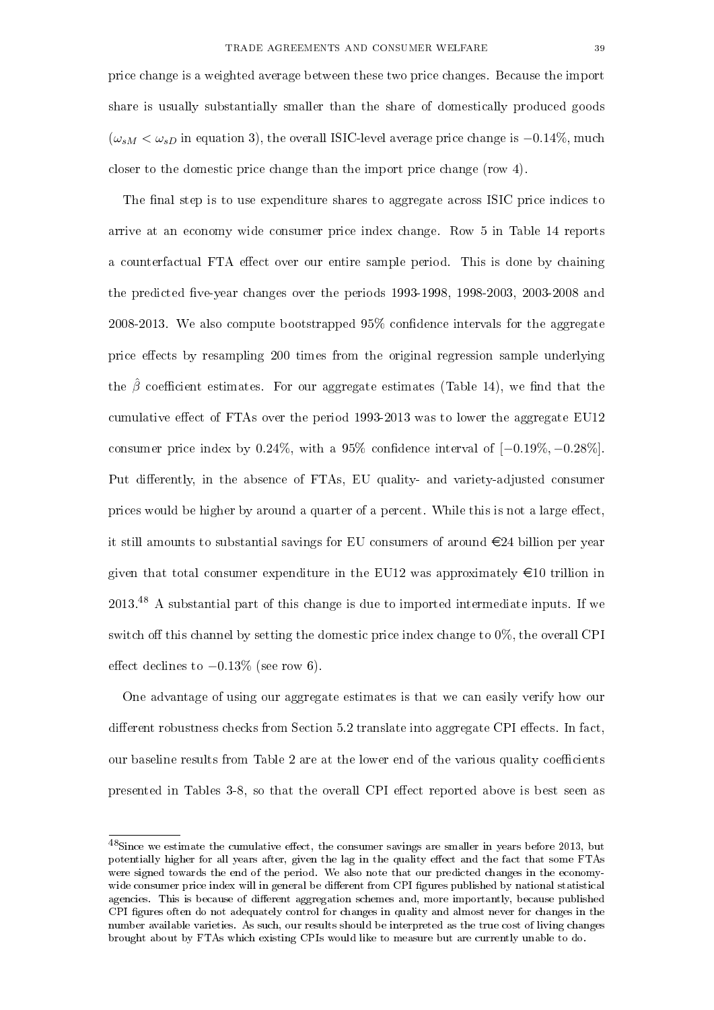price change is a weighted average between these two price changes. Because the import share is usually substantially smaller than the share of domestically produced goods  $(\omega_{sM} < \omega_{sD})$  in equation 3), the overall ISIC-level average price change is  $-0.14\%$ , much closer to the domestic price change than the import price change (row 4).

The final step is to use expenditure shares to aggregate across ISIC price indices to arrive at an economy wide consumer price index change. Row 5 in Table 14 reports a counterfactual FTA effect over our entire sample period. This is done by chaining the predicted five-year changes over the periods  $1993-1998$ ,  $1998-2003$ ,  $2003-2008$  and 2008-2013. We also compute bootstrapped  $95\%$  confidence intervals for the aggregate price effects by resampling 200 times from the original regression sample underlying the  $\hat{\beta}$  coefficient estimates. For our aggregate estimates (Table 14), we find that the cumulative effect of FTAs over the period  $1993-2013$  was to lower the aggregate EU12 consumer price index by  $0.24\%$ , with a 95% confidence interval of  $[-0.19\%, -0.28\%]$ . Put differently, in the absence of FTAs, EU quality- and variety-adjusted consumer prices would be higher by around a quarter of a percent. While this is not a large effect, it still amounts to substantial savings for EU consumers of around  $\epsilon$ 24 billion per year given that total consumer expenditure in the EU12 was approximately  $\in$ 10 trillion in  $2013<sup>48</sup>$  A substantial part of this change is due to imported intermediate inputs. If we switch off this channel by setting the domestic price index change to  $0\%$ , the overall CPI effect declines to  $-0.13\%$  (see row 6).

One advantage of using our aggregate estimates is that we can easily verify how our different robustness checks from Section  $5.2$  translate into aggregate CPI effects. In fact, our baseline results from Table 2 are at the lower end of the various quality coefficients presented in Tables 3-8, so that the overall CPI effect reported above is best seen as

 $48$ Since we estimate the cumulative effect, the consumer savings are smaller in years before 2013, but potentially higher for all years after, given the lag in the quality effect and the fact that some FTAs were signed towards the end of the period. We also note that our predicted changes in the economywide consumer price index will in general be different from CPI figures published by national statistical agencies. This is because of different aggregation schemes and, more importantly, because published CPI gures often do not adequately control for changes in quality and almost never for changes in the number available varieties. As such, our results should be interpreted as the true cost of living changes brought about by FTAs which existing CPIs would like to measure but are currently unable to do.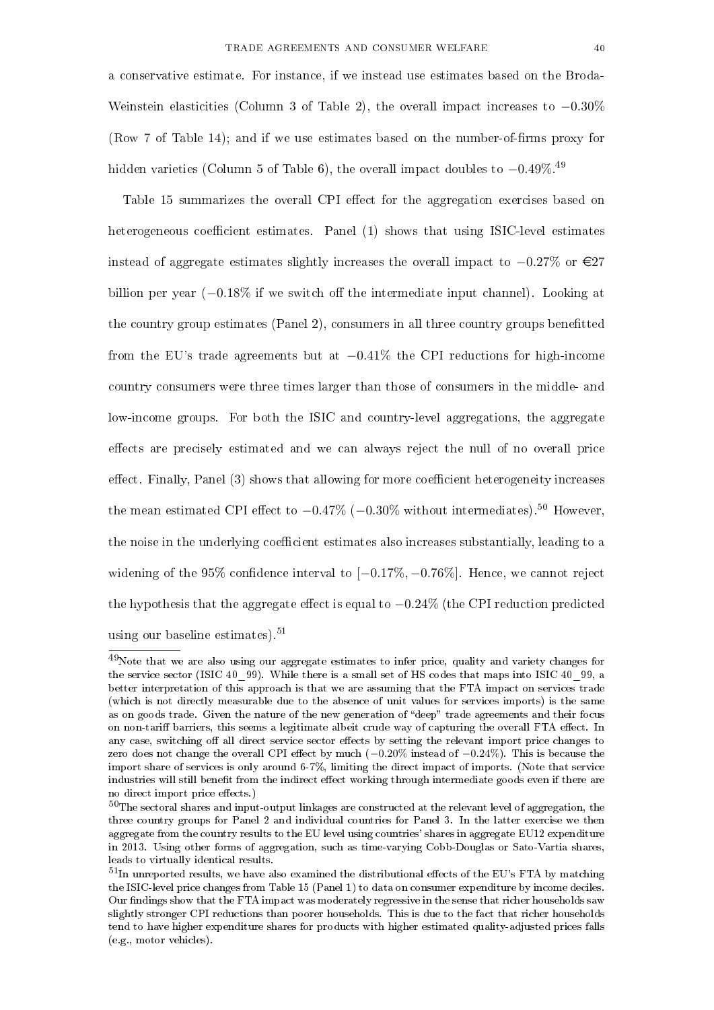a conservative estimate. For instance, if we instead use estimates based on the Broda-Weinstein elasticities (Column 3 of Table 2), the overall impact increases to  $-0.30\%$ (Row 7 of Table 14); and if we use estimates based on the number-of-firms proxy for hidden varieties (Column 5 of Table 6), the overall impact doubles to  $-0.49\%$ .<sup>49</sup>

Table 15 summarizes the overall CPI effect for the aggregation exercises based on heterogeneous coefficient estimates. Panel  $(1)$  shows that using ISIC-level estimates instead of aggregate estimates slightly increases the overall impact to  $-0.27\%$  or €27 billion per year  $(-0.18\%$  if we switch off the intermediate input channel). Looking at the country group estimates (Panel 2), consumers in all three country groups benetted from the EU's trade agreements but at −0.41% the CPI reductions for high-income country consumers were three times larger than those of consumers in the middle- and low-income groups. For both the ISIC and country-level aggregations, the aggregate effects are precisely estimated and we can always reject the null of no overall price effect. Finally, Panel  $(3)$  shows that allowing for more coefficient heterogeneity increases the mean estimated CPI effect to  $-0.47\%$  ( $-0.30\%$  without intermediates).<sup>50</sup> However, the noise in the underlying coefficient estimates also increases substantially, leading to a widening of the 95% confidence interval to  $[-0.17\%, -0.76\%]$ . Hence, we cannot reject the hypothesis that the aggregate effect is equal to  $-0.24\%$  (the CPI reduction predicted using our baseline estimates). $51$ 

<sup>49</sup>Note that we are also using our aggregate estimates to infer price, quality and variety changes for the service sector (ISIC 40\_99). While there is a small set of HS codes that maps into ISIC 40\_99, a better interpretation of this approach is that we are assuming that the FTA impact on services trade (which is not directly measurable due to the absence of unit values for services imports) is the same as on goods trade. Given the nature of the new generation of "deep" trade agreements and their focus on non-tariff barriers, this seems a legitimate albeit crude way of capturing the overall FTA effect. In any case, switching off all direct service sector effects by setting the relevant import price changes to zero does not change the overall CPI effect by much  $(-0.20\%$  instead of  $-0.24\%)$ . This is because the import share of services is only around 6-7%, limiting the direct impact of imports. (Note that service industries will still benefit from the indirect effect working through intermediate goods even if there are no direct import price effects.)

 $50$ The sectoral shares and input-output linkages are constructed at the relevant level of aggregation, the three country groups for Panel 2 and individual countries for Panel 3. In the latter exercise we then aggregate from the country results to the EU level using countries' shares in aggregate EU12 expenditure in 2013. Using other forms of aggregation, such as time-varying Cobb-Douglas or Sato-Vartia shares, leads to virtually identical results.

 $^{51}$ In unreported results, we have also examined the distributional effects of the EU's FTA by matching the ISIC-level price changes from Table 15 (Panel 1) to data on consumer expenditure by income deciles. Our findings show that the FTA impact was moderately regressive in the sense that richer households saw slightly stronger CPI reductions than poorer households. This is due to the fact that richer households tend to have higher expenditure shares for products with higher estimated quality-adjusted prices falls (e.g., motor vehicles).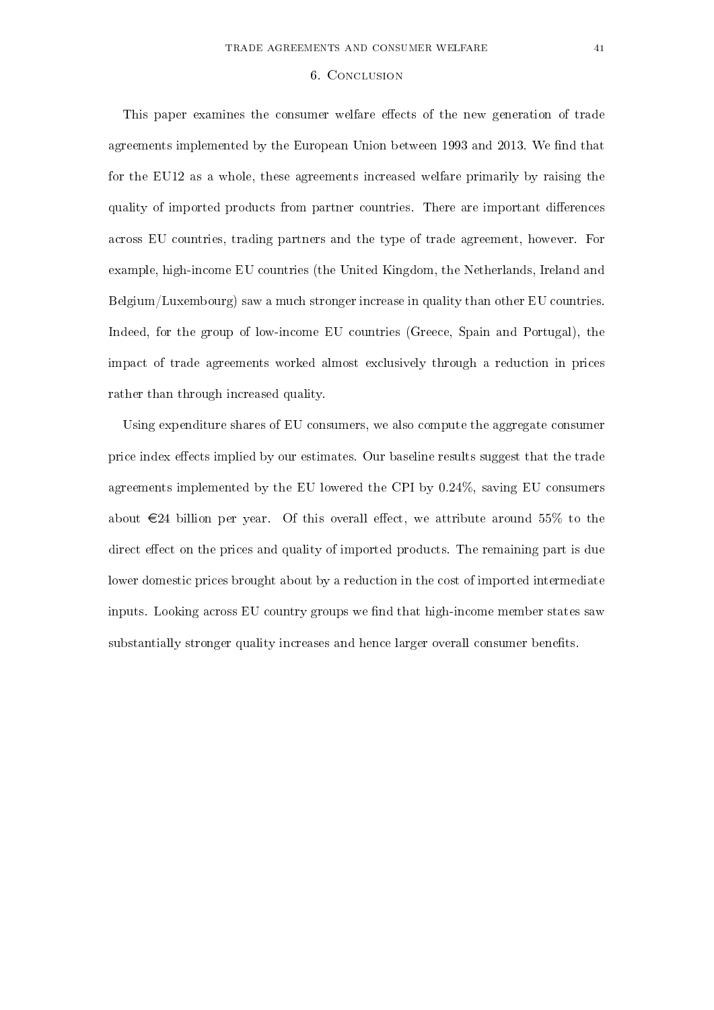#### 6. Conclusion

This paper examines the consumer welfare effects of the new generation of trade agreements implemented by the European Union between 1993 and 2013. We find that for the EU12 as a whole, these agreements increased welfare primarily by raising the quality of imported products from partner countries. There are important differences across EU countries, trading partners and the type of trade agreement, however. For example, high-income EU countries (the United Kingdom, the Netherlands, Ireland and Belgium/Luxembourg) saw a much stronger increase in quality than other EU countries. Indeed, for the group of low-income EU countries (Greece, Spain and Portugal), the impact of trade agreements worked almost exclusively through a reduction in prices rather than through increased quality.

Using expenditure shares of EU consumers, we also compute the aggregate consumer price index effects implied by our estimates. Our baseline results suggest that the trade agreements implemented by the EU lowered the CPI by 0.24%, saving EU consumers about  $\epsilon$ 24 billion per year. Of this overall effect, we attribute around 55% to the direct effect on the prices and quality of imported products. The remaining part is due lower domestic prices brought about by a reduction in the cost of imported intermediate inputs. Looking across EU country groups we find that high-income member states saw substantially stronger quality increases and hence larger overall consumer benefits.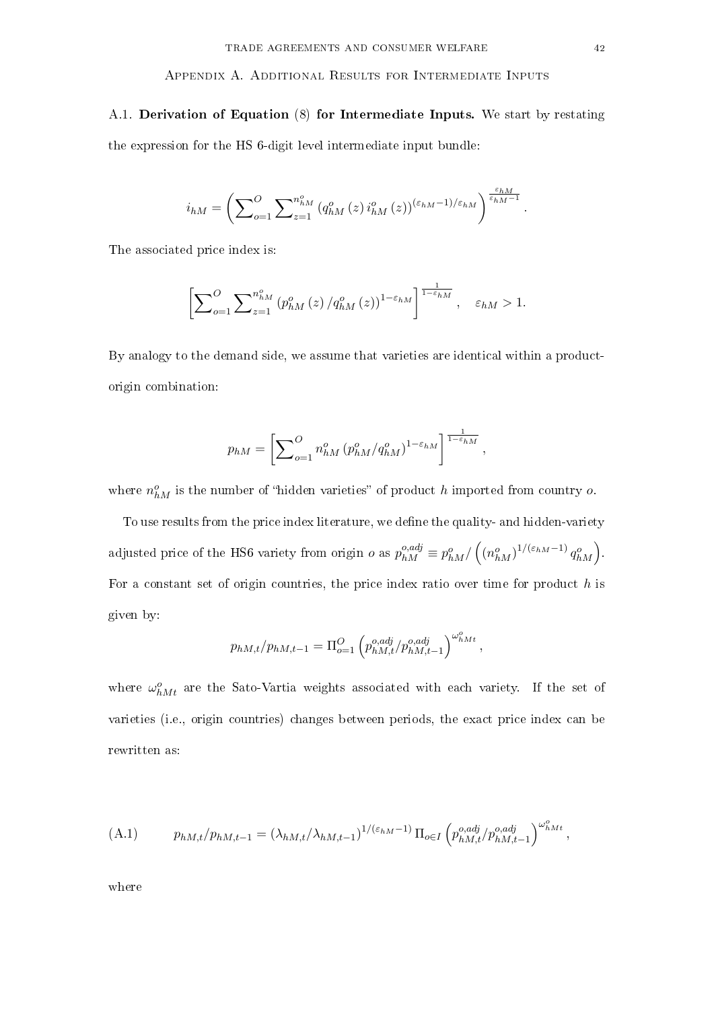#### Appendix A. Additional Results for Intermediate Inputs

A.1. Derivation of Equation (8) for Intermediate Inputs. We start by restating the expression for the HS 6-digit level intermediate input bundle:

$$
i_{hM} = \left(\sum\nolimits_{o=1}^{O} \sum\nolimits_{z=1}^{n_{hM}^o} \left(q_{hM}^o(z)\,i_{hM}^o(z)\right)^{(\varepsilon_{hM}-1)/\varepsilon_{hM}}\right)^{\frac{\varepsilon_{hM}}{\varepsilon_{hM}-1}}.
$$

The associated price index is:

$$
\left[\sum_{o=1}^O \sum_{z=1}^{n_{hM}^o} (p_{hM}^o(z)/q_{hM}^o(z))^{1-\varepsilon_{hM}}\right]^{\frac{1}{1-\varepsilon_{hM}}}, \quad \varepsilon_{hM} > 1.
$$

By analogy to the demand side, we assume that varieties are identical within a productorigin combination:

$$
p_{hM} = \left[ \sum_{o=1}^{O} n_{hM}^o (p_{hM}^o/q_{hM}^o)^{1-\varepsilon_{hM}} \right]^{\frac{1}{1-\varepsilon_{hM}}},
$$

where  $n_{hM}^o$  is the number of "hidden varieties" of product h imported from country o.

To use results from the price index literature, we define the quality- and hidden-variety adjusted price of the HS6 variety from origin  $o$  as  $p_{hM}^{o,adj} \equiv p_{hM}^{o} / ((n_{hM}^{o})^{1/(\varepsilon_{hM}-1)} q_{hM}^{o}).$ For a constant set of origin countries, the price index ratio over time for product  $h$  is given by:

$$
p_{hM,t}/p_{hM,t-1} = \Pi_{o=1}^{O} \left( p_{hM,t}^{o,adj} / p_{hM,t-1}^{o,adj} \right)^{\omega_{hMt}^{o}},
$$

where  $\omega_{hMt}^o$  are the Sato-Vartia weights associated with each variety. If the set of varieties (i.e., origin countries) changes between periods, the exact price index can be rewritten as:

(A.1) 
$$
p_{hM,t}/p_{hM,t-1} = (\lambda_{hM,t}/\lambda_{hM,t-1})^{1/(\varepsilon_{hM}-1)} \Pi_{o \in I} \left( p_{hM,t}^{o,adj} / p_{hM,t-1}^{o,adj} \right)^{\omega_{hMt}^o},
$$

where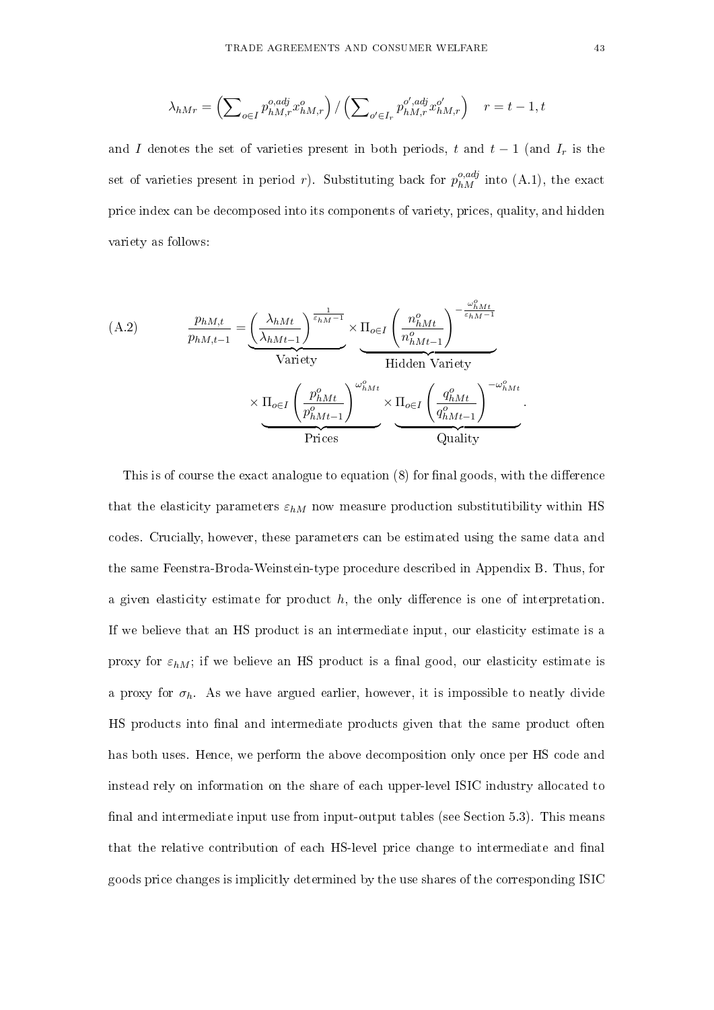$$
\lambda_{hMr} = \left(\sum\nolimits_{o \in I} p_{hM,r}^{o,adj} x_{hM,r}^{o}\right) / \left(\sum\nolimits_{o' \in I_r} p_{hM,r}^{o',adj} x_{hM,r}^{o'}\right) \quad r = t - 1, t
$$

and I denotes the set of varieties present in both periods, t and  $t-1$  (and  $I_r$  is the set of varieties present in period r). Substituting back for  $p_{hM}^{o,adj}$  into (A.1), the exact price index can be decomposed into its components of variety, prices, quality, and hidden variety as follows:

(A.2) 
$$
\frac{p_{hM,t}}{p_{hM,t-1}} = \underbrace{\left(\frac{\lambda_{hMt}}{\lambda_{hMt-1}}\right)^{\frac{1}{\varepsilon_{hM}-1}}}_{\text{Variety}} \times \underbrace{\Pi_{o\in I} \left(\frac{n_{hMt}^o}{n_{hMt-1}^o}\right)^{-\frac{\omega_{hMt}^o}{\varepsilon_{hM}-1}}}_{\text{Hidden Variety}}
$$
\n
$$
\times \underbrace{\Pi_{o\in I} \left(\frac{p_{hMt}^o}{p_{hMt-1}^o}\right)^{\omega_{hMt}^o}}_{\text{Prices}} \times \underbrace{\Pi_{o\in I} \left(\frac{q_{hMt}^o}{q_{hMt-1}^o}\right)^{-\omega_{hMt}^o}}_{\text{Quality}}.
$$

This is of course the exact analogue to equation  $(8)$  for final goods, with the difference that the elasticity parameters  $\varepsilon_{hM}$  now measure production substitutibility within HS codes. Crucially, however, these parameters can be estimated using the same data and the same Feenstra-Broda-Weinstein-type procedure described in Appendix B. Thus, for a given elasticity estimate for product  $h$ , the only difference is one of interpretation. If we believe that an HS product is an intermediate input, our elasticity estimate is a proxy for  $\varepsilon_{hM}$ ; if we believe an HS product is a final good, our elasticity estimate is a proxy for  $\sigma_h$ . As we have argued earlier, however, it is impossible to neatly divide HS products into final and intermediate products given that the same product often has both uses. Hence, we perform the above decomposition only once per HS code and instead rely on information on the share of each upper-level ISIC industry allocated to final and intermediate input use from input-output tables (see Section 5.3). This means that the relative contribution of each HS-level price change to intermediate and final goods price changes is implicitly determined by the use shares of the corresponding ISIC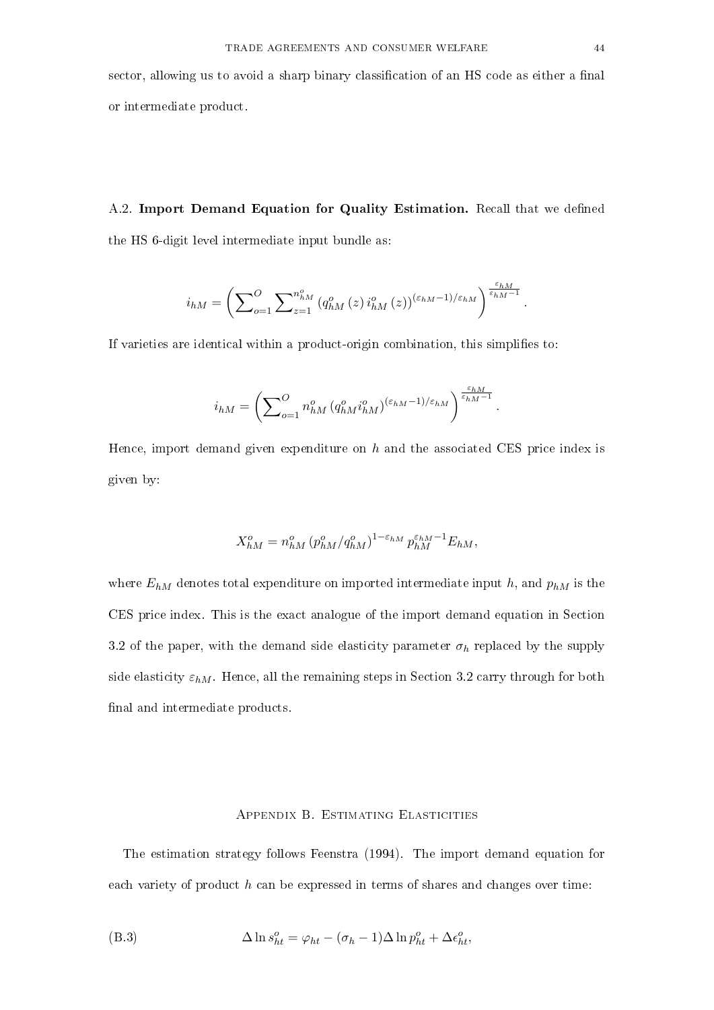sector, allowing us to avoid a sharp binary classification of an HS code as either a final or intermediate product.

A.2. Import Demand Equation for Quality Estimation. Recall that we defined the HS 6-digit level intermediate input bundle as:

$$
i_{hM}=\left(\sum\nolimits_{o=1}^{O}\sum\nolimits_{z=1}^{n_{hM}^{o}}\left(q_{hM}^{o}\left(z\right)i_{hM}^{o}\left(z\right)\right)^{\left(\varepsilon_{hM}-1\right)/\varepsilon_{hM}}\right)^{\frac{\varepsilon_{hM}}{\varepsilon_{hM}-1}}.
$$

If varieties are identical within a product-origin combination, this simplies to:

$$
i_{hM} = \left(\sum\nolimits_{o=1}^O n_{hM}^o \left(q_{hM}^o i_{hM}^o\right)^{(\varepsilon_{hM}-1)/\varepsilon_{hM}}\right)^{\frac{\varepsilon_{hM}}{\varepsilon_{hM}-1}}.
$$

Hence, import demand given expenditure on  $h$  and the associated CES price index is given by:

$$
X_{hM}^o = n_{hM}^o (p_{hM}^o / q_{hM}^o)^{1 - \varepsilon_{hM}} p_{hM}^{\varepsilon_{hM} - 1} E_{hM},
$$

where  $E_{hM}$  denotes total expenditure on imported intermediate input h, and  $p_{hM}$  is the CES price index. This is the exact analogue of the import demand equation in Section 3.2 of the paper, with the demand side elasticity parameter  $\sigma_h$  replaced by the supply side elasticity  $\varepsilon_{hM}$ . Hence, all the remaining steps in Section 3.2 carry through for both final and intermediate products.

#### Appendix B. Estimating Elasticities

The estimation strategy follows Feenstra (1994). The import demand equation for each variety of product  $h$  can be expressed in terms of shares and changes over time:

(B.3) 
$$
\Delta \ln s_{ht}^o = \varphi_{ht} - (\sigma_h - 1) \Delta \ln p_{ht}^o + \Delta \epsilon_{ht}^o,
$$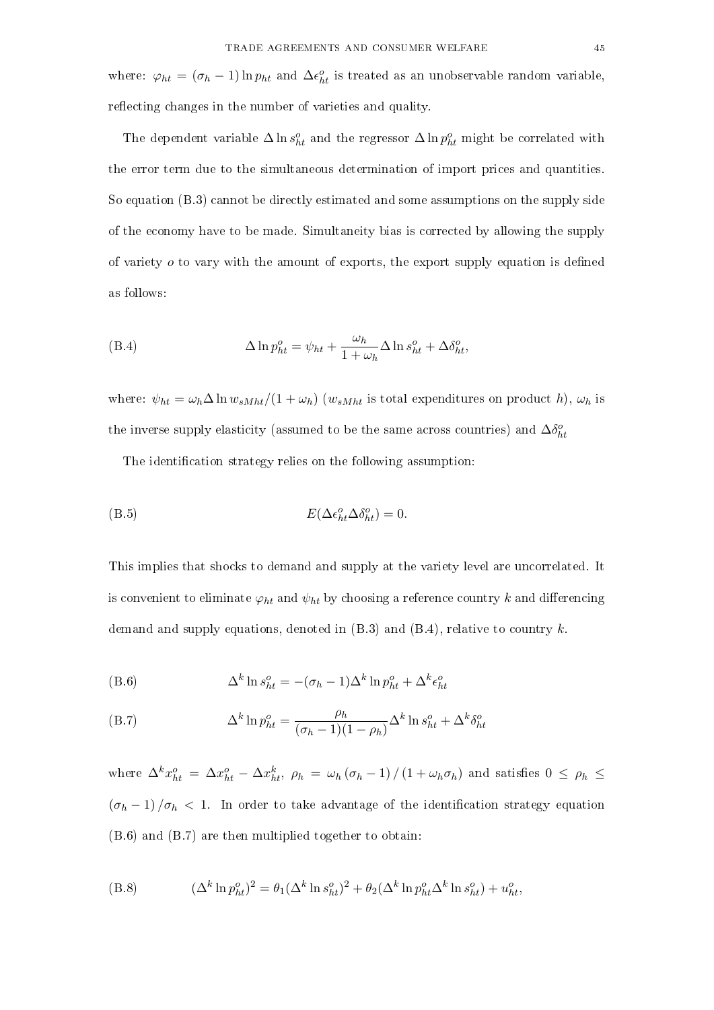where:  $\varphi_{ht} = (\sigma_h - 1) \ln p_{ht}$  and  $\Delta \epsilon_{ht}^o$  is treated as an unobservable random variable, reflecting changes in the number of varieties and quality.

The dependent variable  $\Delta \ln s_{ht}^o$  and the regressor  $\Delta \ln p_{ht}^o$  might be correlated with the error term due to the simultaneous determination of import prices and quantities. So equation (B.3) cannot be directly estimated and some assumptions on the supply side of the economy have to be made. Simultaneity bias is corrected by allowing the supply of variety  $\sigma$  to vary with the amount of exports, the export supply equation is defined as follows:

(B.4) 
$$
\Delta \ln p_{ht}^o = \psi_{ht} + \frac{\omega_h}{1 + \omega_h} \Delta \ln s_{ht}^o + \Delta \delta_{ht}^o,
$$

where:  $\psi_{ht} = \omega_h \Delta \ln w_{sMht} / (1 + \omega_h)$  ( $w_{sMht}$  is total expenditures on product h),  $\omega_h$  is the inverse supply elasticity (assumed to be the same across countries) and  $\Delta \delta_{ht}^o$ 

The identification strategy relies on the following assumption:

$$
E(\Delta \epsilon_{ht}^o \Delta \delta_{ht}^o) = 0.
$$

This implies that shocks to demand and supply at the variety level are uncorrelated. It is convenient to eliminate  $\varphi_{ht}$  and  $\psi_{ht}$  by choosing a reference country k and differencing demand and supply equations, denoted in  $(B.3)$  and  $(B.4)$ , relative to country k.

(B.6) 
$$
\Delta^k \ln s_{ht}^o = -(\sigma_h - 1)\Delta^k \ln p_{ht}^o + \Delta^k \epsilon_{ht}^o
$$

(B.7) 
$$
\Delta^k \ln p_{ht}^o = \frac{\rho_h}{(\sigma_h - 1)(1 - \rho_h)} \Delta^k \ln s_{ht}^o + \Delta^k \delta_{ht}^o
$$

where  $\Delta^k x_{ht}^o = \Delta x_{ht}^o - \Delta x_{ht}^k$ ,  $\rho_h = \omega_h (\sigma_h - 1) / (1 + \omega_h \sigma_h)$  and satisfies  $0 \le \rho_h \le$  $(\sigma_h - 1)/\sigma_h$  < 1. In order to take advantage of the identification strategy equation (B.6) and (B.7) are then multiplied together to obtain:

(B.8) 
$$
(\Delta^k \ln p_{ht}^o)^2 = \theta_1 (\Delta^k \ln s_{ht}^o)^2 + \theta_2 (\Delta^k \ln p_{ht}^o \Delta^k \ln s_{ht}^o) + u_{ht}^o,
$$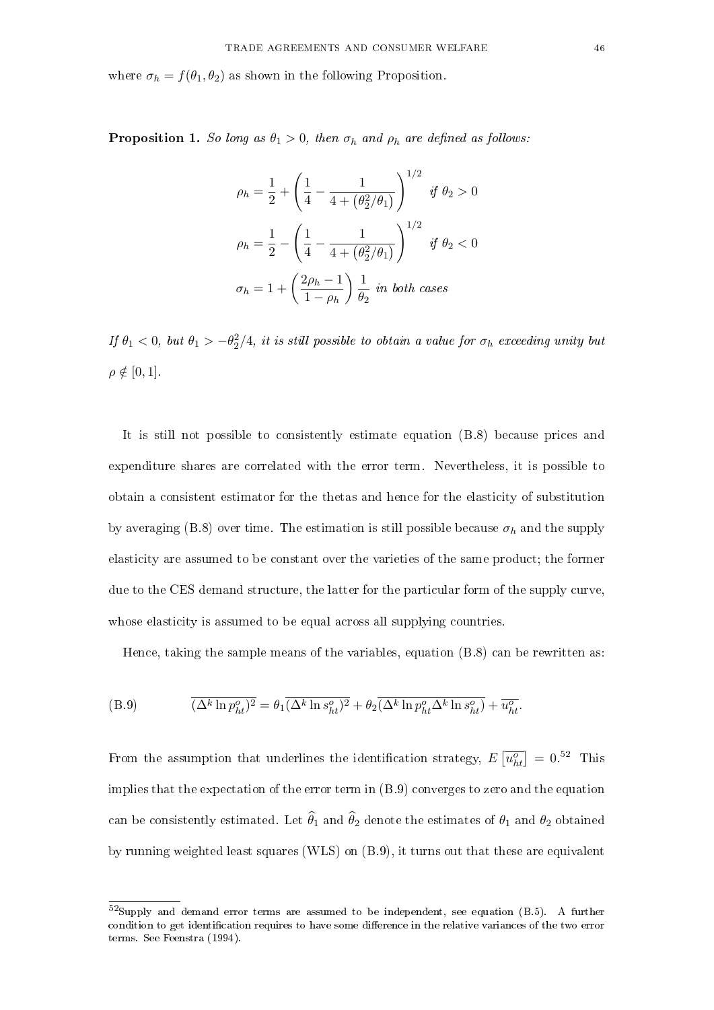where  $\sigma_h = f(\theta_1, \theta_2)$  as shown in the following Proposition.

**Proposition 1.** So long as  $\theta_1 > 0$ , then  $\sigma_h$  and  $\rho_h$  are defined as follows:

$$
\rho_h = \frac{1}{2} + \left(\frac{1}{4} - \frac{1}{4 + (\theta_2^2/\theta_1)}\right)^{1/2} \text{ if } \theta_2 > 0
$$

$$
\rho_h = \frac{1}{2} - \left(\frac{1}{4} - \frac{1}{4 + (\theta_2^2/\theta_1)}\right)^{1/2} \text{ if } \theta_2 < 0
$$

$$
\sigma_h = 1 + \left(\frac{2\rho_h - 1}{1 - \rho_h}\right) \frac{1}{\theta_2} \text{ in both cases}
$$

If  $\theta_1 < 0$ , but  $\theta_1 > -\theta_2^2/4$ , it is still possible to obtain a value for  $\sigma_h$  exceeding unity but  $\rho \notin [0, 1]$ .

It is still not possible to consistently estimate equation (B.8) because prices and expenditure shares are correlated with the error term. Nevertheless, it is possible to obtain a consistent estimator for the thetas and hence for the elasticity of substitution by averaging (B.8) over time. The estimation is still possible because  $\sigma_h$  and the supply elasticity are assumed to be constant over the varieties of the same product; the former due to the CES demand structure, the latter for the particular form of the supply curve, whose elasticity is assumed to be equal across all supplying countries.

Hence, taking the sample means of the variables, equation (B.8) can be rewritten as:

(B.9) 
$$
\overline{(\Delta^k \ln p_{ht}^o)^2} = \theta_1 \overline{(\Delta^k \ln s_{ht}^o)^2} + \theta_2 \overline{(\Delta^k \ln p_{ht}^o \Delta^k \ln s_{ht}^o)} + \overline{u_{ht}^o}.
$$

From the assumption that underlines the identification strategy,  $E\left[\overline{u_{ht}^o}\right] = 0.52$  This implies that the expectation of the error term in (B.9) converges to zero and the equation can be consistently estimated. Let  $\widehat{\theta}_1$  and  $\widehat{\theta}_2$  denote the estimates of  $\theta_1$  and  $\theta_2$  obtained by running weighted least squares (WLS) on (B.9), it turns out that these are equivalent

<sup>52</sup>Supply and demand error terms are assumed to be independent, see equation (B.5). A further condition to get identification requires to have some difference in the relative variances of the two error terms. See Feenstra (1994).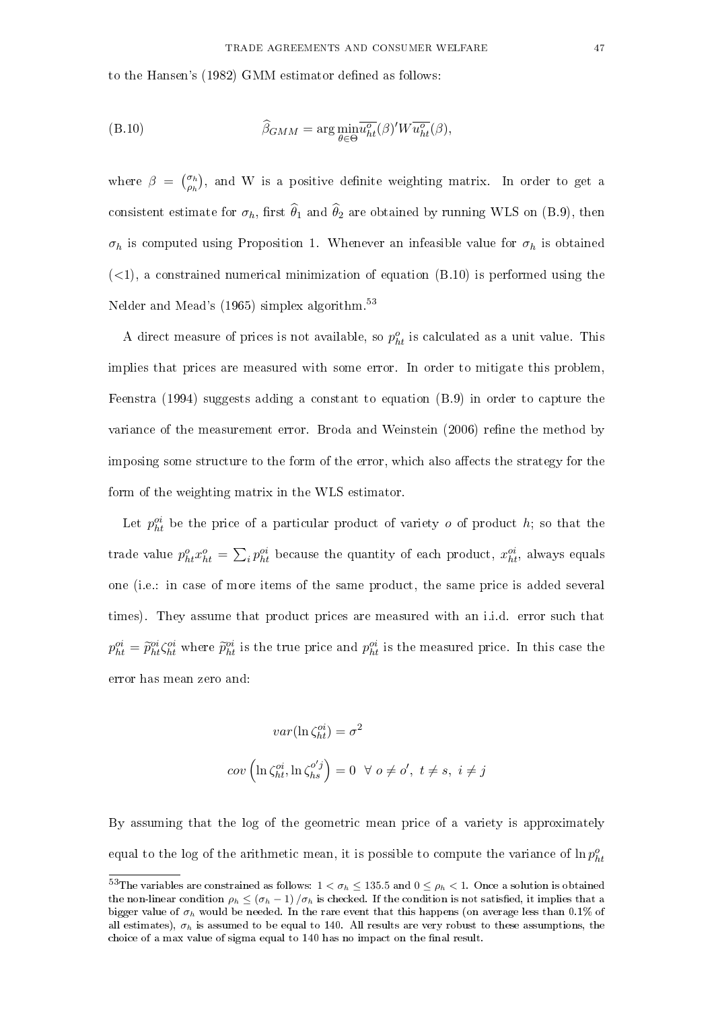to the Hansen's (1982) GMM estimator defined as follows:

(B.10) 
$$
\widehat{\beta}_{GMM} = \arg \min_{\theta \in \Theta} \overline{u_{ht}^o}(\beta)'W \overline{u_{ht}^o}(\beta),
$$

where  $\beta = \begin{pmatrix} \sigma_h \\ \sigma_l \end{pmatrix}$  $\binom{\sigma_h}{\rho_h}$ , and W is a positive definite weighting matrix. In order to get a consistent estimate for  $\sigma_h$ , first  $\hat{\theta}_1$  and  $\hat{\theta}_2$  are obtained by running WLS on (B.9), then  $\sigma_h$  is computed using Proposition 1. Whenever an infeasible value for  $\sigma_h$  is obtained  $(<1)$ , a constrained numerical minimization of equation  $(B.10)$  is performed using the Nelder and Mead's (1965) simplex algorithm.<sup>53</sup>

A direct measure of prices is not available, so  $p_{ht}^o$  is calculated as a unit value. This implies that prices are measured with some error. In order to mitigate this problem, Feenstra (1994) suggests adding a constant to equation (B.9) in order to capture the variance of the measurement error. Broda and Weinstein (2006) refine the method by imposing some structure to the form of the error, which also affects the strategy for the form of the weighting matrix in the WLS estimator.

Let  $p_{ht}^{oi}$  be the price of a particular product of variety  $o$  of product  $h$ ; so that the trade value  $p_{ht}^o x_{ht}^o = \sum_i p_{ht}^{oi}$  because the quantity of each product,  $x_{ht}^{oi}$ , always equals one (i.e.: in case of more items of the same product, the same price is added several times). They assume that product prices are measured with an i.i.d. error such that  $p_{ht}^{oi} = \tilde{p}_{ht}^{oi} \zeta_{ht}^{oi}$  where  $\tilde{p}_{ht}^{oi}$  is the true price and  $p_{ht}^{oi}$  is the measured price. In this case the error has mean zero and:

$$
var(\ln \zeta_{ht}^{oi}) = \sigma^2
$$

$$
cov\left(\ln \zeta_{ht}^{oi}, \ln \zeta_{hs}^{o'j}\right) = 0 \quad \forall \ o \neq o', \ t \neq s, \ i \neq j
$$

By assuming that the log of the geometric mean price of a variety is approximately equal to the log of the arithmetic mean, it is possible to compute the variance of  $\ln p_{ht}^o$ 

<sup>&</sup>lt;sup>53</sup>The variables are constrained as follows:  $1 < \sigma_h \le 135.5$  and  $0 \le \rho_h < 1$ . Once a solution is obtained the non-linear condition  $\rho_h \leq (\sigma_h - 1)/\sigma_h$  is checked. If the condition is not satisfied, it implies that a bigger value of  $\sigma_h$  would be needed. In the rare event that this happens (on average less than 0.1% of all estimates),  $\sigma_h$  is assumed to be equal to 140. All results are very robust to these assumptions, the choice of a max value of sigma equal to 140 has no impact on the final result.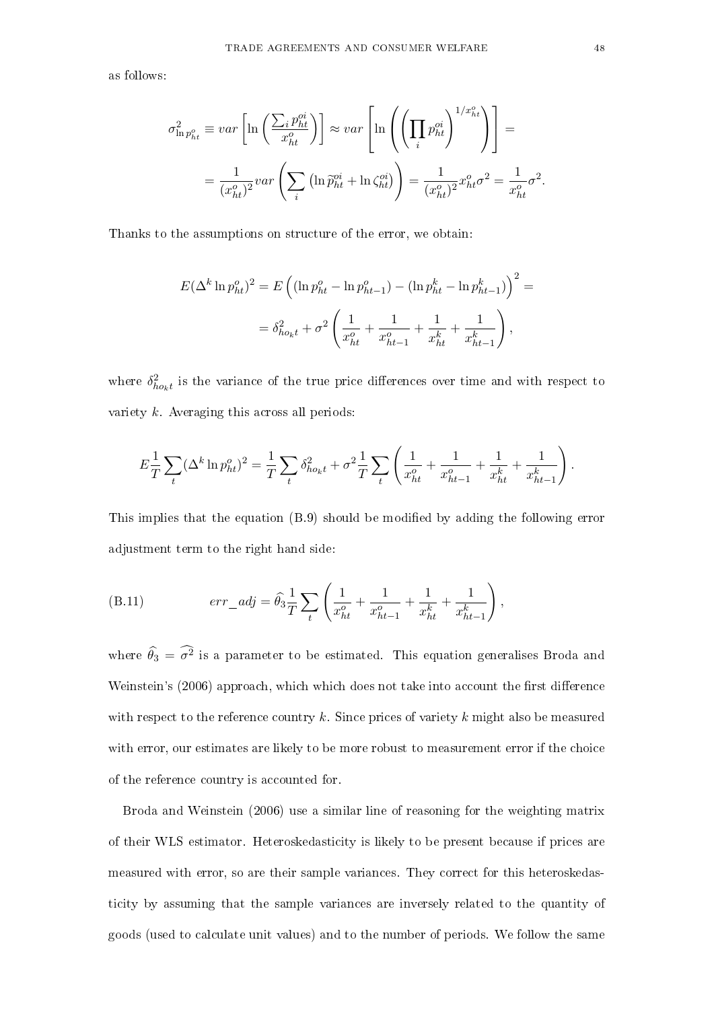as follows:

$$
\sigma_{\ln p_{ht}^o}^2 \equiv var \left[ \ln \left( \frac{\sum_i p_{ht}^{oi}}{x_{ht}^o} \right) \right] \approx var \left[ \ln \left( \left( \prod_i p_{ht}^{oi} \right)^{1/x_{ht}^o} \right) \right] =
$$
  

$$
= \frac{1}{(x_{ht}^o)^2} var \left( \sum_i \left( \ln \tilde{p}_{ht}^{oi} + \ln \zeta_{ht}^{oi} \right) \right) = \frac{1}{(x_{ht}^o)^2} x_{ht}^o \sigma^2 = \frac{1}{x_{ht}^o} \sigma^2.
$$

Thanks to the assumptions on structure of the error, we obtain:

$$
E(\Delta^k \ln p_{ht}^o)^2 = E\left((\ln p_{ht}^o - \ln p_{ht-1}^o) - (\ln p_{ht}^k - \ln p_{ht-1}^k)\right)^2 =
$$
  

$$
= \delta_{ho_k t}^2 + \sigma^2 \left(\frac{1}{x_{ht}^o} + \frac{1}{x_{ht-1}^o} + \frac{1}{x_{ht}^k} + \frac{1}{x_{ht-1}^k}\right),
$$

where  $\delta_{ho_k t}^2$  is the variance of the true price differences over time and with respect to variety  $k$ . Averaging this across all periods:

$$
E\frac{1}{T}\sum_{t} (\Delta^k \ln p_{ht}^o)^2 = \frac{1}{T}\sum_{t} \delta_{ho_k t}^2 + \sigma^2 \frac{1}{T}\sum_{t} \left(\frac{1}{x_{ht}^o} + \frac{1}{x_{ht-1}^o} + \frac{1}{x_{ht}^k} + \frac{1}{x_{ht-1}^k}\right).
$$

This implies that the equation  $(B.9)$  should be modified by adding the following error adjustment term to the right hand side:

(B.11) 
$$
err\_adj = \widehat{\theta}_3 \frac{1}{T} \sum_t \left( \frac{1}{x_{ht}^o} + \frac{1}{x_{ht-1}^o} + \frac{1}{x_{ht}^k} + \frac{1}{x_{ht-1}^k} \right),
$$

where  $\widehat{\theta}_3 = \widehat{\sigma}^2$  is a parameter to be estimated. This equation generalises Broda and Weinstein's (2006) approach, which which does not take into account the first difference with respect to the reference country k. Since prices of variety k might also be measured with error, our estimates are likely to be more robust to measurement error if the choice of the reference country is accounted for.

Broda and Weinstein (2006) use a similar line of reasoning for the weighting matrix of their WLS estimator. Heteroskedasticity is likely to be present because if prices are measured with error, so are their sample variances. They correct for this heteroskedasticity by assuming that the sample variances are inversely related to the quantity of goods (used to calculate unit values) and to the number of periods. We follow the same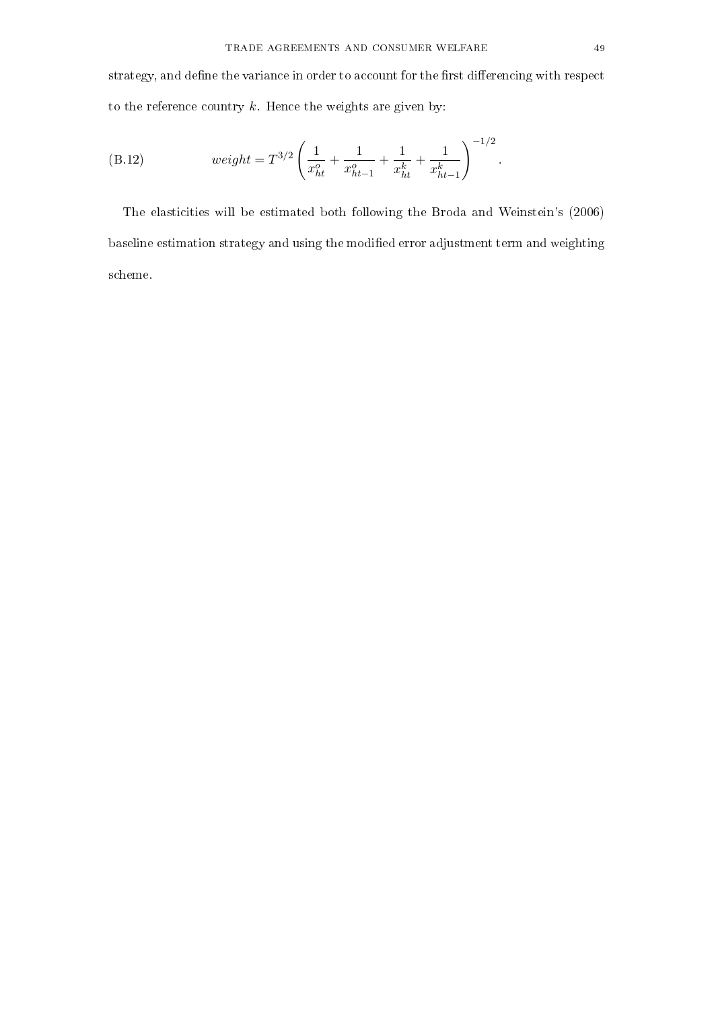strategy, and define the variance in order to account for the first differencing with respect to the reference country  $k$ . Hence the weights are given by:

(B.12) 
$$
weight = T^{3/2} \left( \frac{1}{x_{ht}^o} + \frac{1}{x_{ht-1}^o} + \frac{1}{x_{ht}^k} + \frac{1}{x_{ht-1}^k} \right)^{-1/2}.
$$

The elasticities will be estimated both following the Broda and Weinstein's (2006) baseline estimation strategy and using the modified error adjustment term and weighting scheme.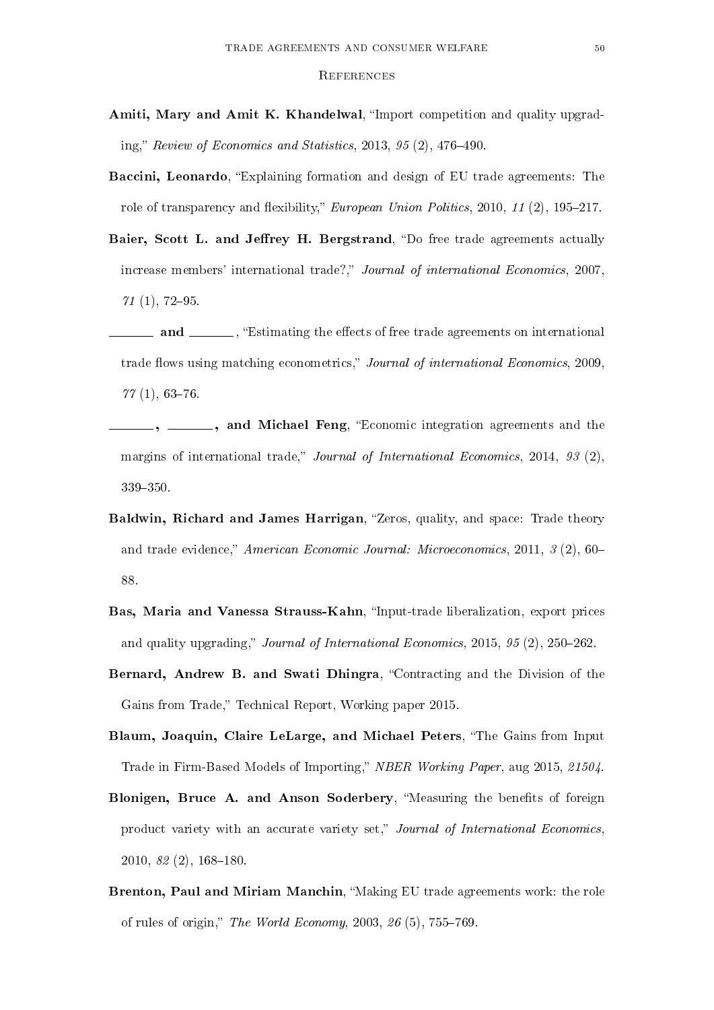#### **REFERENCES**

- Amiti, Mary and Amit K. Khandelwal, "Import competition and quality upgrading," Review of Economics and Statistics, 2013,  $95(2)$ , 476-490.
- Baccini, Leonardo, "Explaining formation and design of EU trade agreements: The role of transparency and flexibility," European Union Politics, 2010, 11 (2), 195-217.
- Baier, Scott L. and Jeffrey H. Bergstrand, "Do free trade agreements actually increase members' international trade?," Journal of international Economics, 2007.  $71(1), 72-95.$
- **and** , "Estimating the effects of free trade agreements on international trade flows using matching econometrics," Journal of international Economics, 2009,  $77(1), 63-76.$
- , \_\_\_\_, and Michael Feng, "Economic integration agreements and the margins of international trade," Journal of International Economics, 2014, 93 (2), 339-350.
- Baldwin, Richard and James Harrigan, "Zeros, quality, and space: Trade theory and trade evidence," American Economic Journal: Microeconomics, 2011,  $\beta$  (2), 60– 88.
- Bas, Maria and Vanessa Strauss-Kahn, "Input-trade liberalization, export prices and quality upgrading," Journal of International Economics, 2015, 95 (2), 250-262.
- Bernard, Andrew B. and Swati Dhingra, "Contracting and the Division of the Gains from Trade," Technical Report, Working paper 2015.
- Blaum, Joaquin, Claire LeLarge, and Michael Peters, The Gains from Input Trade in Firm-Based Models of Importing," NBER Working Paper, aug 2015, 21504.
- Blonigen, Bruce A. and Anson Soderbery, "Measuring the benefits of foreign product variety with an accurate variety set," Journal of International Economics.  $2010, 82(2), 168-180.$
- Brenton, Paul and Miriam Manchin, "Making EU trade agreements work: the role of rules of origin," The World Economy, 2003,  $26(5)$ , 755-769.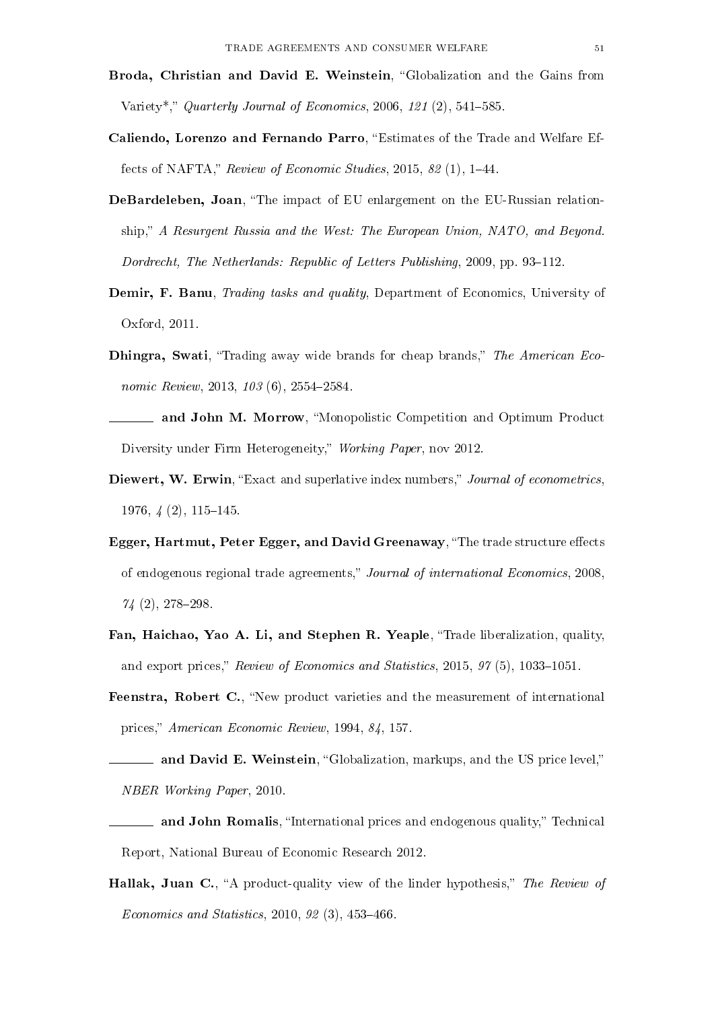- Broda, Christian and David E. Weinstein, "Globalization and the Gains from Variety<sup>\*</sup>," Quarterly Journal of Economics, 2006, 121 $(2)$ , 541–585.
- Caliendo, Lorenzo and Fernando Parro, "Estimates of the Trade and Welfare Effects of NAFTA," Review of Economic Studies,  $2015$ ,  $82$  (1),  $1-44$ .
- DeBardeleben, Joan, "The impact of EU enlargement on the EU-Russian relationship," A Resurgent Russia and the West: The European Union, NATO, and Beyond. Dordrecht, The Netherlands: Republic of Letters Publishing,  $2009$ , pp. 93-112.
- Demir, F. Banu, *Trading tasks and quality*, Department of Economics, University of Oxford, 2011.
- Dhingra, Swati, "Trading away wide brands for cheap brands," The American Economic Review, 2013, 103 (6), 2554-2584.
- **and John M. Morrow**, "Monopolistic Competition and Optimum Product Diversity under Firm Heterogeneity," Working Paper, nov 2012.
- Diewert, W. Erwin, "Exact and superlative index numbers," Journal of econometrics.  $1976, \frac{1}{4} (2), 115-145.$
- Egger, Hartmut, Peter Egger, and David Greenaway, "The trade structure effects of endogenous regional trade agreements," Journal of international Economics, 2008,  $74(2), 278-298.$
- Fan, Haichao, Yao A. Li, and Stephen R. Yeaple, "Trade liberalization, quality, and export prices," Review of Economics and Statistics, 2015,  $97(5)$ , 1033-1051.
- Feenstra, Robert C., "New product varieties and the measurement of international prices," American Economic Review, 1994, 84, 157.
- and David E. Weinstein, "Globalization, markups, and the US price level," NBER Working Paper, 2010.
- and John Romalis, "International prices and endogenous quality," Technical Report, National Bureau of Economic Research 2012.
- Hallak, Juan C., "A product-quality view of the linder hypothesis," The Review of Economics and Statistics, 2010,  $92(3)$ , 453-466.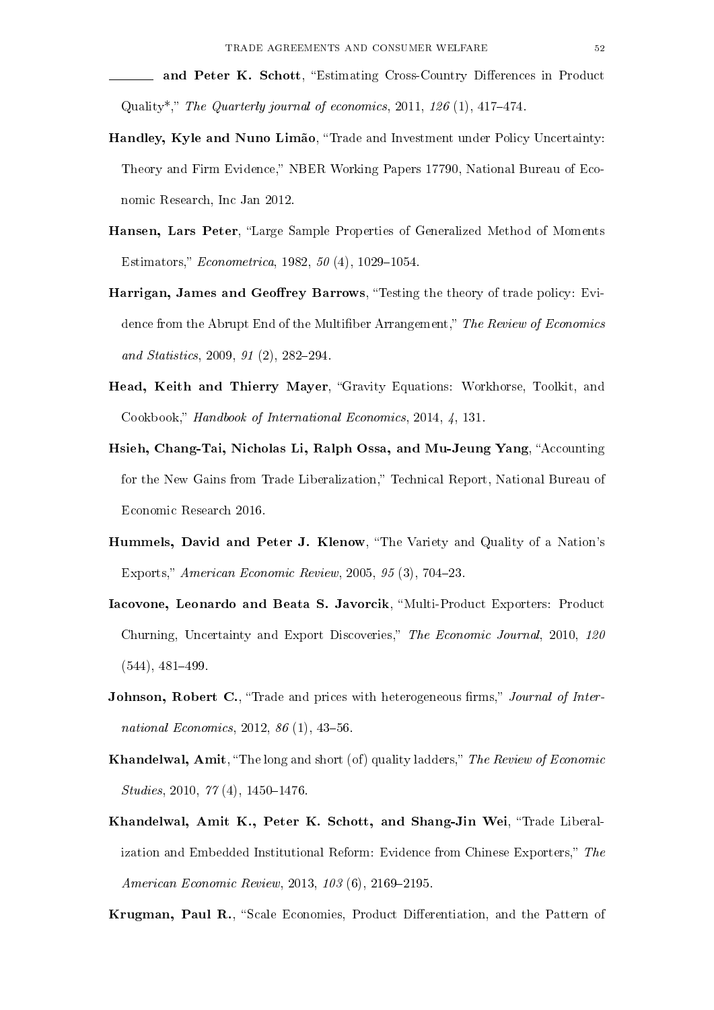and Peter K. Schott, "Estimating Cross-Country Differences in Product Quality<sup>\*</sup>," The Quarterly journal of economics,  $2011$ ,  $126$  (1),  $417-474$ .

- Handley, Kyle and Nuno Limão, "Trade and Investment under Policy Uncertainty: Theory and Firm Evidence," NBER Working Papers 17790, National Bureau of Economic Research, Inc Jan 2012.
- Hansen, Lars Peter, "Large Sample Properties of Generalized Method of Moments Estimators," *Econometrica*, 1982,  $50(4)$ , 1029–1054.
- Harrigan, James and Geoffrey Barrows, "Testing the theory of trade policy: Evidence from the Abrupt End of the Multifiber Arrangement," The Review of Economics and Statistics,  $2009, 91 (2), 282-294$ .
- Head, Keith and Thierry Mayer, "Gravity Equations: Workhorse, Toolkit, and Cookbook," Handbook of International Economics, 2014, 4, 131.
- Hsieh, Chang-Tai, Nicholas Li, Ralph Ossa, and Mu-Jeung Yang, "Accounting for the New Gains from Trade Liberalization," Technical Report, National Bureau of Economic Research 2016.
- Hummels, David and Peter J. Klenow, "The Variety and Quality of a Nation's Exports," American Economic Review,  $2005, 95(3), 704-23$ .
- Iacovone, Leonardo and Beata S. Javorcik, Multi-Product Exporters: Product Churning, Uncertainty and Export Discoveries," The Economic Journal, 2010, 120  $(544)$ ,  $481-499$ .
- Johnson, Robert C., "Trade and prices with heterogeneous firms," Journal of International Economics,  $2012, 86(1), 43-56$ .
- Khandelwal, Amit, "The long and short (of) quality ladders," The Review of Economic  $Studies, 2010, 77 (4), 1450-1476.$
- Khandelwal, Amit K., Peter K. Schott, and Shang-Jin Wei, "Trade Liberalization and Embedded Institutional Reform: Evidence from Chinese Exporters," The American Economic Review, 2013, 103 (6), 2169-2195.

Krugman, Paul R., "Scale Economies, Product Differentiation, and the Pattern of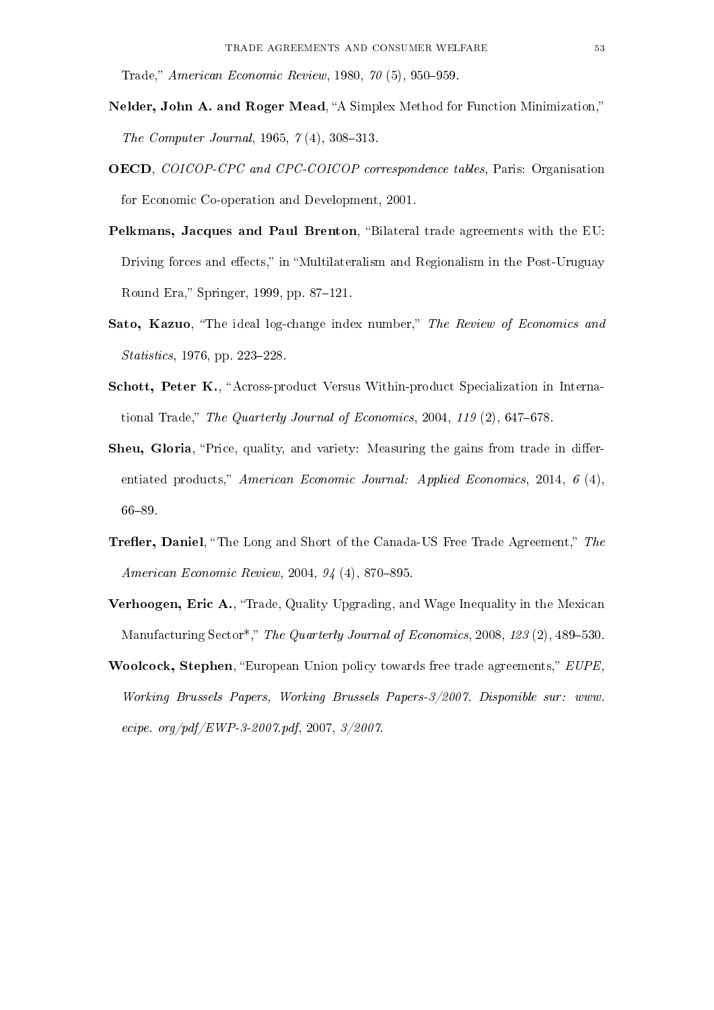Trade," American Economic Review, 1980,  $70(5)$ , 950-959.

- Nelder, John A. and Roger Mead, "A Simplex Method for Function Minimization," The Computer Journal, 1965,  $\gamma$  (4), 308-313.
- OECD, COICOP-CPC and CPC-COICOP correspondence tables, Paris: Organisation for Economic Co-operation and Development, 2001.
- Pelkmans, Jacques and Paul Brenton, "Bilateral trade agreements with the EU: Driving forces and effects," in "Multilateralism and Regionalism in the Post-Uruguay Round Era," Springer, 1999, pp. 87-121.
- Sato, Kazuo, "The ideal log-change index number," The Review of Economics and *Statistics*, 1976, pp. 223-228.
- Schott, Peter K., "Across-product Versus Within-product Specialization in International Trade," The Quarterly Journal of Economics,  $2004$ ,  $119(2)$ ,  $647-678$ .
- Sheu, Gloria, "Price, quality, and variety: Measuring the gains from trade in differentiated products," American Economic Journal: Applied Economics, 2014, 6 (4). 66-89.
- **Trefler, Daniel,** "The Long and Short of the Canada-US Free Trade Agreement," The American Economic Review,  $2004, 94$  (4),  $870-895$ .
- Verhoogen, Eric A., "Trade, Quality Upgrading, and Wage Inequality in the Mexican Manufacturing Sector<sup>\*</sup>," The Quarterly Journal of Economics, 2008, 123 (2), 489-530.
- Woolcock, Stephen, "European Union policy towards free trade agreements," EUPE, Working Brussels Papers, Working Brussels Papers-3/2007. Disponible sur: www. ecipe. org/pdf/EWP-3-2007.pdf, 2007,  $3/2007$ .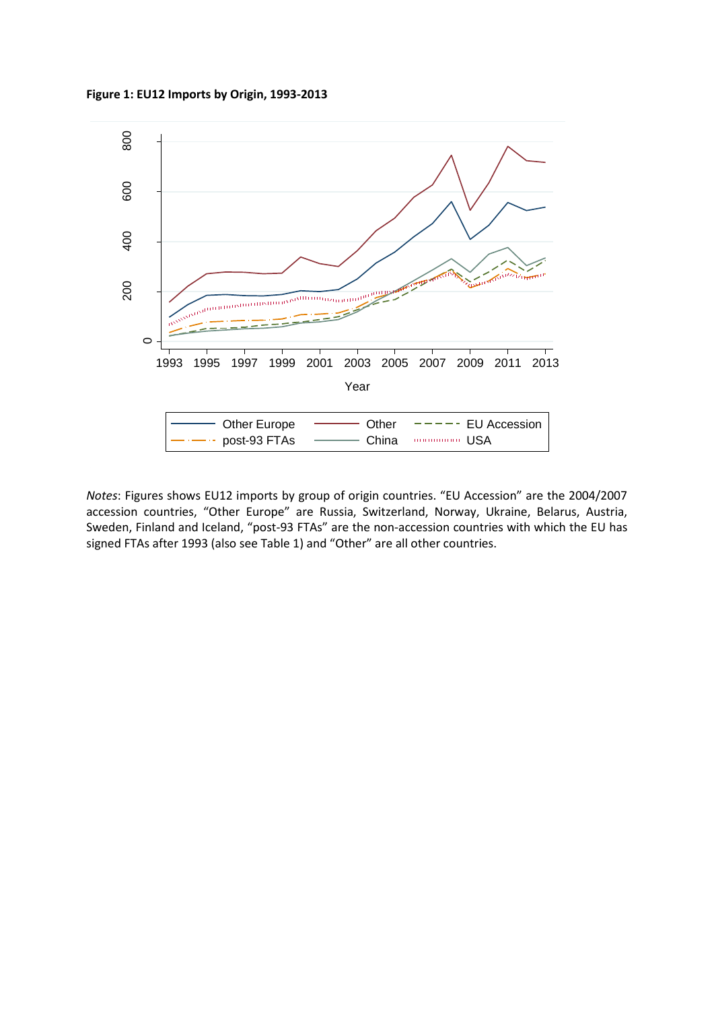**Figure 1: EU12 Imports by Origin, 1993-2013**



*Notes*: Figures shows EU12 imports by group of origin countries. "EU Accession" are the 2004/2007 accession countries, "Other Europe" are Russia, Switzerland, Norway, Ukraine, Belarus, Austria, Sweden, Finland and Iceland, "post-93 FTAs" are the non-accession countries with which the EU has signed FTAs after 1993 (also see Table 1) and "Other" are all other countries.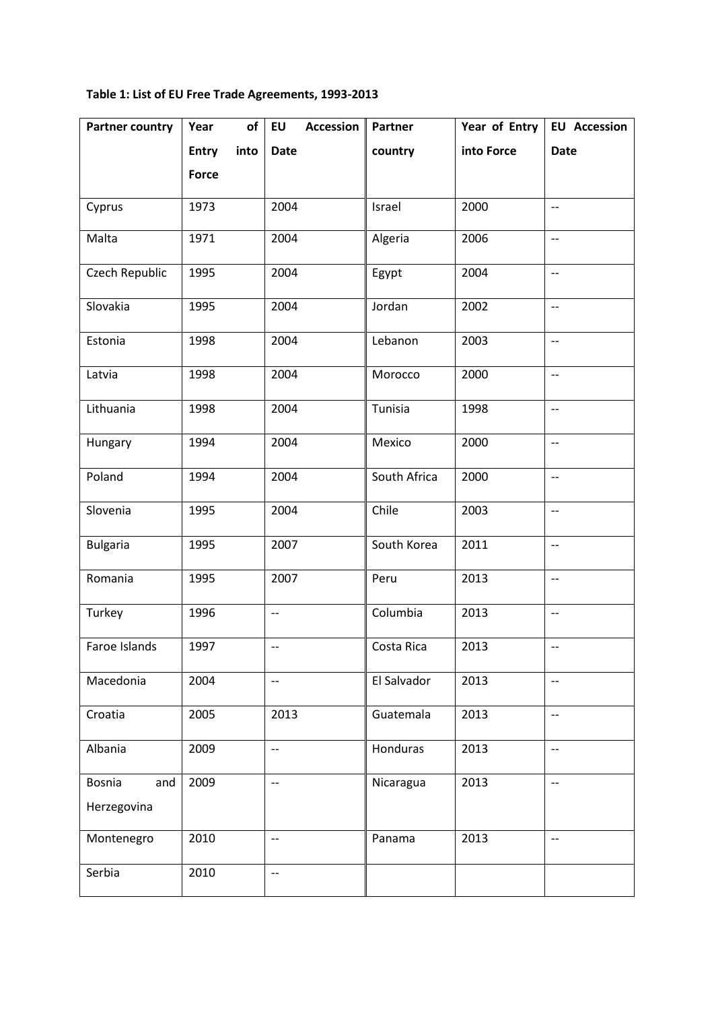# **Table 1: List of EU Free Trade Agreements, 1993-2013**

| <b>Partner country</b> | of<br>Year           | <b>EU</b><br><b>Accession</b> | Partner      | Year of Entry | <b>EU Accession</b>      |
|------------------------|----------------------|-------------------------------|--------------|---------------|--------------------------|
|                        | <b>Entry</b><br>into | <b>Date</b>                   | country      | into Force    | <b>Date</b>              |
|                        | <b>Force</b>         |                               |              |               |                          |
| Cyprus                 | 1973                 | 2004                          | Israel       | 2000          | $\qquad \qquad -$        |
| Malta                  | 1971                 | 2004                          | Algeria      | 2006          | $\overline{\phantom{a}}$ |
| Czech Republic         | 1995                 | 2004                          | Egypt        | 2004          | $\overline{\phantom{a}}$ |
| Slovakia               | 1995                 | 2004                          | Jordan       | 2002          | $\qquad \qquad -$        |
| Estonia                | 1998                 | 2004                          | Lebanon      | 2003          | $\overline{\phantom{a}}$ |
| Latvia                 | 1998                 | 2004                          | Morocco      | 2000          | $\overline{\phantom{a}}$ |
| Lithuania              | 1998                 | 2004                          | Tunisia      | 1998          | $-$                      |
| Hungary                | 1994                 | 2004                          | Mexico       | 2000          | $\overline{\phantom{m}}$ |
| Poland                 | 1994                 | 2004                          | South Africa | 2000          | $\qquad \qquad -$        |
| Slovenia               | 1995                 | 2004                          | Chile        | 2003          | $-$                      |
| <b>Bulgaria</b>        | 1995                 | 2007                          | South Korea  | 2011          | $\overline{\phantom{a}}$ |
| Romania                | 1995                 | 2007                          | Peru         | 2013          | $\overline{\phantom{a}}$ |
| Turkey                 | 1996                 | $\overline{\phantom{a}}$      | Columbia     | 2013          | $\overline{\phantom{a}}$ |
| Faroe Islands          | 1997                 | $-$                           | Costa Rica   | 2013          | $-$                      |
| Macedonia              | 2004                 | $\overline{\phantom{m}}$      | El Salvador  | 2013          | $\qquad \qquad -$        |
| Croatia                | 2005                 | 2013                          | Guatemala    | 2013          | $\qquad \qquad -$        |
| Albania                | 2009                 | $-$                           | Honduras     | 2013          | $\overline{\phantom{a}}$ |
| Bosnia<br>and          | 2009                 | $\overline{\phantom{m}}$      | Nicaragua    | 2013          | $\overline{\phantom{m}}$ |
| Herzegovina            |                      |                               |              |               |                          |
| Montenegro             | 2010                 | $-$                           | Panama       | 2013          | $-\!$ –                  |
| Serbia                 | 2010                 | $\overline{\phantom{m}}$      |              |               |                          |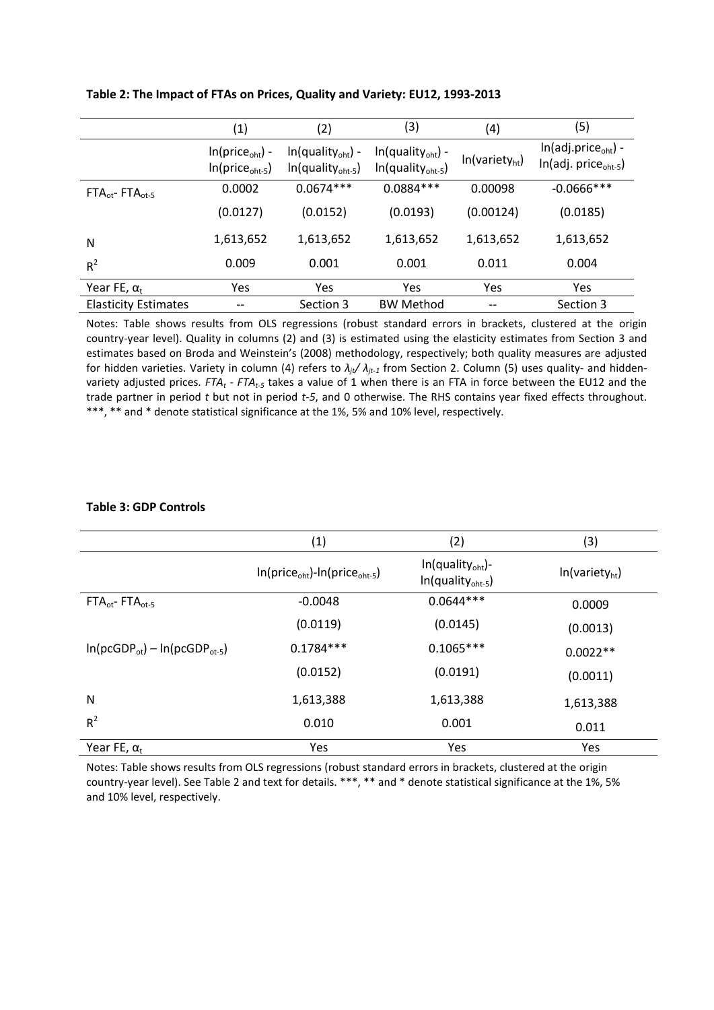|                             | (1)                                                      | (2)                                                           | (3)                                                          | (4)                        | (5)                                                                |
|-----------------------------|----------------------------------------------------------|---------------------------------------------------------------|--------------------------------------------------------------|----------------------------|--------------------------------------------------------------------|
|                             | $In(price_{\text{oht}})$ -<br>$In(price_{\text{oht-5}})$ | $In(quality_{\text{oht}})$ -<br>$In (quality_{\text{oht-5}})$ | $In(quality_{\text{oht}})$ -<br>$In(quality_{\text{oht-5}})$ | In(variety <sub>ht</sub> ) | $ln(adj. price_{\text{oht}}) -$<br>$In(adj. price_{\text{oht-5}})$ |
| $FTAot - FTAot-5$           | 0.0002                                                   | $0.0674***$                                                   | $0.0884***$                                                  | 0.00098                    | $-0.0666$ ***                                                      |
|                             | (0.0127)                                                 | (0.0152)                                                      | (0.0193)                                                     | (0.00124)                  | (0.0185)                                                           |
| N                           | 1,613,652                                                | 1,613,652                                                     | 1,613,652                                                    | 1,613,652                  | 1,613,652                                                          |
| $R^2$                       | 0.009                                                    | 0.001                                                         | 0.001                                                        | 0.011                      | 0.004                                                              |
| Year FE, $\alpha_t$         | Yes                                                      | Yes                                                           | Yes                                                          | Yes                        | Yes                                                                |
| <b>Elasticity Estimates</b> | --                                                       | Section 3                                                     | <b>BW Method</b>                                             | --                         | Section 3                                                          |

### **Table 2: The Impact of FTAs on Prices, Quality and Variety: EU12, 1993-2013**

Notes: Table shows results from OLS regressions (robust standard errors in brackets, clustered at the origin country-year level). Quality in columns (2) and (3) is estimated using the elasticity estimates from Section 3 and estimates based on Broda and Weinstein's (2008) methodology, respectively; both quality measures are adjusted for hidden varieties. Variety in column (4) refers to *λjt/ λjt-1* from Section 2. Column (5) uses quality- and hiddenvariety adjusted prices. *FTA<sup>t</sup> - FTAt-5* takes a value of 1 when there is an FTA in force between the EU12 and the trade partner in period *t* but not in period *t-5*, and 0 otherwise. The RHS contains year fixed effects throughout. \*\*\*, \*\* and \* denote statistical significance at the 1%, 5% and 10% level, respectively.

### **Table 3: GDP Controls**

|                                     | (1)                                                   | (2)                                                             | (3)                        |
|-------------------------------------|-------------------------------------------------------|-----------------------------------------------------------------|----------------------------|
|                                     | $ln(price_{\text{oht}})$ - $ln(price_{\text{oht-5}})$ | $In$ (quality <sub>oht</sub> )-<br>$In(quality_{\text{oht-5}})$ | In(variety <sub>ht</sub> ) |
| $FTAot - FTAot-5$                   | $-0.0048$                                             | $0.0644***$                                                     | 0.0009                     |
|                                     | (0.0119)                                              | (0.0145)                                                        | (0.0013)                   |
| $ln(pcGDP_{ot}) - ln(pcGDP_{ot-5})$ | $0.1784***$                                           | $0.1065***$                                                     | $0.0022**$                 |
|                                     | (0.0152)                                              | (0.0191)                                                        | (0.0011)                   |
| N                                   | 1,613,388                                             | 1,613,388                                                       | 1,613,388                  |
| $R^2$                               | 0.010                                                 | 0.001                                                           | 0.011                      |
| Year FE, $\alpha_t$                 | Yes                                                   | Yes                                                             | Yes                        |

Notes: Table shows results from OLS regressions (robust standard errors in brackets, clustered at the origin country-year level). See Table 2 and text for details. \*\*\*, \*\* and \* denote statistical significance at the 1%, 5% and 10% level, respectively.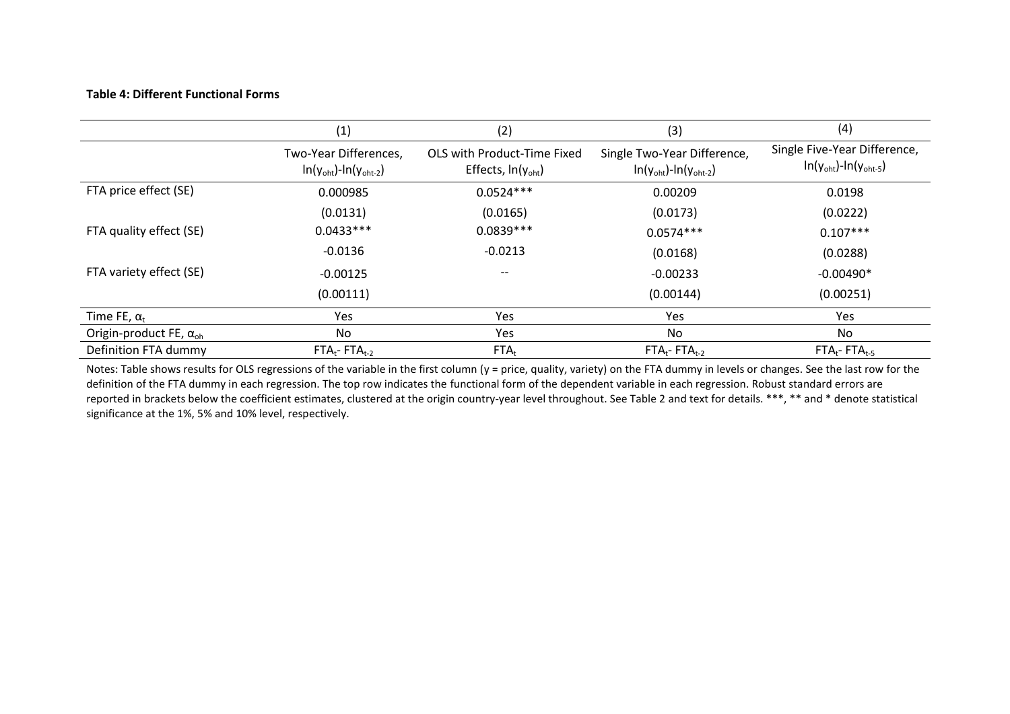### **Table 4: Different Functional Forms**

|                                      | (1)                                                                    | (2)                                                          | (3)                                                                          | (4)                                                                           |
|--------------------------------------|------------------------------------------------------------------------|--------------------------------------------------------------|------------------------------------------------------------------------------|-------------------------------------------------------------------------------|
|                                      | Two-Year Differences,<br>$ln(y_{\text{oht}})$ - $ln(y_{\text{oht-2}})$ | OLS with Product-Time Fixed<br>Effects, $ln(y_{\text{oht}})$ | Single Two-Year Difference,<br>$ln(y_{\text{oht}})$ - $ln(y_{\text{oht-2}})$ | Single Five-Year Difference,<br>$ln(y_{\text{oht}})$ - $ln(y_{\text{oht-5}})$ |
| FTA price effect (SE)                | 0.000985                                                               | $0.0524***$                                                  | 0.00209                                                                      | 0.0198                                                                        |
|                                      | (0.0131)                                                               | (0.0165)                                                     | (0.0173)                                                                     | (0.0222)                                                                      |
| FTA quality effect (SE)              | $0.0433***$                                                            | $0.0839***$                                                  | $0.0574***$                                                                  | $0.107***$                                                                    |
|                                      | $-0.0136$                                                              | $-0.0213$                                                    | (0.0168)                                                                     | (0.0288)                                                                      |
| FTA variety effect (SE)              | $-0.00125$                                                             | $\hspace{0.05cm} \textbf{--}$                                | $-0.00233$                                                                   | $-0.00490*$                                                                   |
|                                      | (0.00111)                                                              |                                                              | (0.00144)                                                                    | (0.00251)                                                                     |
| Time FE, $\alpha_t$                  | Yes                                                                    | Yes                                                          | Yes                                                                          | <b>Yes</b>                                                                    |
| Origin-product FE, $\alpha_{\rm oh}$ | No                                                                     | <b>Yes</b>                                                   | No.                                                                          | No                                                                            |
| Definition FTA dummy                 | $FTA_t$ - $FTA_{t-2}$                                                  | $FTA_t$                                                      | $FTA_t$ - $FTA_{t-2}$                                                        | $FTA_t$ - $FTA_{t-5}$                                                         |

Notes: Table shows results for OLS regressions of the variable in the first column (y = price, quality, variety) on the FTA dummy in levels or changes. See the last row for the definition of the FTA dummy in each regression. The top row indicates the functional form of the dependent variable in each regression. Robust standard errors are reported in brackets below the coefficient estimates, clustered at the origin country-year level throughout. See Table 2 and text for details. \*\*\*, \*\* and \* denote statistical significance at the 1%, 5% and 10% level, respectively.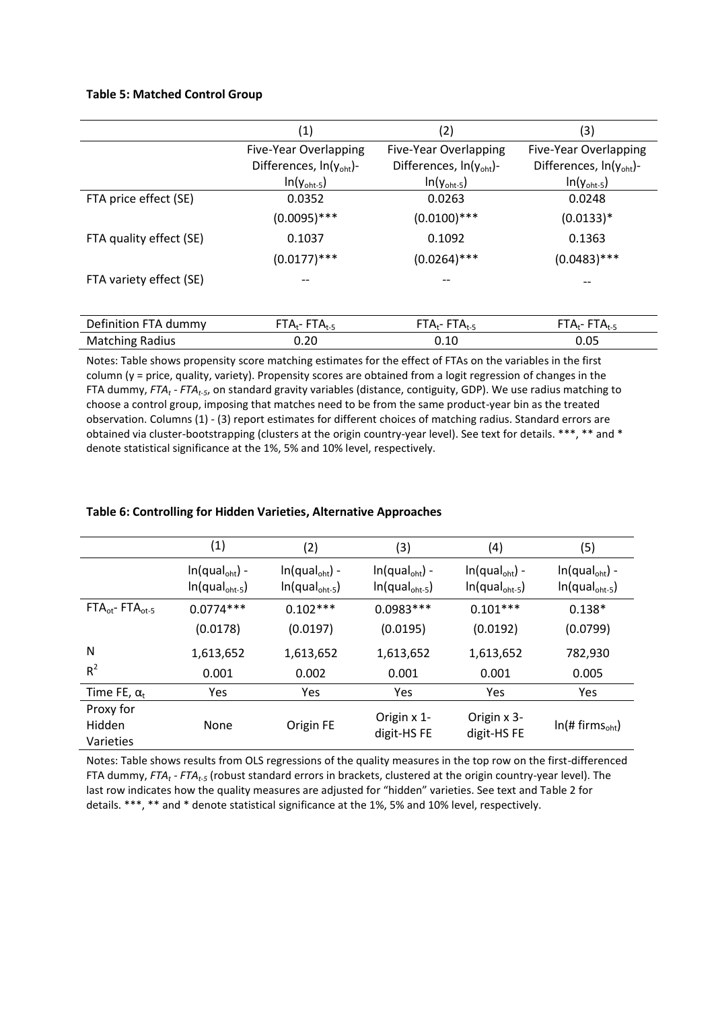### **Table 5: Matched Control Group**

|                         | (1)                                 | (2)                                 | (3)                                 |
|-------------------------|-------------------------------------|-------------------------------------|-------------------------------------|
|                         | Five-Year Overlapping               | Five-Year Overlapping               | Five-Year Overlapping               |
|                         | Differences, $ln(y_{\text{oht}})$ - | Differences, In(y <sub>oht</sub> )- | Differences, $ln(y_{\text{oht}})$ - |
|                         | $ln(y_{\text{oht-5}})$              | $ln(y_{\text{oht-5}})$              | $ln(y_{\text{oht-5}})$              |
| FTA price effect (SE)   | 0.0352                              | 0.0263                              | 0.0248                              |
|                         | $(0.0095)$ ***                      | $(0.0100)$ ***                      | $(0.0133)*$                         |
| FTA quality effect (SE) | 0.1037                              | 0.1092                              | 0.1363                              |
|                         | $(0.0177)$ ***                      | $(0.0264)$ ***                      | $(0.0483)$ ***                      |
| FTA variety effect (SE) |                                     |                                     |                                     |
|                         |                                     |                                     |                                     |
| Definition FTA dummy    | $FTA_t$ - FT $A_{t-5}$              | $FTA_t$ - FT $A_{t-5}$              | $FTA_t$ - FT $A_{t-5}$              |
| <b>Matching Radius</b>  | 0.20                                | 0.10                                | 0.05                                |

Notes: Table shows propensity score matching estimates for the effect of FTAs on the variables in the first column (y = price, quality, variety). Propensity scores are obtained from a logit regression of changes in the FTA dummy, *FTA<sup>t</sup> - FTAt-5*, on standard gravity variables (distance, contiguity, GDP). We use radius matching to choose a control group, imposing that matches need to be from the same product-year bin as the treated observation. Columns (1) - (3) report estimates for different choices of matching radius. Standard errors are obtained via cluster-bootstrapping (clusters at the origin country-year level). See text for details. \*\*\*, \*\* and \* denote statistical significance at the 1%, 5% and 10% level, respectively.

### **Table 6: Controlling for Hidden Varieties, Alternative Approaches**

|                                  | (1)                                                    | (2)                                                    | (3)                                                    | (4)                                                    | (5)                                                    |
|----------------------------------|--------------------------------------------------------|--------------------------------------------------------|--------------------------------------------------------|--------------------------------------------------------|--------------------------------------------------------|
|                                  | $ln(qual_{\text{oht}}) -$<br>$In(qual_{\text{oht-5}})$ | $ln(qual_{\text{oht}})$ -<br>$In(qual_{\text{oht-5}})$ | $ln(qual_{\text{oht}})$ -<br>$In(qual_{\text{oht-5}})$ | $ln(qual_{\text{oht}}) -$<br>$In(qual_{\text{oht-5}})$ | $ln(qual_{\text{oht}})$ -<br>$In(qual_{\text{oht-5}})$ |
| $FTAot - FTAot-5$                | $0.0774***$                                            | $0.102***$                                             | $0.0983***$                                            | $0.101***$                                             | $0.138*$                                               |
|                                  | (0.0178)                                               | (0.0197)                                               | (0.0195)                                               | (0.0192)                                               | (0.0799)                                               |
| N                                | 1,613,652                                              | 1,613,652                                              | 1,613,652                                              | 1,613,652                                              | 782,930                                                |
| $R^2$                            | 0.001                                                  | 0.002                                                  | 0.001                                                  | 0.001                                                  | 0.005                                                  |
| Time FE, $\alpha_t$              | Yes                                                    | <b>Yes</b>                                             | Yes                                                    | Yes                                                    | <b>Yes</b>                                             |
| Proxy for<br>Hidden<br>Varieties | None                                                   | Origin FE                                              | Origin x 1-<br>digit-HS FE                             | Origin x 3-<br>digit-HS FE                             | $ln(H)$ firms <sub>oht</sub> )                         |

Notes: Table shows results from OLS regressions of the quality measures in the top row on the first-differenced FTA dummy, *FTA<sup>t</sup> - FTAt-5* (robust standard errors in brackets, clustered at the origin country-year level). The last row indicates how the quality measures are adjusted for "hidden" varieties. See text and Table 2 for details. \*\*\*, \*\* and \* denote statistical significance at the 1%, 5% and 10% level, respectively.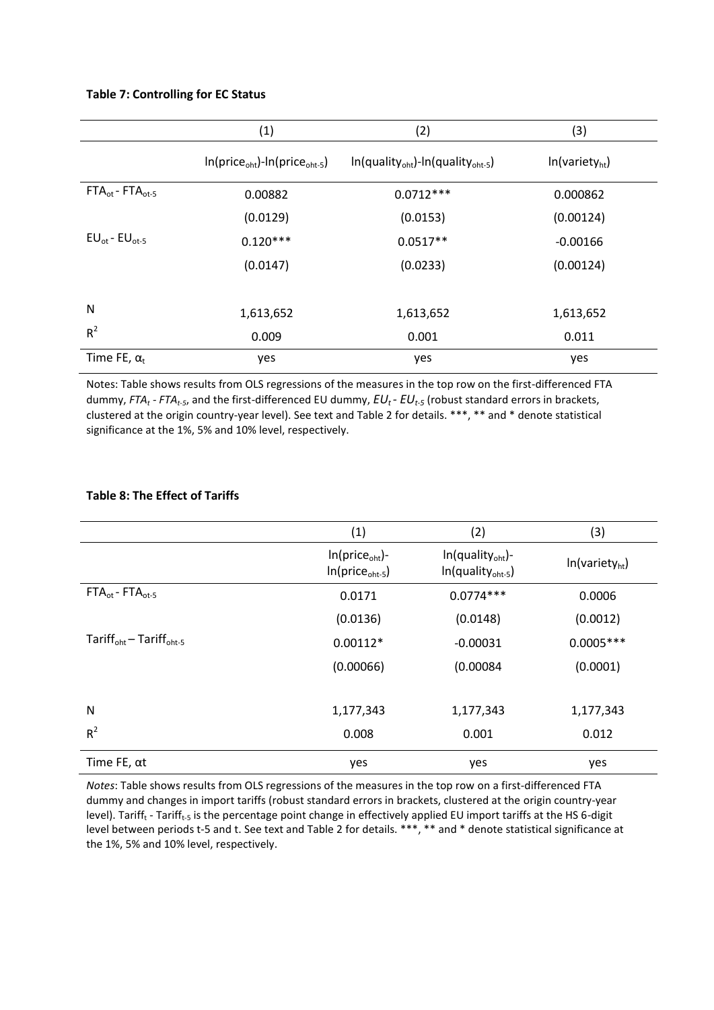### **Table 7: Controlling for EC Status**

|                         | (1)                                                   | (2)                                                                   | (3)                        |
|-------------------------|-------------------------------------------------------|-----------------------------------------------------------------------|----------------------------|
|                         | $ln(price_{\text{oht}})$ - $ln(price_{\text{oht-5}})$ | $ln($ quality <sub>oht</sub> $)$ - $ln($ quality <sub>oht-5</sub> $)$ | In(variety <sub>ht</sub> ) |
| $FTAot - FTAot-5$       | 0.00882                                               | $0.0712***$                                                           | 0.000862                   |
|                         | (0.0129)                                              | (0.0153)                                                              | (0.00124)                  |
| $EU_{ot}$ - $EU_{ot-5}$ | $0.120***$                                            | $0.0517**$                                                            | $-0.00166$                 |
|                         | (0.0147)                                              | (0.0233)                                                              | (0.00124)                  |
|                         |                                                       |                                                                       |                            |
| N                       | 1,613,652                                             | 1,613,652                                                             | 1,613,652                  |
| $R^2$                   | 0.009                                                 | 0.001                                                                 | 0.011                      |
| Time FE, $\alpha_t$     | yes                                                   | yes                                                                   | yes                        |

Notes: Table shows results from OLS regressions of the measures in the top row on the first-differenced FTA dummy, *FTA<sup>t</sup> - FTAt-5*, and the first-differenced EU dummy, *EUt - EUt-5* (robust standard errors in brackets, clustered at the origin country-year level). See text and Table 2 for details. \*\*\*, \*\* and \* denote statistical significance at the 1%, 5% and 10% level, respectively.

|                                          | (1)                                                      | (2)                                                           | (3)                        |
|------------------------------------------|----------------------------------------------------------|---------------------------------------------------------------|----------------------------|
|                                          | $In(price_{\text{oht}})$ -<br>$In(price_{\text{oht-5}})$ | $In (quality_{\text{oht}})$ -<br>$In(quality_{\text{oht-5}})$ | ln(variety <sub>ht</sub> ) |
| $FTAot - FTAot-5$                        | 0.0171                                                   | $0.0774***$                                                   | 0.0006                     |
|                                          | (0.0136)                                                 | (0.0148)                                                      | (0.0012)                   |
| $Tariff_{oht}$ – Tariff <sub>oht-5</sub> | $0.00112*$                                               | $-0.00031$                                                    | $0.0005***$                |
|                                          | (0.00066)                                                | (0.00084)                                                     | (0.0001)                   |
|                                          |                                                          |                                                               |                            |
| N                                        | 1,177,343                                                | 1,177,343                                                     | 1,177,343                  |
| $R^2$                                    | 0.008                                                    | 0.001                                                         | 0.012                      |
| Time FE, $\alpha t$                      | yes                                                      | yes                                                           | yes                        |

### **Table 8: The Effect of Tariffs**

*Notes*: Table shows results from OLS regressions of the measures in the top row on a first-differenced FTA dummy and changes in import tariffs (robust standard errors in brackets, clustered at the origin country-year level). Tariff<sub>t</sub> - Tariff<sub>t-5</sub> is the percentage point change in effectively applied EU import tariffs at the HS 6-digit level between periods t-5 and t. See text and Table 2 for details. \*\*\*, \*\* and \* denote statistical significance at the 1%, 5% and 10% level, respectively.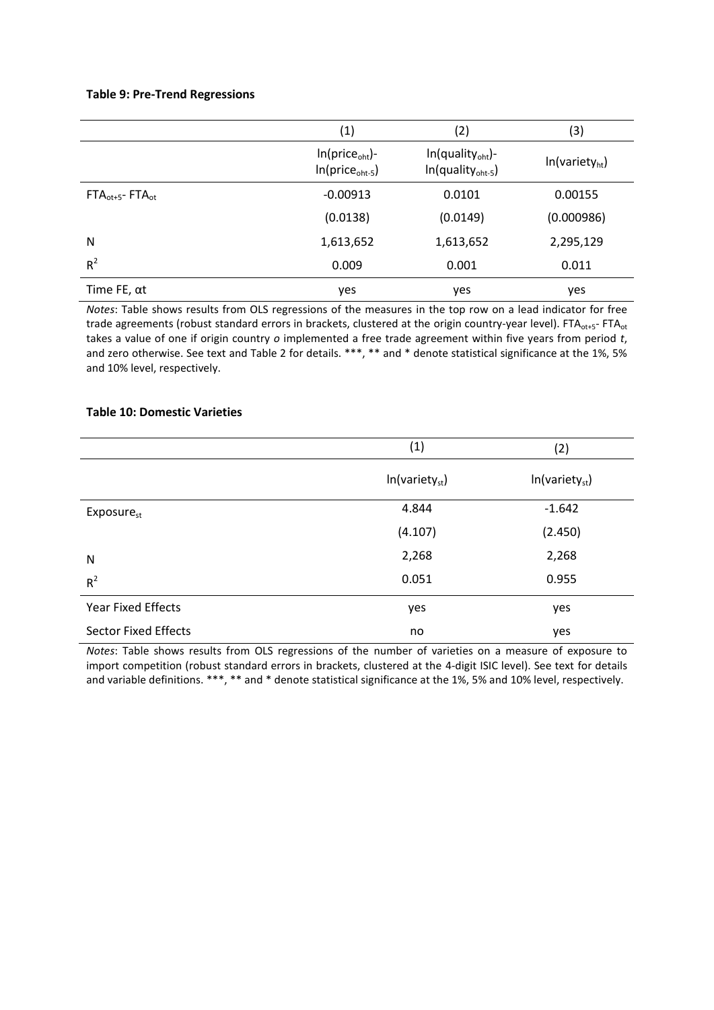### **Table 9: Pre-Trend Regressions**

|                      | (1)                                                      | (2)                                                            | (3)                        |
|----------------------|----------------------------------------------------------|----------------------------------------------------------------|----------------------------|
|                      | $In(price_{\text{oht}})$ -<br>$In(price_{\text{oht-5}})$ | $In (quality_{\text{oht}})$ -<br>$In (quality_{\text{oht-5}})$ | In(variety <sub>ht</sub> ) |
| $FTAot+5$ - FT $Aot$ | $-0.00913$                                               | 0.0101                                                         | 0.00155                    |
|                      | (0.0138)                                                 | (0.0149)                                                       | (0.000986)                 |
| N                    | 1,613,652                                                | 1,613,652                                                      | 2,295,129                  |
| $R^2$                | 0.009                                                    | 0.001                                                          | 0.011                      |
| Time FE, $\alpha t$  | yes                                                      | yes                                                            | yes                        |

*Notes*: Table shows results from OLS regressions of the measures in the top row on a lead indicator for free trade agreements (robust standard errors in brackets, clustered at the origin country-year level). FTA<sub>ot+5</sub>- FTA<sub>ot</sub> takes a value of one if origin country *o* implemented a free trade agreement within five years from period *t*, and zero otherwise. See text and Table 2 for details. \*\*\*, \*\* and \* denote statistical significance at the 1%, 5% and 10% level, respectively.

### **Table 10: Domestic Varieties**

|                             | (1)                        | (2)                        |
|-----------------------------|----------------------------|----------------------------|
|                             | In(variety <sub>st</sub> ) | In(variety <sub>st</sub> ) |
| Exposure <sub>st</sub>      | 4.844                      | $-1.642$                   |
|                             | (4.107)                    | (2.450)                    |
| N                           | 2,268                      | 2,268                      |
| $R^2$                       | 0.051                      | 0.955                      |
| <b>Year Fixed Effects</b>   | yes                        | yes                        |
| <b>Sector Fixed Effects</b> | no                         | yes                        |

*Notes*: Table shows results from OLS regressions of the number of varieties on a measure of exposure to import competition (robust standard errors in brackets, clustered at the 4-digit ISIC level). See text for details and variable definitions. \*\*\*, \*\* and \* denote statistical significance at the 1%, 5% and 10% level, respectively.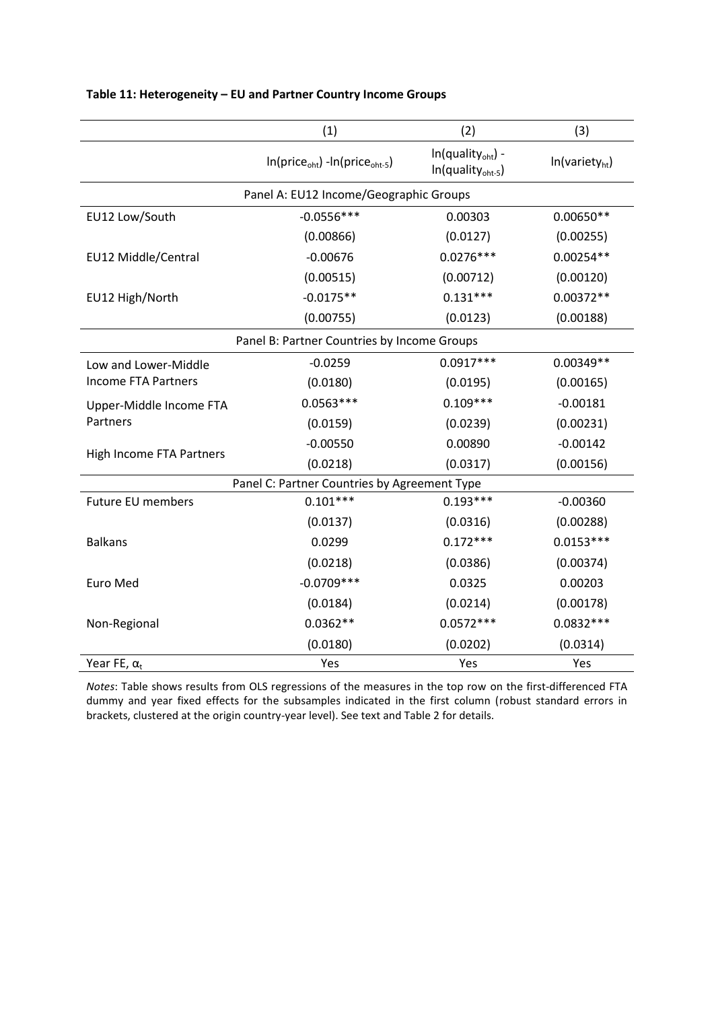|                            | (1)                                                 | (2)                                                           | (3)                        |
|----------------------------|-----------------------------------------------------|---------------------------------------------------------------|----------------------------|
|                            | $In(price_{\text{oht}}) - In(price_{\text{oht-5}})$ | $In(quality_{\text{oht}})$ -<br>In(quality <sub>oht-5</sub> ) | In(variety <sub>ht</sub> ) |
|                            | Panel A: EU12 Income/Geographic Groups              |                                                               |                            |
| EU12 Low/South             | $-0.0556***$                                        | 0.00303                                                       | $0.00650**$                |
|                            | (0.00866)                                           | (0.0127)                                                      | (0.00255)                  |
| EU12 Middle/Central        | $-0.00676$                                          | $0.0276***$                                                   | $0.00254**$                |
|                            | (0.00515)                                           | (0.00712)                                                     | (0.00120)                  |
| EU12 High/North            | $-0.0175**$                                         | $0.131***$                                                    | $0.00372**$                |
|                            | (0.00755)                                           | (0.0123)                                                      | (0.00188)                  |
|                            | Panel B: Partner Countries by Income Groups         |                                                               |                            |
| Low and Lower-Middle       | $-0.0259$                                           | $0.0917***$                                                   | 0.00349**                  |
| <b>Income FTA Partners</b> | (0.0180)                                            | (0.0195)                                                      | (0.00165)                  |
| Upper-Middle Income FTA    | $0.0563***$                                         | $0.109***$                                                    | $-0.00181$                 |
| Partners                   | (0.0159)                                            | (0.0239)                                                      | (0.00231)                  |
|                            | $-0.00550$                                          | 0.00890                                                       | $-0.00142$                 |
| High Income FTA Partners   | (0.0218)                                            | (0.0317)                                                      | (0.00156)                  |
|                            | Panel C: Partner Countries by Agreement Type        |                                                               |                            |
| Future EU members          | $0.101***$                                          | $0.193***$                                                    | $-0.00360$                 |
|                            | (0.0137)                                            | (0.0316)                                                      | (0.00288)                  |
| <b>Balkans</b>             | 0.0299                                              | $0.172***$                                                    | $0.0153***$                |
|                            | (0.0218)                                            | (0.0386)                                                      | (0.00374)                  |
| <b>Euro Med</b>            | $-0.0709***$                                        | 0.0325                                                        | 0.00203                    |
|                            | (0.0184)                                            | (0.0214)                                                      | (0.00178)                  |
| Non-Regional               | $0.0362**$                                          | $0.0572***$                                                   | $0.0832***$                |
|                            | (0.0180)                                            | (0.0202)                                                      | (0.0314)                   |
| Year FE, $\alpha_t$        | Yes                                                 | Yes                                                           | Yes                        |

### **Table 11: Heterogeneity – EU and Partner Country Income Groups**

*Notes*: Table shows results from OLS regressions of the measures in the top row on the first-differenced FTA dummy and year fixed effects for the subsamples indicated in the first column (robust standard errors in brackets, clustered at the origin country-year level). See text and Table 2 for details.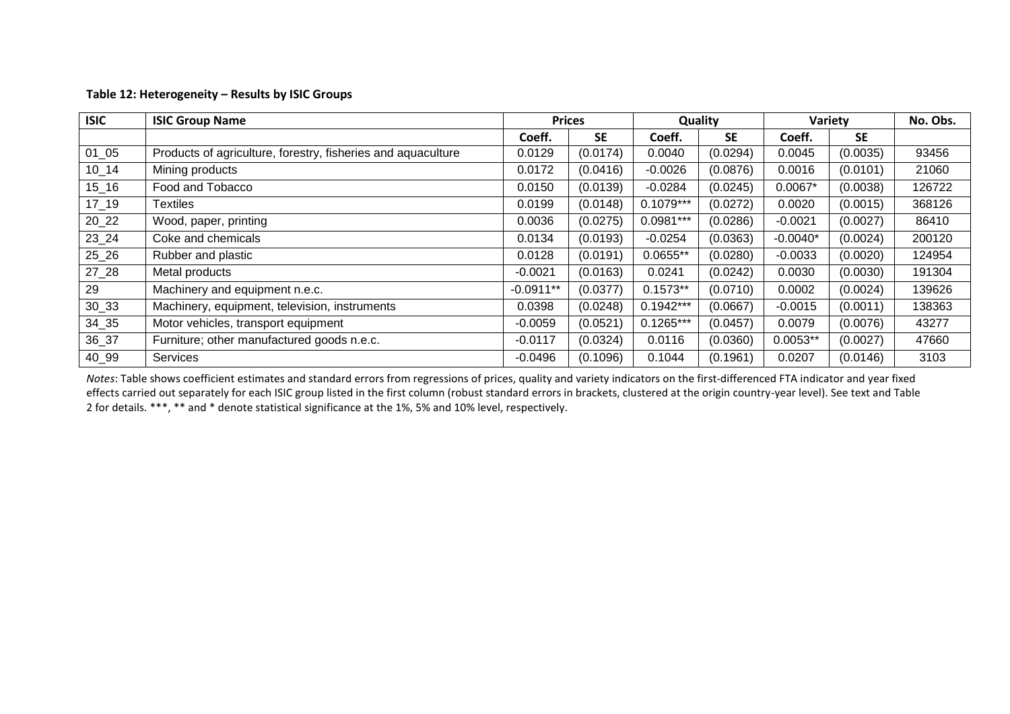### **Table 12: Heterogeneity – Results by ISIC Groups**

| <b>ISIC</b> | <b>ISIC Group Name</b>                                       | <b>Prices</b> |           | Quality     |           | Variety    |           | No. Obs. |
|-------------|--------------------------------------------------------------|---------------|-----------|-------------|-----------|------------|-----------|----------|
|             |                                                              | Coeff.        | <b>SE</b> | Coeff.      | <b>SE</b> | Coeff.     | <b>SE</b> |          |
| $01_{05}$   | Products of agriculture, forestry, fisheries and aquaculture | 0.0129        | (0.0174)  | 0.0040      | (0.0294)  | 0.0045     | (0.0035)  | 93456    |
| $10 - 14$   | Mining products                                              | 0.0172        | (0.0416)  | $-0.0026$   | (0.0876)  | 0.0016     | (0.0101)  | 21060    |
| $15 - 16$   | Food and Tobacco                                             | 0.0150        | (0.0139)  | $-0.0284$   | (0.0245)  | $0.0067*$  | (0.0038)  | 126722   |
| $17 - 19$   | <sup>-</sup> Textiles                                        | 0.0199        | (0.0148)  | $0.1079***$ | (0.0272)  | 0.0020     | (0.0015)  | 368126   |
| $20_22$     | Wood, paper, printing                                        | 0.0036        | (0.0275)  | $0.0981***$ | (0.0286)  | $-0.0021$  | (0.0027)  | 86410    |
| $23 - 24$   | Coke and chemicals                                           | 0.0134        | (0.0193)  | $-0.0254$   | (0.0363)  | $-0.0040*$ | (0.0024)  | 200120   |
| $25 - 26$   | Rubber and plastic                                           | 0.0128        | (0.0191)  | $0.0655**$  | (0.0280)  | $-0.0033$  | (0.0020)  | 124954   |
| $27 - 28$   | Metal products                                               | $-0.0021$     | (0.0163)  | 0.0241      | (0.0242)  | 0.0030     | (0.0030)  | 191304   |
| 29          | Machinery and equipment n.e.c.                               | $-0.0911**$   | (0.0377)  | $0.1573**$  | (0.0710)  | 0.0002     | (0.0024)  | 139626   |
| $30 - 33$   | Machinery, equipment, television, instruments                | 0.0398        | (0.0248)  | $0.1942***$ | (0.0667)  | $-0.0015$  | (0.0011)  | 138363   |
| $34 - 35$   | Motor vehicles, transport equipment                          | $-0.0059$     | (0.0521)  | $0.1265***$ | (0.0457)  | 0.0079     | (0.0076)  | 43277    |
| 36_37       | Furniture; other manufactured goods n.e.c.                   | $-0.0117$     | (0.0324)  | 0.0116      | (0.0360)  | $0.0053**$ | (0.0027)  | 47660    |
| 40_99       | <b>Services</b>                                              | $-0.0496$     | (0.1096)  | 0.1044      | (0.1961)  | 0.0207     | (0.0146)  | 3103     |

*Notes*: Table shows coefficient estimates and standard errors from regressions of prices, quality and variety indicators on the first-differenced FTA indicator and year fixed effects carried out separately for each ISIC group listed in the first column (robust standard errors in brackets, clustered at the origin country-year level). See text and Table 2 for details. \*\*\*, \*\* and \* denote statistical significance at the 1%, 5% and 10% level, respectively.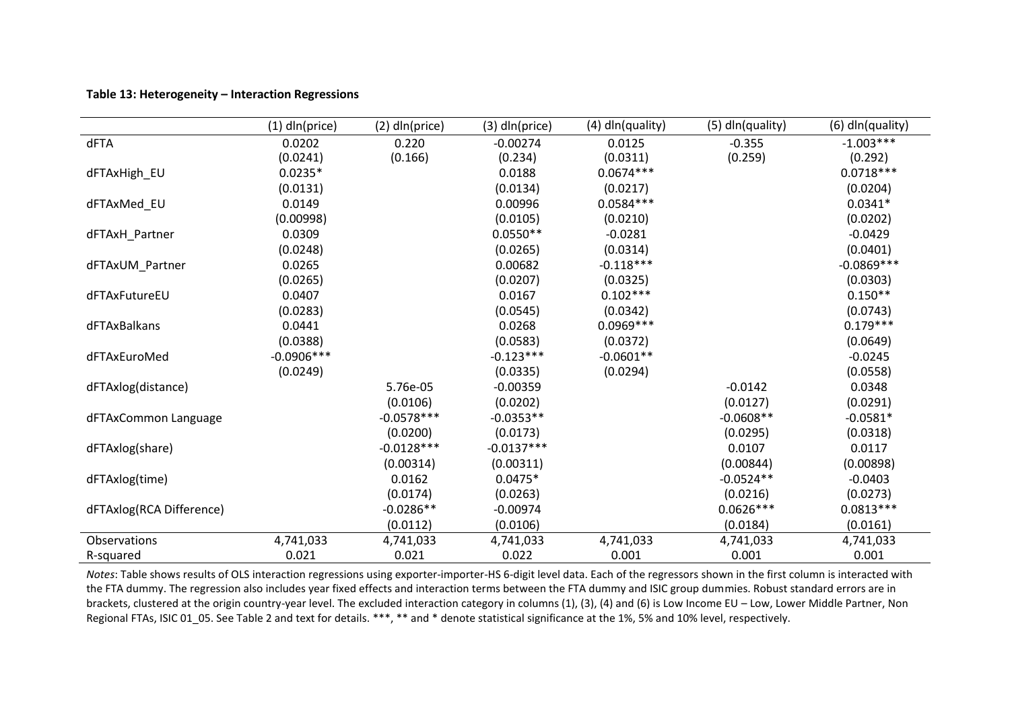### **Table 13: Heterogeneity – Interaction Regressions**

|                          | $(1)$ dln(price) | $(2)$ dln(price) | $(3)$ dln(price) | (4) dln(quality) | (5) dln(quality) | (6) dln(quality) |
|--------------------------|------------------|------------------|------------------|------------------|------------------|------------------|
| dFTA                     | 0.0202           | 0.220            | $-0.00274$       | 0.0125           | $-0.355$         | $-1.003***$      |
|                          | (0.0241)         | (0.166)          | (0.234)          | (0.0311)         | (0.259)          | (0.292)          |
| dFTAxHigh_EU             | $0.0235*$        |                  | 0.0188           | $0.0674***$      |                  | $0.0718***$      |
|                          | (0.0131)         |                  | (0.0134)         | (0.0217)         |                  | (0.0204)         |
| dFTAxMed_EU              | 0.0149           |                  | 0.00996          | $0.0584***$      |                  | $0.0341*$        |
|                          | (0.00998)        |                  | (0.0105)         | (0.0210)         |                  | (0.0202)         |
| dFTAxH_Partner           | 0.0309           |                  | $0.0550**$       | $-0.0281$        |                  | $-0.0429$        |
|                          | (0.0248)         |                  | (0.0265)         | (0.0314)         |                  | (0.0401)         |
| dFTAxUM_Partner          | 0.0265           |                  | 0.00682          | $-0.118***$      |                  | $-0.0869***$     |
|                          | (0.0265)         |                  | (0.0207)         | (0.0325)         |                  | (0.0303)         |
| dFTAxFutureEU            | 0.0407           |                  | 0.0167           | $0.102***$       |                  | $0.150**$        |
|                          | (0.0283)         |                  | (0.0545)         | (0.0342)         |                  | (0.0743)         |
| dFTAxBalkans             | 0.0441           |                  | 0.0268           | $0.0969***$      |                  | $0.179***$       |
|                          | (0.0388)         |                  | (0.0583)         | (0.0372)         |                  | (0.0649)         |
| dFTAxEuroMed             | $-0.0906***$     |                  | $-0.123***$      | $-0.0601**$      |                  | $-0.0245$        |
|                          | (0.0249)         |                  | (0.0335)         | (0.0294)         |                  | (0.0558)         |
| dFTAxlog(distance)       |                  | 5.76e-05         | $-0.00359$       |                  | $-0.0142$        | 0.0348           |
|                          |                  | (0.0106)         | (0.0202)         |                  | (0.0127)         | (0.0291)         |
| dFTAxCommon Language     |                  | $-0.0578***$     | $-0.0353**$      |                  | $-0.0608**$      | $-0.0581*$       |
|                          |                  | (0.0200)         | (0.0173)         |                  | (0.0295)         | (0.0318)         |
| dFTAxlog(share)          |                  | $-0.0128***$     | $-0.0137***$     |                  | 0.0107           | 0.0117           |
|                          |                  | (0.00314)        | (0.00311)        |                  | (0.00844)        | (0.00898)        |
| dFTAxlog(time)           |                  | 0.0162           | $0.0475*$        |                  | $-0.0524**$      | $-0.0403$        |
|                          |                  | (0.0174)         | (0.0263)         |                  | (0.0216)         | (0.0273)         |
| dFTAxlog(RCA Difference) |                  | $-0.0286**$      | $-0.00974$       |                  | $0.0626***$      | $0.0813***$      |
|                          |                  | (0.0112)         | (0.0106)         |                  | (0.0184)         | (0.0161)         |
| Observations             | 4,741,033        | 4,741,033        | 4,741,033        | 4,741,033        | 4,741,033        | 4,741,033        |
| R-squared                | 0.021            | 0.021            | 0.022            | 0.001            | 0.001            | 0.001            |

*Notes*: Table shows results of OLS interaction regressions using exporter-importer-HS 6-digit level data. Each of the regressors shown in the first column is interacted with the FTA dummy. The regression also includes year fixed effects and interaction terms between the FTA dummy and ISIC group dummies. Robust standard errors are in brackets, clustered at the origin country-year level. The excluded interaction category in columns (1), (3), (4) and (6) is Low Income EU – Low, Lower Middle Partner, Non Regional FTAs, ISIC 01 05. See Table 2 and text for details. \*\*\*, \*\* and \* denote statistical significance at the 1%, 5% and 10% level, respectively.